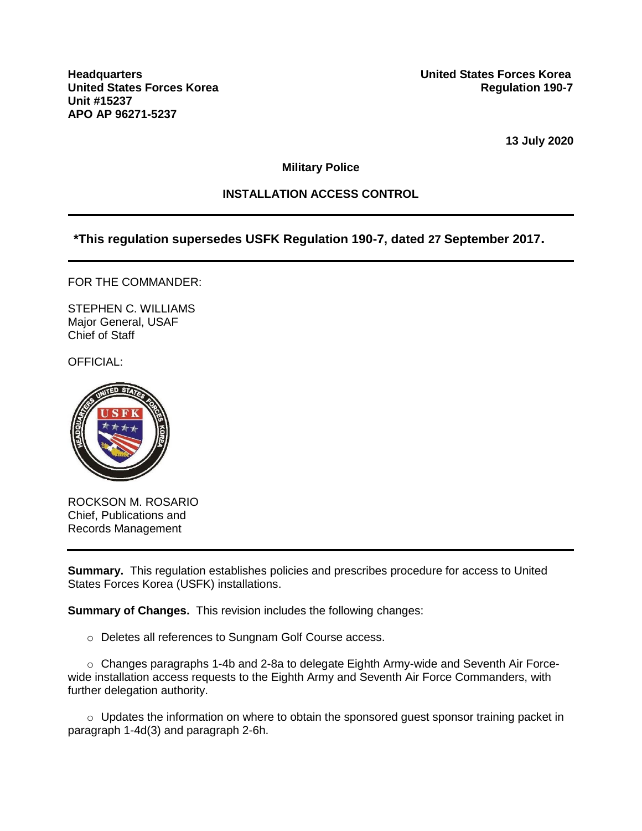**Unit #15237 APO AP 96271-5237**

**13 July 2020**

**Military Police**

## **INSTALLATION ACCESS CONTROL**

**\*This regulation supersedes USFK Regulation 190-7, dated 27 September 2017.**

FOR THE COMMANDER:

STEPHEN C. WILLIAMS Major General, USAF Chief of Staff

OFFICIAL:



ROCKSON M. ROSARIO Chief, Publications and Records Management

**Summary.** This regulation establishes policies and prescribes procedure for access to United States Forces Korea (USFK) installations.

**Summary of Changes.** This revision includes the following changes:

o Deletes all references to Sungnam Golf Course access.

o Changes paragraphs 1-4b and 2-8a to delegate Eighth Army-wide and Seventh Air Forcewide installation access requests to the Eighth Army and Seventh Air Force Commanders, with further delegation authority.

 $\circ$  Updates the information on where to obtain the sponsored quest sponsor training packet in paragraph 1-4d(3) and paragraph 2-6h.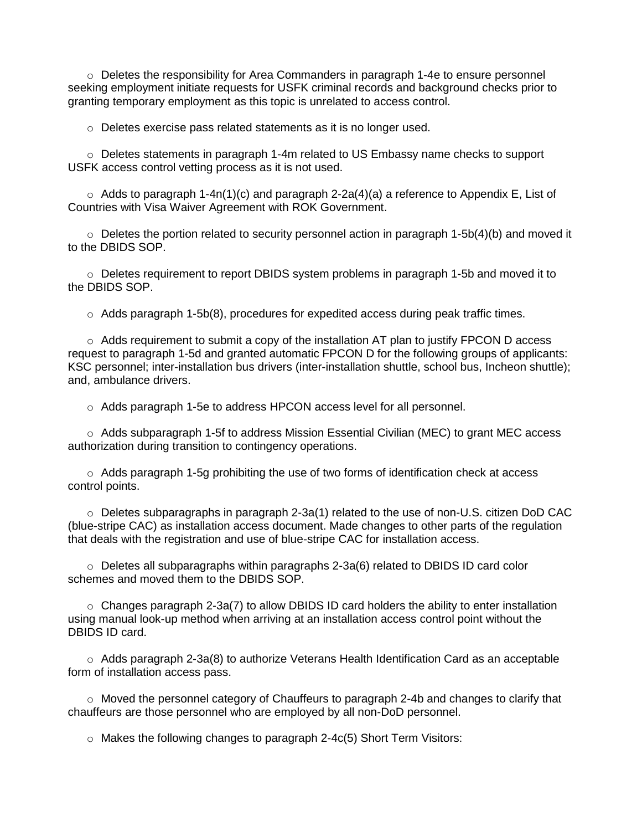o Deletes the responsibility for Area Commanders in paragraph 1-4e to ensure personnel seeking employment initiate requests for USFK criminal records and background checks prior to granting temporary employment as this topic is unrelated to access control.

o Deletes exercise pass related statements as it is no longer used.

 $\circ$  Deletes statements in paragraph 1-4m related to US Embassy name checks to support USFK access control vetting process as it is not used.

 $\circ$  Adds to paragraph 1-4n(1)(c) and paragraph 2-2a(4)(a) a reference to Appendix E, List of Countries with Visa Waiver Agreement with ROK Government.

 $\circ$  Deletes the portion related to security personnel action in paragraph 1-5b(4)(b) and moved it to the DBIDS SOP.

 $\circ$  Deletes requirement to report DBIDS system problems in paragraph 1-5b and moved it to the DBIDS SOP.

 $\circ$  Adds paragraph 1-5b(8), procedures for expedited access during peak traffic times.

 $\circ$  Adds requirement to submit a copy of the installation AT plan to justify FPCON D access request to paragraph 1-5d and granted automatic FPCON D for the following groups of applicants: KSC personnel; inter-installation bus drivers (inter-installation shuttle, school bus, Incheon shuttle); and, ambulance drivers.

o Adds paragraph 1-5e to address HPCON access level for all personnel.

o Adds subparagraph 1-5f to address Mission Essential Civilian (MEC) to grant MEC access authorization during transition to contingency operations.

 $\circ$  Adds paragraph 1-5g prohibiting the use of two forms of identification check at access control points.

o Deletes subparagraphs in paragraph 2-3a(1) related to the use of non-U.S. citizen DoD CAC (blue-stripe CAC) as installation access document. Made changes to other parts of the regulation that deals with the registration and use of blue-stripe CAC for installation access.

 $\circ$  Deletes all subparagraphs within paragraphs 2-3a(6) related to DBIDS ID card color schemes and moved them to the DBIDS SOP.

 $\circ$  Changes paragraph 2-3a(7) to allow DBIDS ID card holders the ability to enter installation using manual look-up method when arriving at an installation access control point without the DBIDS ID card.

 $\circ$  Adds paragraph 2-3a(8) to authorize Veterans Health Identification Card as an acceptable form of installation access pass.

 $\circ$  Moved the personnel category of Chauffeurs to paragraph 2-4b and changes to clarify that chauffeurs are those personnel who are employed by all non-DoD personnel.

 $\circ$  Makes the following changes to paragraph 2-4 $c(5)$  Short Term Visitors: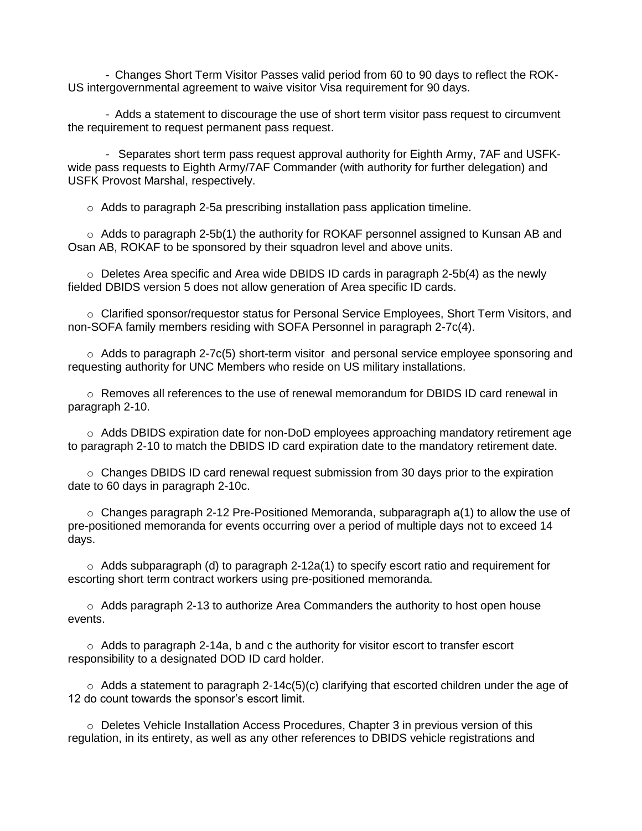- Changes Short Term Visitor Passes valid period from 60 to 90 days to reflect the ROK-US intergovernmental agreement to waive visitor Visa requirement for 90 days.

- Adds a statement to discourage the use of short term visitor pass request to circumvent the requirement to request permanent pass request.

- Separates short term pass request approval authority for Eighth Army, 7AF and USFKwide pass requests to Eighth Army/7AF Commander (with authority for further delegation) and USFK Provost Marshal, respectively.

o Adds to paragraph 2-5a prescribing installation pass application timeline.

 $\circ$  Adds to paragraph 2-5b(1) the authority for ROKAF personnel assigned to Kunsan AB and Osan AB, ROKAF to be sponsored by their squadron level and above units.

 $\circ$  Deletes Area specific and Area wide DBIDS ID cards in paragraph 2-5b(4) as the newly fielded DBIDS version 5 does not allow generation of Area specific ID cards.

o Clarified sponsor/requestor status for Personal Service Employees, Short Term Visitors, and non-SOFA family members residing with SOFA Personnel in paragraph 2-7c(4).

 $\circ$  Adds to paragraph 2-7c(5) short-term visitor and personal service employee sponsoring and requesting authority for UNC Members who reside on US military installations.

o Removes all references to the use of renewal memorandum for DBIDS ID card renewal in paragraph 2-10.

o Adds DBIDS expiration date for non-DoD employees approaching mandatory retirement age to paragraph 2-10 to match the DBIDS ID card expiration date to the mandatory retirement date.

 $\circ$  Changes DBIDS ID card renewal request submission from 30 days prior to the expiration date to 60 days in paragraph 2-10c.

 $\circ$  Changes paragraph 2-12 Pre-Positioned Memoranda, subparagraph a(1) to allow the use of pre-positioned memoranda for events occurring over a period of multiple days not to exceed 14 days.

 $\circ$  Adds subparagraph (d) to paragraph 2-12a(1) to specify escort ratio and requirement for escorting short term contract workers using pre-positioned memoranda.

o Adds paragraph 2-13 to authorize Area Commanders the authority to host open house events.

 $\circ$  Adds to paragraph 2-14a, b and c the authority for visitor escort to transfer escort responsibility to a designated DOD ID card holder.

 $\circ$  Adds a statement to paragraph 2-14c(5)(c) clarifying that escorted children under the age of 12 do count towards the sponsor's escort limit.

 $\circ$  Deletes Vehicle Installation Access Procedures, Chapter 3 in previous version of this regulation, in its entirety, as well as any other references to DBIDS vehicle registrations and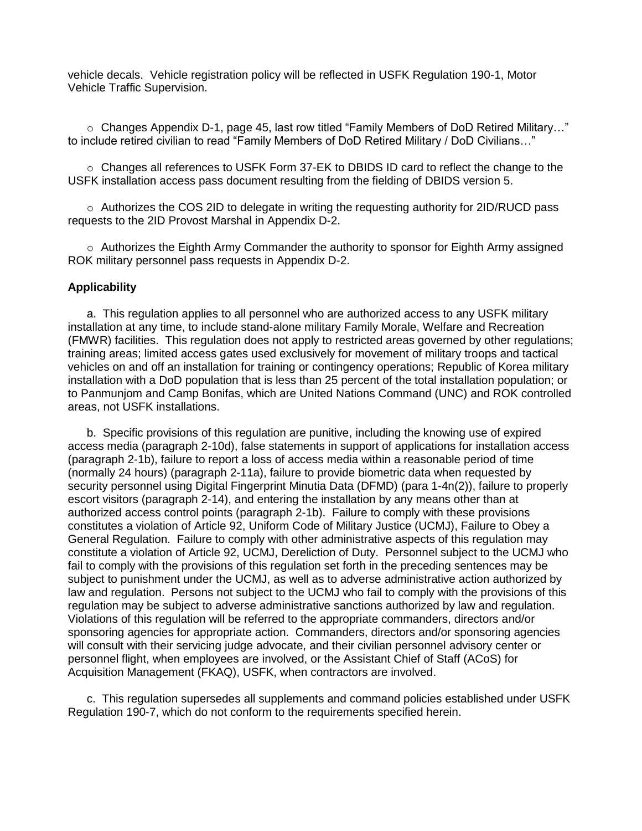vehicle decals. Vehicle registration policy will be reflected in USFK Regulation 190-1, Motor Vehicle Traffic Supervision.

o Changes Appendix D-1, page 45, last row titled "Family Members of DoD Retired Military…" to include retired civilian to read "Family Members of DoD Retired Military / DoD Civilians…"

o Changes all references to USFK Form 37-EK to DBIDS ID card to reflect the change to the USFK installation access pass document resulting from the fielding of DBIDS version 5.

 $\circ$  Authorizes the COS 2ID to delegate in writing the requesting authority for 2ID/RUCD pass requests to the 2ID Provost Marshal in Appendix D-2.

 $\circ$  Authorizes the Eighth Army Commander the authority to sponsor for Eighth Army assigned ROK military personnel pass requests in Appendix D-2.

#### **Applicability**

a. This regulation applies to all personnel who are authorized access to any USFK military installation at any time, to include stand-alone military Family Morale, Welfare and Recreation (FMWR) facilities. This regulation does not apply to restricted areas governed by other regulations; training areas; limited access gates used exclusively for movement of military troops and tactical vehicles on and off an installation for training or contingency operations; Republic of Korea military installation with a DoD population that is less than 25 percent of the total installation population; or to Panmunjom and Camp Bonifas, which are United Nations Command (UNC) and ROK controlled areas, not USFK installations.

b. Specific provisions of this regulation are punitive, including the knowing use of expired access media (paragraph 2-10d), false statements in support of applications for installation access (paragraph 2-1b), failure to report a loss of access media within a reasonable period of time (normally 24 hours) (paragraph 2-11a), failure to provide biometric data when requested by security personnel using Digital Fingerprint Minutia Data (DFMD) (para 1-4n(2)), failure to properly escort visitors (paragraph 2-14), and entering the installation by any means other than at authorized access control points (paragraph 2-1b). Failure to comply with these provisions constitutes a violation of Article 92, Uniform Code of Military Justice (UCMJ), Failure to Obey a General Regulation. Failure to comply with other administrative aspects of this regulation may constitute a violation of Article 92, UCMJ, Dereliction of Duty. Personnel subject to the UCMJ who fail to comply with the provisions of this regulation set forth in the preceding sentences may be subject to punishment under the UCMJ, as well as to adverse administrative action authorized by law and regulation. Persons not subject to the UCMJ who fail to comply with the provisions of this regulation may be subject to adverse administrative sanctions authorized by law and regulation. Violations of this regulation will be referred to the appropriate commanders, directors and/or sponsoring agencies for appropriate action. Commanders, directors and/or sponsoring agencies will consult with their servicing judge advocate, and their civilian personnel advisory center or personnel flight, when employees are involved, or the Assistant Chief of Staff (ACoS) for Acquisition Management (FKAQ), USFK, when contractors are involved.

c. This regulation supersedes all supplements and command policies established under USFK Regulation 190-7, which do not conform to the requirements specified herein.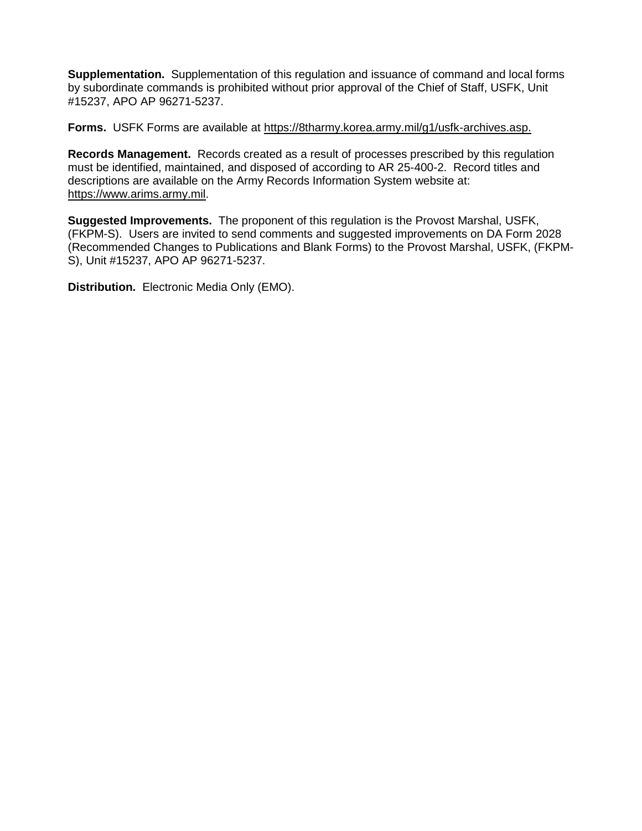**Supplementation.** Supplementation of this regulation and issuance of command and local forms by subordinate commands is prohibited without prior approval of the Chief of Staff, USFK, Unit #15237, APO AP 96271-5237.

**Forms.** USFK Forms are available at https://8tharmy.korea.army.mil/g1/usfk-archives.asp.

**Records Management.** Records created as a result of processes prescribed by this regulation must be identified, maintained, and disposed of according to AR 25-400-2. Record titles and descriptions are available on the Army Records Information System website at: [https://www.arims.army.mil.](https://www.arims.army.mil/)

**Suggested Improvements.** The proponent of this regulation is the Provost Marshal, USFK, (FKPM-S). Users are invited to send comments and suggested improvements on DA Form 2028 (Recommended Changes to Publications and Blank Forms) to the Provost Marshal, USFK, (FKPM-S), Unit #15237, APO AP 96271-5237.

**Distribution.** Electronic Media Only (EMO).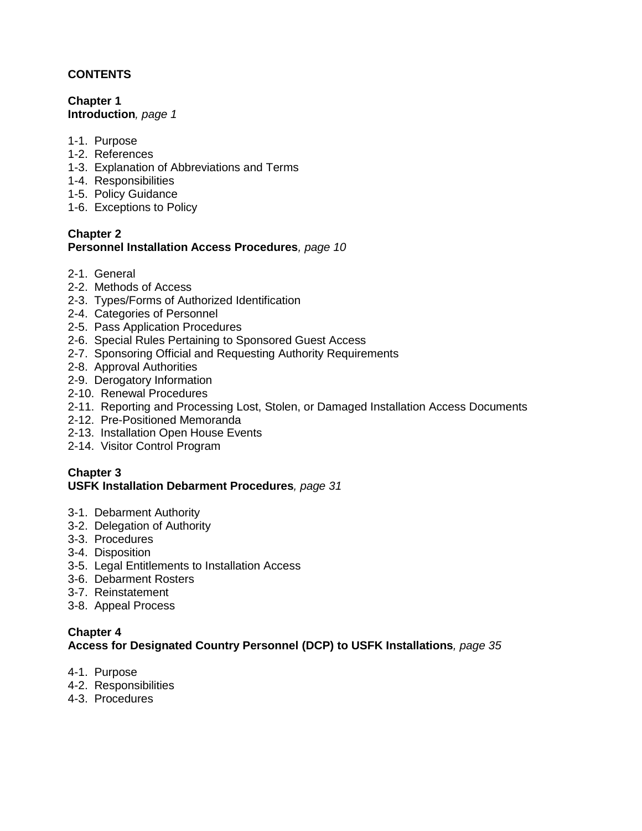## **CONTENTS**

**Chapter 1 Introduction***, page 1*

- 1-1. Purpose
- 1-2. References
- 1-3. Explanation of Abbreviations and Terms
- 1-4. Responsibilities
- 1-5. Policy Guidance
- 1-6. Exceptions to Policy

### **Chapter 2 Personnel Installation Access Procedures***, page 10*

- 2-1. General
- 2-2. Methods of Access
- 2-3. Types/Forms of Authorized Identification
- 2-4. Categories of Personnel
- 2-5. Pass Application Procedures
- 2-6. Special Rules Pertaining to Sponsored Guest Access
- 2-7. Sponsoring Official and Requesting Authority Requirements
- 2-8. Approval Authorities
- 2-9. Derogatory Information
- 2-10. Renewal Procedures
- 2-11. Reporting and Processing Lost, Stolen, or Damaged Installation Access Documents
- 2-12. Pre-Positioned Memoranda
- 2-13. Installation Open House Events
- 2-14. Visitor Control Program

#### **Chapter 3 USFK Installation Debarment Procedures***, page 31*

- 3-1. Debarment Authority
- 3-2. Delegation of Authority
- 3-3. Procedures
- 3-4. Disposition
- 3-5. Legal Entitlements to Installation Access
- 3-6. Debarment Rosters
- 3-7. Reinstatement
- 3-8. Appeal Process

# **Chapter 4 Access for Designated Country Personnel (DCP) to USFK Installations***, page 35*

- 4-1. Purpose
- 4-2. Responsibilities
- 4-3. Procedures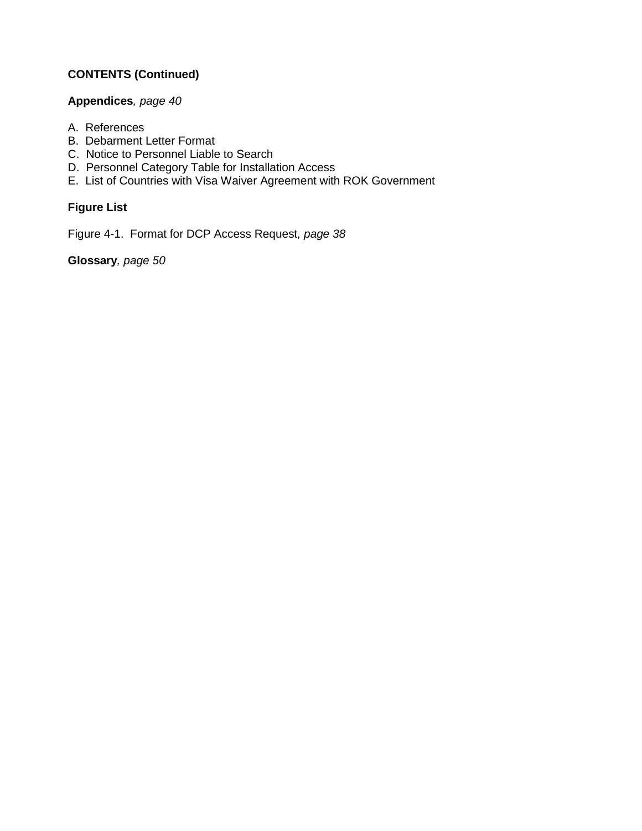## **CONTENTS (Continued)**

## **Appendices***, page 40*

- A. References
- B. Debarment Letter Format
- C. Notice to Personnel Liable to Search
- D. Personnel Category Table for Installation Access
- E. List of Countries with Visa Waiver Agreement with ROK Government

## **Figure List**

Figure 4-1. Format for DCP Access Request*, page 38*

**Glossary***, page 50*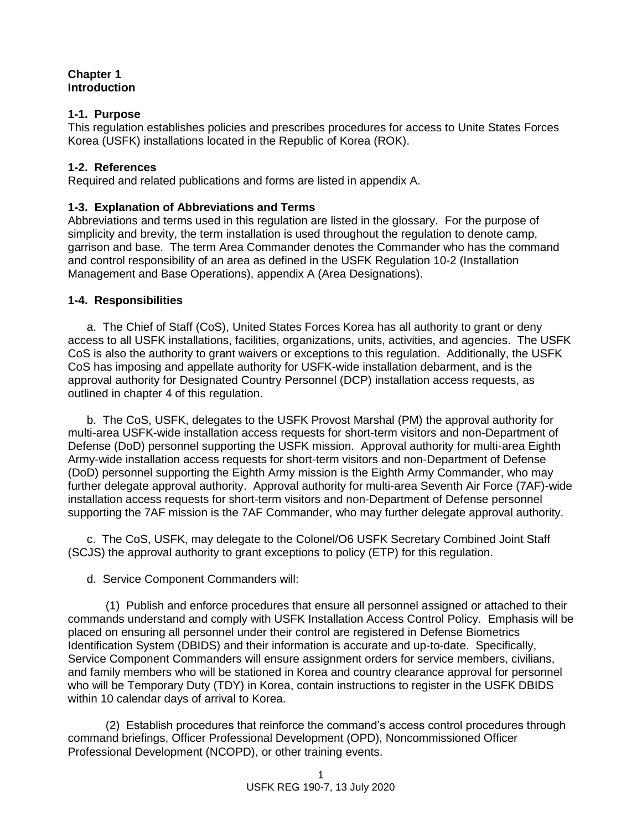### **Chapter 1 Introduction**

## **1-1. Purpose**

This regulation establishes policies and prescribes procedures for access to Unite States Forces Korea (USFK) installations located in the Republic of Korea (ROK).

## **1-2. References**

Required and related publications and forms are listed in appendix A.

## **1-3. Explanation of Abbreviations and Terms**

Abbreviations and terms used in this regulation are listed in the glossary. For the purpose of simplicity and brevity, the term installation is used throughout the regulation to denote camp, garrison and base. The term Area Commander denotes the Commander who has the command and control responsibility of an area as defined in the USFK Regulation 10-2 (Installation Management and Base Operations), appendix A (Area Designations).

## **1-4. Responsibilities**

a. The Chief of Staff (CoS), United States Forces Korea has all authority to grant or deny access to all USFK installations, facilities, organizations, units, activities, and agencies. The USFK CoS is also the authority to grant waivers or exceptions to this regulation. Additionally, the USFK CoS has imposing and appellate authority for USFK-wide installation debarment, and is the approval authority for Designated Country Personnel (DCP) installation access requests, as outlined in chapter 4 of this regulation.

b. The CoS, USFK, delegates to the USFK Provost Marshal (PM) the approval authority for multi-area USFK-wide installation access requests for short-term visitors and non-Department of Defense (DoD) personnel supporting the USFK mission. Approval authority for multi-area Eighth Army-wide installation access requests for short-term visitors and non-Department of Defense (DoD) personnel supporting the Eighth Army mission is the Eighth Army Commander, who may further delegate approval authority. Approval authority for multi-area Seventh Air Force (7AF)-wide installation access requests for short-term visitors and non-Department of Defense personnel supporting the 7AF mission is the 7AF Commander, who may further delegate approval authority.

c. The CoS, USFK, may delegate to the Colonel/O6 USFK Secretary Combined Joint Staff (SCJS) the approval authority to grant exceptions to policy (ETP) for this regulation.

d. Service Component Commanders will:

(1) Publish and enforce procedures that ensure all personnel assigned or attached to their commands understand and comply with USFK Installation Access Control Policy. Emphasis will be placed on ensuring all personnel under their control are registered in Defense Biometrics Identification System (DBIDS) and their information is accurate and up-to-date. Specifically, Service Component Commanders will ensure assignment orders for service members, civilians, and family members who will be stationed in Korea and country clearance approval for personnel who will be Temporary Duty (TDY) in Korea, contain instructions to register in the USFK DBIDS within 10 calendar days of arrival to Korea.

(2) Establish procedures that reinforce the command's access control procedures through command briefings, Officer Professional Development (OPD), Noncommissioned Officer Professional Development (NCOPD), or other training events.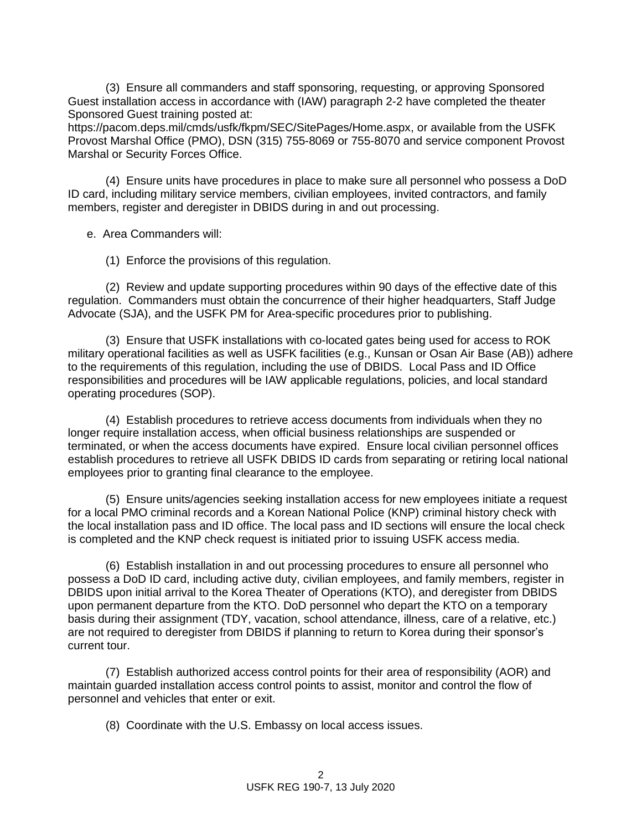(3) Ensure all commanders and staff sponsoring, requesting, or approving Sponsored Guest installation access in accordance with (IAW) paragraph 2-2 have completed the theater Sponsored Guest training posted at:

https://pacom.deps.mil/cmds/usfk/fkpm/SEC/SitePages/Home.aspx, or available from the USFK Provost Marshal Office (PMO), DSN (315) 755-8069 or 755-8070 and service component Provost Marshal or Security Forces Office.

(4) Ensure units have procedures in place to make sure all personnel who possess a DoD ID card, including military service members, civilian employees, invited contractors, and family members, register and deregister in DBIDS during in and out processing.

e. Area Commanders will:

(1) Enforce the provisions of this regulation.

(2) Review and update supporting procedures within 90 days of the effective date of this regulation. Commanders must obtain the concurrence of their higher headquarters, Staff Judge Advocate (SJA), and the USFK PM for Area-specific procedures prior to publishing.

(3) Ensure that USFK installations with co-located gates being used for access to ROK military operational facilities as well as USFK facilities (e.g., Kunsan or Osan Air Base (AB)) adhere to the requirements of this regulation, including the use of DBIDS. Local Pass and ID Office responsibilities and procedures will be IAW applicable regulations, policies, and local standard operating procedures (SOP).

(4) Establish procedures to retrieve access documents from individuals when they no longer require installation access, when official business relationships are suspended or terminated, or when the access documents have expired. Ensure local civilian personnel offices establish procedures to retrieve all USFK DBIDS ID cards from separating or retiring local national employees prior to granting final clearance to the employee.

(5) Ensure units/agencies seeking installation access for new employees initiate a request for a local PMO criminal records and a Korean National Police (KNP) criminal history check with the local installation pass and ID office. The local pass and ID sections will ensure the local check is completed and the KNP check request is initiated prior to issuing USFK access media.

(6) Establish installation in and out processing procedures to ensure all personnel who possess a DoD ID card, including active duty, civilian employees, and family members, register in DBIDS upon initial arrival to the Korea Theater of Operations (KTO), and deregister from DBIDS upon permanent departure from the KTO. DoD personnel who depart the KTO on a temporary basis during their assignment (TDY, vacation, school attendance, illness, care of a relative, etc.) are not required to deregister from DBIDS if planning to return to Korea during their sponsor's current tour.

(7) Establish authorized access control points for their area of responsibility (AOR) and maintain guarded installation access control points to assist, monitor and control the flow of personnel and vehicles that enter or exit.

(8) Coordinate with the U.S. Embassy on local access issues.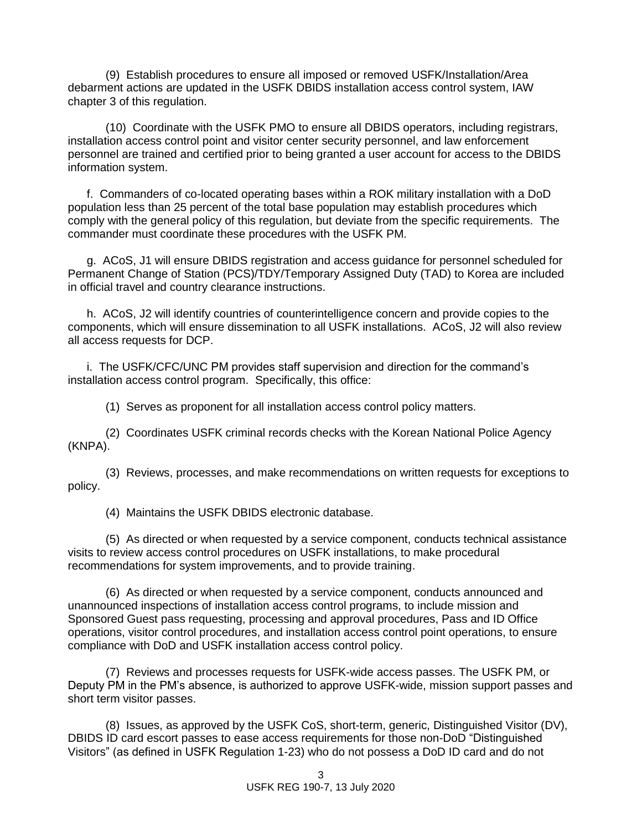(9) Establish procedures to ensure all imposed or removed USFK/Installation/Area debarment actions are updated in the USFK DBIDS installation access control system, IAW chapter 3 of this regulation.

(10) Coordinate with the USFK PMO to ensure all DBIDS operators, including registrars, installation access control point and visitor center security personnel, and law enforcement personnel are trained and certified prior to being granted a user account for access to the DBIDS information system.

f. Commanders of co-located operating bases within a ROK military installation with a DoD population less than 25 percent of the total base population may establish procedures which comply with the general policy of this regulation, but deviate from the specific requirements. The commander must coordinate these procedures with the USFK PM.

g. ACoS, J1 will ensure DBIDS registration and access guidance for personnel scheduled for Permanent Change of Station (PCS)/TDY/Temporary Assigned Duty (TAD) to Korea are included in official travel and country clearance instructions.

h. ACoS, J2 will identify countries of counterintelligence concern and provide copies to the components, which will ensure dissemination to all USFK installations. ACoS, J2 will also review all access requests for DCP.

i. The USFK/CFC/UNC PM provides staff supervision and direction for the command's installation access control program. Specifically, this office:

(1) Serves as proponent for all installation access control policy matters.

(2) Coordinates USFK criminal records checks with the Korean National Police Agency (KNPA).

(3) Reviews, processes, and make recommendations on written requests for exceptions to policy.

(4) Maintains the USFK DBIDS electronic database.

(5) As directed or when requested by a service component, conducts technical assistance visits to review access control procedures on USFK installations, to make procedural recommendations for system improvements, and to provide training.

(6) As directed or when requested by a service component, conducts announced and unannounced inspections of installation access control programs, to include mission and Sponsored Guest pass requesting, processing and approval procedures, Pass and ID Office operations, visitor control procedures, and installation access control point operations, to ensure compliance with DoD and USFK installation access control policy.

(7) Reviews and processes requests for USFK-wide access passes. The USFK PM, or Deputy PM in the PM's absence, is authorized to approve USFK-wide, mission support passes and short term visitor passes.

(8) Issues, as approved by the USFK CoS, short-term, generic, Distinguished Visitor (DV), DBIDS ID card escort passes to ease access requirements for those non-DoD "Distinguished Visitors" (as defined in USFK Regulation 1-23) who do not possess a DoD ID card and do not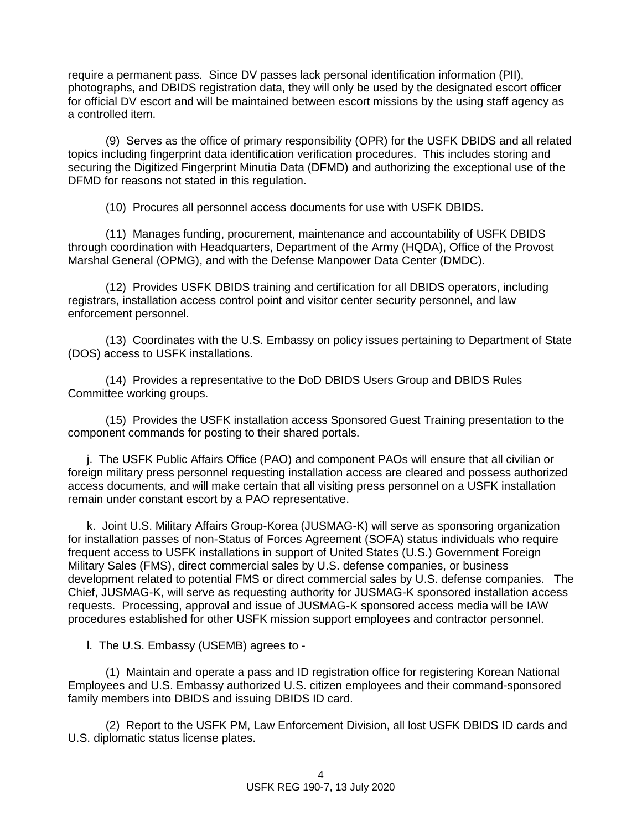require a permanent pass. Since DV passes lack personal identification information (PII), photographs, and DBIDS registration data, they will only be used by the designated escort officer for official DV escort and will be maintained between escort missions by the using staff agency as a controlled item.

(9) Serves as the office of primary responsibility (OPR) for the USFK DBIDS and all related topics including fingerprint data identification verification procedures. This includes storing and securing the Digitized Fingerprint Minutia Data (DFMD) and authorizing the exceptional use of the DFMD for reasons not stated in this regulation.

(10) Procures all personnel access documents for use with USFK DBIDS.

(11) Manages funding, procurement, maintenance and accountability of USFK DBIDS through coordination with Headquarters, Department of the Army (HQDA), Office of the Provost Marshal General (OPMG), and with the Defense Manpower Data Center (DMDC).

(12) Provides USFK DBIDS training and certification for all DBIDS operators, including registrars, installation access control point and visitor center security personnel, and law enforcement personnel.

(13) Coordinates with the U.S. Embassy on policy issues pertaining to Department of State (DOS) access to USFK installations.

(14) Provides a representative to the DoD DBIDS Users Group and DBIDS Rules Committee working groups.

(15) Provides the USFK installation access Sponsored Guest Training presentation to the component commands for posting to their shared portals.

j. The USFK Public Affairs Office (PAO) and component PAOs will ensure that all civilian or foreign military press personnel requesting installation access are cleared and possess authorized access documents, and will make certain that all visiting press personnel on a USFK installation remain under constant escort by a PAO representative.

k. Joint U.S. Military Affairs Group-Korea (JUSMAG-K) will serve as sponsoring organization for installation passes of non-Status of Forces Agreement (SOFA) status individuals who require frequent access to USFK installations in support of United States (U.S.) Government Foreign Military Sales (FMS), direct commercial sales by U.S. defense companies, or business development related to potential FMS or direct commercial sales by U.S. defense companies. The Chief, JUSMAG-K, will serve as requesting authority for JUSMAG-K sponsored installation access requests. Processing, approval and issue of JUSMAG-K sponsored access media will be IAW procedures established for other USFK mission support employees and contractor personnel.

l. The U.S. Embassy (USEMB) agrees to -

(1) Maintain and operate a pass and ID registration office for registering Korean National Employees and U.S. Embassy authorized U.S. citizen employees and their command-sponsored family members into DBIDS and issuing DBIDS ID card.

(2) Report to the USFK PM, Law Enforcement Division, all lost USFK DBIDS ID cards and U.S. diplomatic status license plates.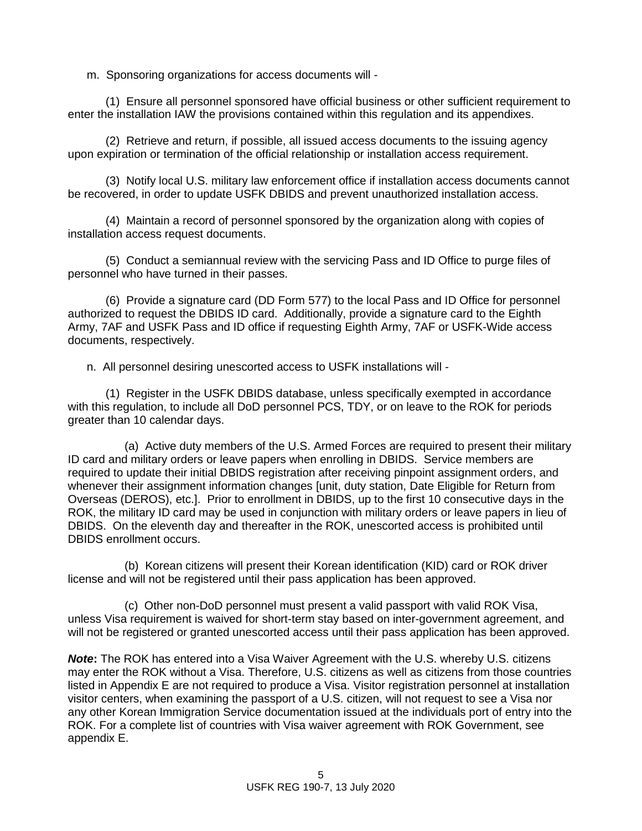m. Sponsoring organizations for access documents will -

(1) Ensure all personnel sponsored have official business or other sufficient requirement to enter the installation IAW the provisions contained within this regulation and its appendixes.

(2) Retrieve and return, if possible, all issued access documents to the issuing agency upon expiration or termination of the official relationship or installation access requirement.

(3) Notify local U.S. military law enforcement office if installation access documents cannot be recovered, in order to update USFK DBIDS and prevent unauthorized installation access.

(4) Maintain a record of personnel sponsored by the organization along with copies of installation access request documents.

(5) Conduct a semiannual review with the servicing Pass and ID Office to purge files of personnel who have turned in their passes.

(6) Provide a signature card (DD Form 577) to the local Pass and ID Office for personnel authorized to request the DBIDS ID card. Additionally, provide a signature card to the Eighth Army, 7AF and USFK Pass and ID office if requesting Eighth Army, 7AF or USFK-Wide access documents, respectively.

n. All personnel desiring unescorted access to USFK installations will -

(1) Register in the USFK DBIDS database, unless specifically exempted in accordance with this regulation, to include all DoD personnel PCS, TDY, or on leave to the ROK for periods greater than 10 calendar days.

(a) Active duty members of the U.S. Armed Forces are required to present their military ID card and military orders or leave papers when enrolling in DBIDS. Service members are required to update their initial DBIDS registration after receiving pinpoint assignment orders, and whenever their assignment information changes [unit, duty station, Date Eligible for Return from Overseas (DEROS), etc.]. Prior to enrollment in DBIDS, up to the first 10 consecutive days in the ROK, the military ID card may be used in conjunction with military orders or leave papers in lieu of DBIDS. On the eleventh day and thereafter in the ROK, unescorted access is prohibited until DBIDS enrollment occurs.

(b) Korean citizens will present their Korean identification (KID) card or ROK driver license and will not be registered until their pass application has been approved.

(c) Other non-DoD personnel must present a valid passport with valid ROK Visa, unless Visa requirement is waived for short-term stay based on inter-government agreement, and will not be registered or granted unescorted access until their pass application has been approved.

*Note***:** The ROK has entered into a Visa Waiver Agreement with the U.S. whereby U.S. citizens may enter the ROK without a Visa. Therefore, U.S. citizens as well as citizens from those countries listed in Appendix E are not required to produce a Visa. Visitor registration personnel at installation visitor centers, when examining the passport of a U.S. citizen, will not request to see a Visa nor any other Korean Immigration Service documentation issued at the individuals port of entry into the ROK. For a complete list of countries with Visa waiver agreement with ROK Government, see appendix E.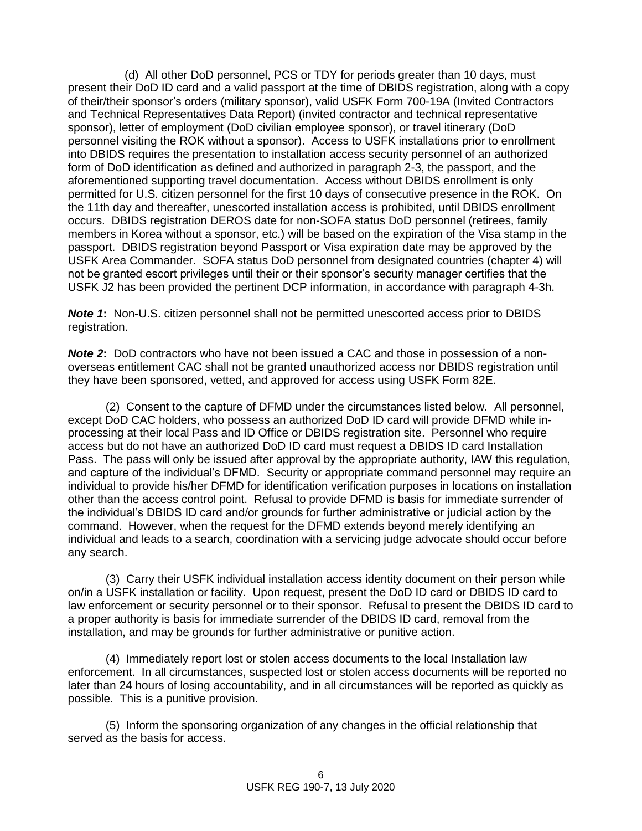(d) All other DoD personnel, PCS or TDY for periods greater than 10 days, must present their DoD ID card and a valid passport at the time of DBIDS registration, along with a copy of their/their sponsor's orders (military sponsor), valid USFK Form 700-19A (Invited Contractors and Technical Representatives Data Report) (invited contractor and technical representative sponsor), letter of employment (DoD civilian employee sponsor), or travel itinerary (DoD personnel visiting the ROK without a sponsor). Access to USFK installations prior to enrollment into DBIDS requires the presentation to installation access security personnel of an authorized form of DoD identification as defined and authorized in paragraph 2-3, the passport, and the aforementioned supporting travel documentation. Access without DBIDS enrollment is only permitted for U.S. citizen personnel for the first 10 days of consecutive presence in the ROK. On the 11th day and thereafter, unescorted installation access is prohibited, until DBIDS enrollment occurs. DBIDS registration DEROS date for non-SOFA status DoD personnel (retirees, family members in Korea without a sponsor, etc.) will be based on the expiration of the Visa stamp in the passport. DBIDS registration beyond Passport or Visa expiration date may be approved by the USFK Area Commander. SOFA status DoD personnel from designated countries (chapter 4) will not be granted escort privileges until their or their sponsor's security manager certifies that the USFK J2 has been provided the pertinent DCP information, in accordance with paragraph 4-3h.

*Note 1***:** Non-U.S. citizen personnel shall not be permitted unescorted access prior to DBIDS registration.

*Note 2***:**DoD contractors who have not been issued a CAC and those in possession of a nonoverseas entitlement CAC shall not be granted unauthorized access nor DBIDS registration until they have been sponsored, vetted, and approved for access using USFK Form 82E.

(2) Consent to the capture of DFMD under the circumstances listed below. All personnel, except DoD CAC holders, who possess an authorized DoD ID card will provide DFMD while inprocessing at their local Pass and ID Office or DBIDS registration site. Personnel who require access but do not have an authorized DoD ID card must request a DBIDS ID card Installation Pass. The pass will only be issued after approval by the appropriate authority, IAW this regulation, and capture of the individual's DFMD. Security or appropriate command personnel may require an individual to provide his/her DFMD for identification verification purposes in locations on installation other than the access control point. Refusal to provide DFMD is basis for immediate surrender of the individual's DBIDS ID card and/or grounds for further administrative or judicial action by the command. However, when the request for the DFMD extends beyond merely identifying an individual and leads to a search, coordination with a servicing judge advocate should occur before any search.

(3) Carry their USFK individual installation access identity document on their person while on/in a USFK installation or facility. Upon request, present the DoD ID card or DBIDS ID card to law enforcement or security personnel or to their sponsor. Refusal to present the DBIDS ID card to a proper authority is basis for immediate surrender of the DBIDS ID card, removal from the installation, and may be grounds for further administrative or punitive action.

(4) Immediately report lost or stolen access documents to the local Installation law enforcement. In all circumstances, suspected lost or stolen access documents will be reported no later than 24 hours of losing accountability, and in all circumstances will be reported as quickly as possible. This is a punitive provision.

(5) Inform the sponsoring organization of any changes in the official relationship that served as the basis for access.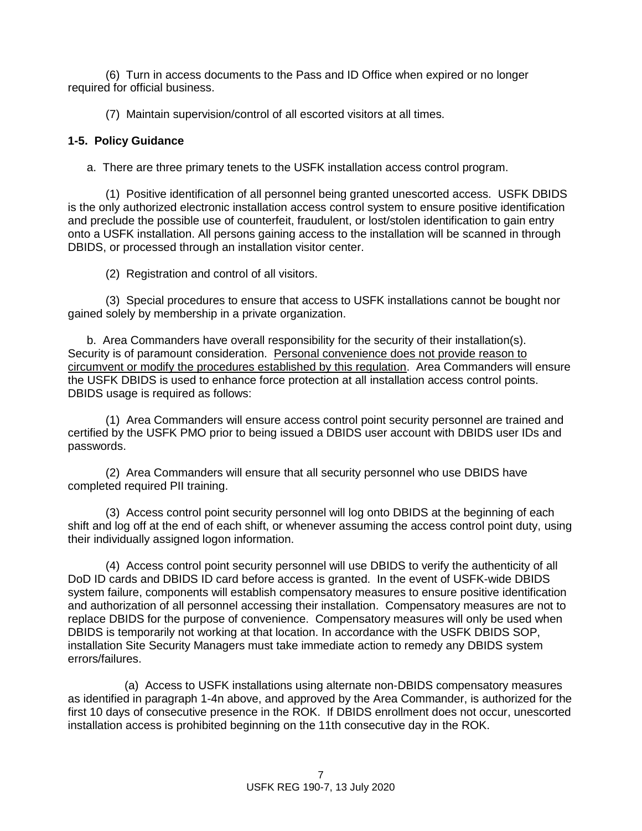(6) Turn in access documents to the Pass and ID Office when expired or no longer required for official business.

(7) Maintain supervision/control of all escorted visitors at all times.

## **1-5. Policy Guidance**

a. There are three primary tenets to the USFK installation access control program.

(1) Positive identification of all personnel being granted unescorted access. USFK DBIDS is the only authorized electronic installation access control system to ensure positive identification and preclude the possible use of counterfeit, fraudulent, or lost/stolen identification to gain entry onto a USFK installation. All persons gaining access to the installation will be scanned in through DBIDS, or processed through an installation visitor center.

(2) Registration and control of all visitors.

(3) Special procedures to ensure that access to USFK installations cannot be bought nor gained solely by membership in a private organization.

b. Area Commanders have overall responsibility for the security of their installation(s). Security is of paramount consideration. Personal convenience does not provide reason to circumvent or modify the procedures established by this regulation. Area Commanders will ensure the USFK DBIDS is used to enhance force protection at all installation access control points. DBIDS usage is required as follows:

(1) Area Commanders will ensure access control point security personnel are trained and certified by the USFK PMO prior to being issued a DBIDS user account with DBIDS user IDs and passwords.

(2) Area Commanders will ensure that all security personnel who use DBIDS have completed required PII training.

(3) Access control point security personnel will log onto DBIDS at the beginning of each shift and log off at the end of each shift, or whenever assuming the access control point duty, using their individually assigned logon information.

(4) Access control point security personnel will use DBIDS to verify the authenticity of all DoD ID cards and DBIDS ID card before access is granted. In the event of USFK-wide DBIDS system failure, components will establish compensatory measures to ensure positive identification and authorization of all personnel accessing their installation. Compensatory measures are not to replace DBIDS for the purpose of convenience. Compensatory measures will only be used when DBIDS is temporarily not working at that location. In accordance with the USFK DBIDS SOP, installation Site Security Managers must take immediate action to remedy any DBIDS system errors/failures.

(a) Access to USFK installations using alternate non-DBIDS compensatory measures as identified in paragraph 1-4n above, and approved by the Area Commander, is authorized for the first 10 days of consecutive presence in the ROK. If DBIDS enrollment does not occur, unescorted installation access is prohibited beginning on the 11th consecutive day in the ROK.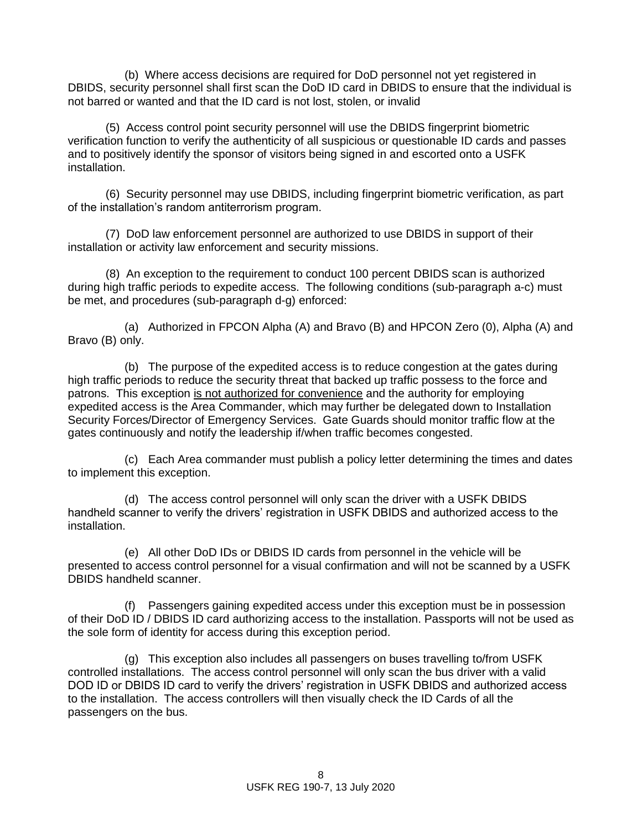(b) Where access decisions are required for DoD personnel not yet registered in DBIDS, security personnel shall first scan the DoD ID card in DBIDS to ensure that the individual is not barred or wanted and that the ID card is not lost, stolen, or invalid

(5) Access control point security personnel will use the DBIDS fingerprint biometric verification function to verify the authenticity of all suspicious or questionable ID cards and passes and to positively identify the sponsor of visitors being signed in and escorted onto a USFK installation.

(6) Security personnel may use DBIDS, including fingerprint biometric verification, as part of the installation's random antiterrorism program.

(7) DoD law enforcement personnel are authorized to use DBIDS in support of their installation or activity law enforcement and security missions.

(8) An exception to the requirement to conduct 100 percent DBIDS scan is authorized during high traffic periods to expedite access. The following conditions (sub-paragraph a-c) must be met, and procedures (sub-paragraph d-g) enforced:

(a) Authorized in FPCON Alpha (A) and Bravo (B) and HPCON Zero (0), Alpha (A) and Bravo (B) only.

(b) The purpose of the expedited access is to reduce congestion at the gates during high traffic periods to reduce the security threat that backed up traffic possess to the force and patrons. This exception is not authorized for convenience and the authority for employing expedited access is the Area Commander, which may further be delegated down to Installation Security Forces/Director of Emergency Services. Gate Guards should monitor traffic flow at the gates continuously and notify the leadership if/when traffic becomes congested.

(c) Each Area commander must publish a policy letter determining the times and dates to implement this exception.

(d) The access control personnel will only scan the driver with a USFK DBIDS handheld scanner to verify the drivers' registration in USFK DBIDS and authorized access to the installation.

(e) All other DoD IDs or DBIDS ID cards from personnel in the vehicle will be presented to access control personnel for a visual confirmation and will not be scanned by a USFK DBIDS handheld scanner.

(f) Passengers gaining expedited access under this exception must be in possession of their DoD ID / DBIDS ID card authorizing access to the installation. Passports will not be used as the sole form of identity for access during this exception period.

(g) This exception also includes all passengers on buses travelling to/from USFK controlled installations. The access control personnel will only scan the bus driver with a valid DOD ID or DBIDS ID card to verify the drivers' registration in USFK DBIDS and authorized access to the installation. The access controllers will then visually check the ID Cards of all the passengers on the bus.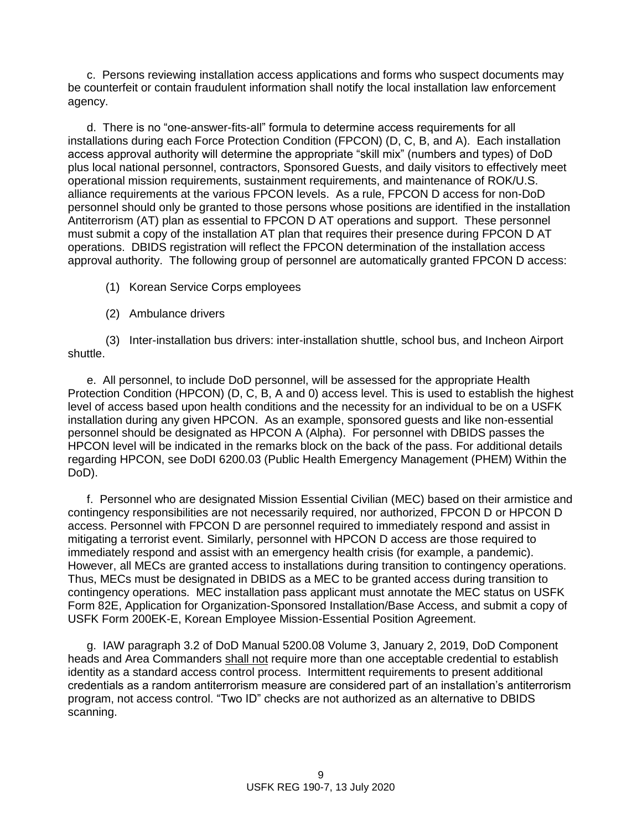c. Persons reviewing installation access applications and forms who suspect documents may be counterfeit or contain fraudulent information shall notify the local installation law enforcement agency.

d. There is no "one-answer-fits-all" formula to determine access requirements for all installations during each Force Protection Condition (FPCON) (D, C, B, and A). Each installation access approval authority will determine the appropriate "skill mix" (numbers and types) of DoD plus local national personnel, contractors, Sponsored Guests, and daily visitors to effectively meet operational mission requirements, sustainment requirements, and maintenance of ROK/U.S. alliance requirements at the various FPCON levels. As a rule, FPCON D access for non-DoD personnel should only be granted to those persons whose positions are identified in the installation Antiterrorism (AT) plan as essential to FPCON D AT operations and support. These personnel must submit a copy of the installation AT plan that requires their presence during FPCON D AT operations. DBIDS registration will reflect the FPCON determination of the installation access approval authority. The following group of personnel are automatically granted FPCON D access:

- (1) Korean Service Corps employees
- (2) Ambulance drivers

(3) Inter-installation bus drivers: inter-installation shuttle, school bus, and Incheon Airport shuttle.

e. All personnel, to include DoD personnel, will be assessed for the appropriate Health Protection Condition (HPCON) (D, C, B, A and 0) access level. This is used to establish the highest level of access based upon health conditions and the necessity for an individual to be on a USFK installation during any given HPCON. As an example, sponsored guests and like non-essential personnel should be designated as HPCON A (Alpha). For personnel with DBIDS passes the HPCON level will be indicated in the remarks block on the back of the pass. For additional details regarding HPCON, see DoDI 6200.03 (Public Health Emergency Management (PHEM) Within the DoD).

f. Personnel who are designated Mission Essential Civilian (MEC) based on their armistice and contingency responsibilities are not necessarily required, nor authorized, FPCON D or HPCON D access. Personnel with FPCON D are personnel required to immediately respond and assist in mitigating a terrorist event. Similarly, personnel with HPCON D access are those required to immediately respond and assist with an emergency health crisis (for example, a pandemic). However, all MECs are granted access to installations during transition to contingency operations. Thus, MECs must be designated in DBIDS as a MEC to be granted access during transition to contingency operations. MEC installation pass applicant must annotate the MEC status on USFK Form 82E, Application for Organization-Sponsored Installation/Base Access, and submit a copy of USFK Form 200EK-E, Korean Employee Mission-Essential Position Agreement.

g. IAW paragraph 3.2 of DoD Manual 5200.08 Volume 3, January 2, 2019, DoD Component heads and Area Commanders shall not require more than one acceptable credential to establish identity as a standard access control process. Intermittent requirements to present additional credentials as a random antiterrorism measure are considered part of an installation's antiterrorism program, not access control. "Two ID" checks are not authorized as an alternative to DBIDS scanning.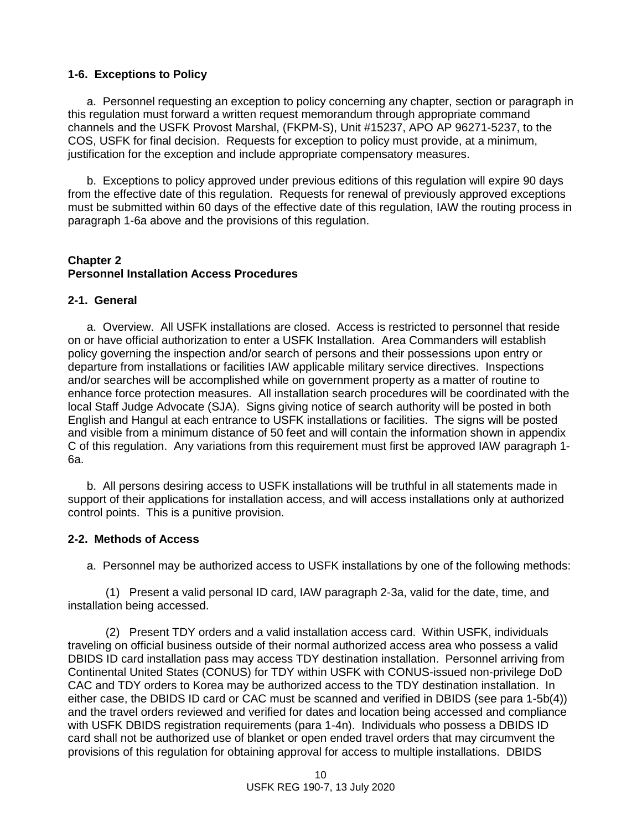### **1-6. Exceptions to Policy**

a. Personnel requesting an exception to policy concerning any chapter, section or paragraph in this regulation must forward a written request memorandum through appropriate command channels and the USFK Provost Marshal, (FKPM-S), Unit #15237, APO AP 96271-5237, to the COS, USFK for final decision. Requests for exception to policy must provide, at a minimum, justification for the exception and include appropriate compensatory measures.

b. Exceptions to policy approved under previous editions of this regulation will expire 90 days from the effective date of this regulation. Requests for renewal of previously approved exceptions must be submitted within 60 days of the effective date of this regulation, IAW the routing process in paragraph 1-6a above and the provisions of this regulation.

#### **Chapter 2 Personnel Installation Access Procedures**

### **2-1. General**

a. Overview. All USFK installations are closed. Access is restricted to personnel that reside on or have official authorization to enter a USFK Installation. Area Commanders will establish policy governing the inspection and/or search of persons and their possessions upon entry or departure from installations or facilities IAW applicable military service directives. Inspections and/or searches will be accomplished while on government property as a matter of routine to enhance force protection measures. All installation search procedures will be coordinated with the local Staff Judge Advocate (SJA). Signs giving notice of search authority will be posted in both English and Hangul at each entrance to USFK installations or facilities. The signs will be posted and visible from a minimum distance of 50 feet and will contain the information shown in appendix C of this regulation. Any variations from this requirement must first be approved IAW paragraph 1- 6a.

b. All persons desiring access to USFK installations will be truthful in all statements made in support of their applications for installation access, and will access installations only at authorized control points. This is a punitive provision.

#### **2-2. Methods of Access**

a. Personnel may be authorized access to USFK installations by one of the following methods:

(1) Present a valid personal ID card, IAW paragraph 2-3a, valid for the date, time, and installation being accessed.

(2) Present TDY orders and a valid installation access card. Within USFK, individuals traveling on official business outside of their normal authorized access area who possess a valid DBIDS ID card installation pass may access TDY destination installation. Personnel arriving from Continental United States (CONUS) for TDY within USFK with CONUS-issued non-privilege DoD CAC and TDY orders to Korea may be authorized access to the TDY destination installation. In either case, the DBIDS ID card or CAC must be scanned and verified in DBIDS (see para 1-5b(4)) and the travel orders reviewed and verified for dates and location being accessed and compliance with USFK DBIDS registration requirements (para 1-4n). Individuals who possess a DBIDS ID card shall not be authorized use of blanket or open ended travel orders that may circumvent the provisions of this regulation for obtaining approval for access to multiple installations. DBIDS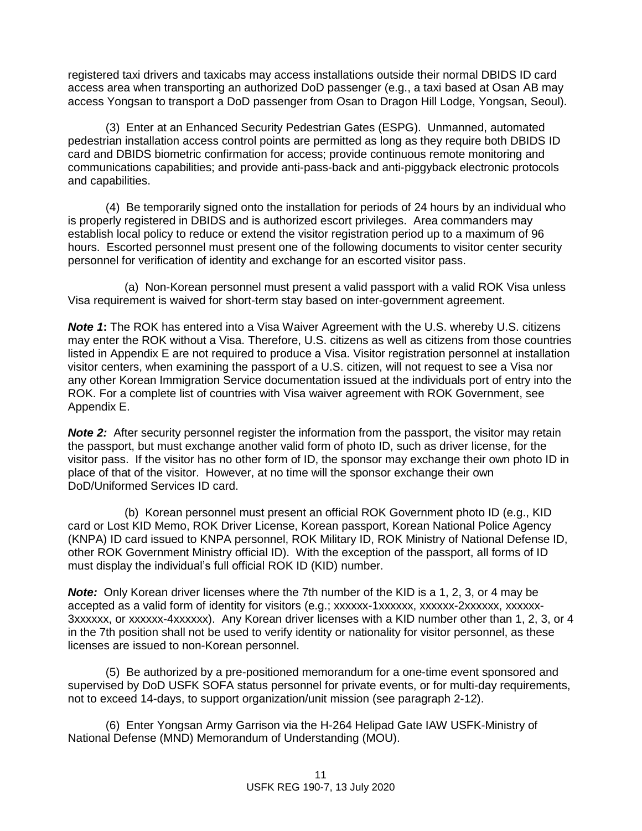registered taxi drivers and taxicabs may access installations outside their normal DBIDS ID card access area when transporting an authorized DoD passenger (e.g., a taxi based at Osan AB may access Yongsan to transport a DoD passenger from Osan to Dragon Hill Lodge, Yongsan, Seoul).

(3) Enter at an Enhanced Security Pedestrian Gates (ESPG). Unmanned, automated pedestrian installation access control points are permitted as long as they require both DBIDS ID card and DBIDS biometric confirmation for access; provide continuous remote monitoring and communications capabilities; and provide anti-pass-back and anti-piggyback electronic protocols and capabilities.

(4) Be temporarily signed onto the installation for periods of 24 hours by an individual who is properly registered in DBIDS and is authorized escort privileges. Area commanders may establish local policy to reduce or extend the visitor registration period up to a maximum of 96 hours. Escorted personnel must present one of the following documents to visitor center security personnel for verification of identity and exchange for an escorted visitor pass.

(a) Non-Korean personnel must present a valid passport with a valid ROK Visa unless Visa requirement is waived for short-term stay based on inter-government agreement.

*Note 1***:** The ROK has entered into a Visa Waiver Agreement with the U.S. whereby U.S. citizens may enter the ROK without a Visa. Therefore, U.S. citizens as well as citizens from those countries listed in Appendix E are not required to produce a Visa. Visitor registration personnel at installation visitor centers, when examining the passport of a U.S. citizen, will not request to see a Visa nor any other Korean Immigration Service documentation issued at the individuals port of entry into the ROK. For a complete list of countries with Visa waiver agreement with ROK Government, see Appendix E.

**Note 2:** After security personnel register the information from the passport, the visitor may retain the passport, but must exchange another valid form of photo ID, such as driver license, for the visitor pass. If the visitor has no other form of ID, the sponsor may exchange their own photo ID in place of that of the visitor. However, at no time will the sponsor exchange their own DoD/Uniformed Services ID card.

(b) Korean personnel must present an official ROK Government photo ID (e.g., KID card or Lost KID Memo, ROK Driver License, Korean passport, Korean National Police Agency (KNPA) ID card issued to KNPA personnel, ROK Military ID, ROK Ministry of National Defense ID, other ROK Government Ministry official ID). With the exception of the passport, all forms of ID must display the individual's full official ROK ID (KID) number.

*Note:* Only Korean driver licenses where the 7th number of the KID is a 1, 2, 3, or 4 may be accepted as a valid form of identity for visitors (e.g.; xxxxxx-1xxxxxx, xxxxxx-2xxxxxx, xxxxxx-3xxxxxx, or xxxxxx-4xxxxxx). Any Korean driver licenses with a KID number other than 1, 2, 3, or 4 in the 7th position shall not be used to verify identity or nationality for visitor personnel, as these licenses are issued to non-Korean personnel.

(5) Be authorized by a pre-positioned memorandum for a one-time event sponsored and supervised by DoD USFK SOFA status personnel for private events, or for multi-day requirements, not to exceed 14-days, to support organization/unit mission (see paragraph 2-12).

(6) Enter Yongsan Army Garrison via the H-264 Helipad Gate IAW USFK-Ministry of National Defense (MND) Memorandum of Understanding (MOU).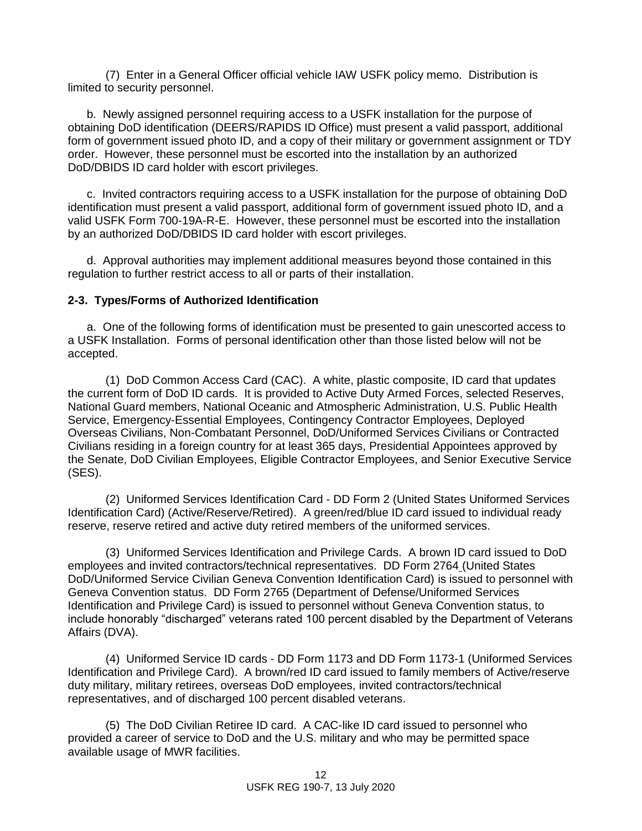(7) Enter in a General Officer official vehicle IAW USFK policy memo. Distribution is limited to security personnel.

b. Newly assigned personnel requiring access to a USFK installation for the purpose of obtaining DoD identification (DEERS/RAPIDS ID Office) must present a valid passport, additional form of government issued photo ID, and a copy of their military or government assignment or TDY order. However, these personnel must be escorted into the installation by an authorized DoD/DBIDS ID card holder with escort privileges.

c. Invited contractors requiring access to a USFK installation for the purpose of obtaining DoD identification must present a valid passport, additional form of government issued photo ID, and a valid USFK Form 700-19A-R-E. However, these personnel must be escorted into the installation by an authorized DoD/DBIDS ID card holder with escort privileges.

d. Approval authorities may implement additional measures beyond those contained in this regulation to further restrict access to all or parts of their installation.

#### **2-3. Types/Forms of Authorized Identification**

a. One of the following forms of identification must be presented to gain unescorted access to a USFK Installation. Forms of personal identification other than those listed below will not be accepted.

(1) DoD Common Access Card (CAC). A white, plastic composite, ID card that updates the current form of DoD ID cards. It is provided to Active Duty Armed Forces, selected Reserves, National Guard members, National Oceanic and Atmospheric Administration, U.S. Public Health Service, Emergency-Essential Employees, Contingency Contractor Employees, Deployed Overseas Civilians, Non-Combatant Personnel, DoD/Uniformed Services Civilians or Contracted Civilians residing in a foreign country for at least 365 days, Presidential Appointees approved by the Senate, DoD Civilian Employees, Eligible Contractor Employees, and Senior Executive Service (SES).

(2) Uniformed Services Identification Card - DD Form 2 (United States Uniformed Services Identification Card) (Active/Reserve/Retired). A green/red/blue ID card issued to individual ready reserve, reserve retired and active duty retired members of the uniformed services.

(3) Uniformed Services Identification and Privilege Cards. A brown ID card issued to DoD employees and invited contractors/technical representatives. DD Form 2764 (United States DoD/Uniformed Service Civilian Geneva Convention Identification Card) is issued to personnel with Geneva Convention status. DD Form 2765 (Department of Defense/Uniformed Services Identification and Privilege Card) is issued to personnel without Geneva Convention status, to include honorably "discharged" veterans rated 100 percent disabled by the Department of Veterans Affairs (DVA).

(4) Uniformed Service ID cards - DD Form 1173 and DD Form 1173-1 (Uniformed Services Identification and Privilege Card). A brown/red ID card issued to family members of Active/reserve duty military, military retirees, overseas DoD employees, invited contractors/technical representatives, and of discharged 100 percent disabled veterans.

(5) The DoD Civilian Retiree ID card. A CAC-like ID card issued to personnel who provided a career of service to DoD and the U.S. military and who may be permitted space available usage of MWR facilities.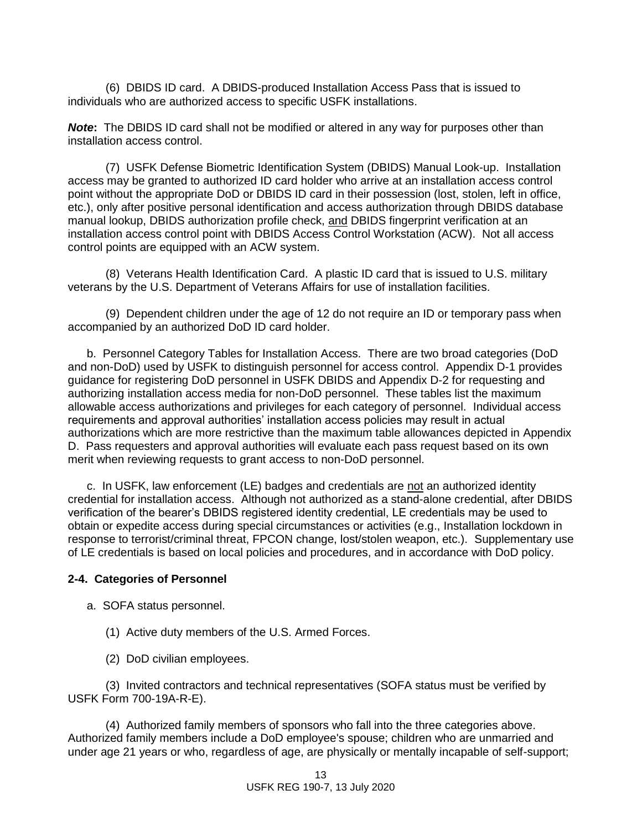(6) DBIDS ID card. A DBIDS-produced Installation Access Pass that is issued to individuals who are authorized access to specific USFK installations.

*Note***:** The DBIDS ID card shall not be modified or altered in any way for purposes other than installation access control.

(7) USFK Defense Biometric Identification System (DBIDS) Manual Look-up. Installation access may be granted to authorized ID card holder who arrive at an installation access control point without the appropriate DoD or DBIDS ID card in their possession (lost, stolen, left in office, etc.), only after positive personal identification and access authorization through DBIDS database manual lookup, DBIDS authorization profile check, and DBIDS fingerprint verification at an installation access control point with DBIDS Access Control Workstation (ACW). Not all access control points are equipped with an ACW system.

(8) Veterans Health Identification Card. A plastic ID card that is issued to U.S. military veterans by the U.S. Department of Veterans Affairs for use of installation facilities.

(9) Dependent children under the age of 12 do not require an ID or temporary pass when accompanied by an authorized DoD ID card holder.

b. Personnel Category Tables for Installation Access. There are two broad categories (DoD and non-DoD) used by USFK to distinguish personnel for access control. Appendix D-1 provides guidance for registering DoD personnel in USFK DBIDS and Appendix D-2 for requesting and authorizing installation access media for non-DoD personnel. These tables list the maximum allowable access authorizations and privileges for each category of personnel. Individual access requirements and approval authorities' installation access policies may result in actual authorizations which are more restrictive than the maximum table allowances depicted in Appendix D. Pass requesters and approval authorities will evaluate each pass request based on its own merit when reviewing requests to grant access to non-DoD personnel.

c.In USFK, law enforcement (LE) badges and credentials are not an authorized identity credential for installation access. Although not authorized as a stand-alone credential, after DBIDS verification of the bearer's DBIDS registered identity credential, LE credentials may be used to obtain or expedite access during special circumstances or activities (e.g., Installation lockdown in response to terrorist/criminal threat, FPCON change, lost/stolen weapon, etc.). Supplementary use of LE credentials is based on local policies and procedures, and in accordance with DoD policy.

#### **2-4. Categories of Personnel**

- a. SOFA status personnel.
	- (1) Active duty members of the U.S. Armed Forces.
	- (2) DoD civilian employees.

(3) Invited contractors and technical representatives (SOFA status must be verified by USFK Form 700-19A-R-E).

(4) Authorized family members of sponsors who fall into the three categories above. Authorized family members include a DoD employee's spouse; children who are unmarried and under age 21 years or who, regardless of age, are physically or mentally incapable of self-support;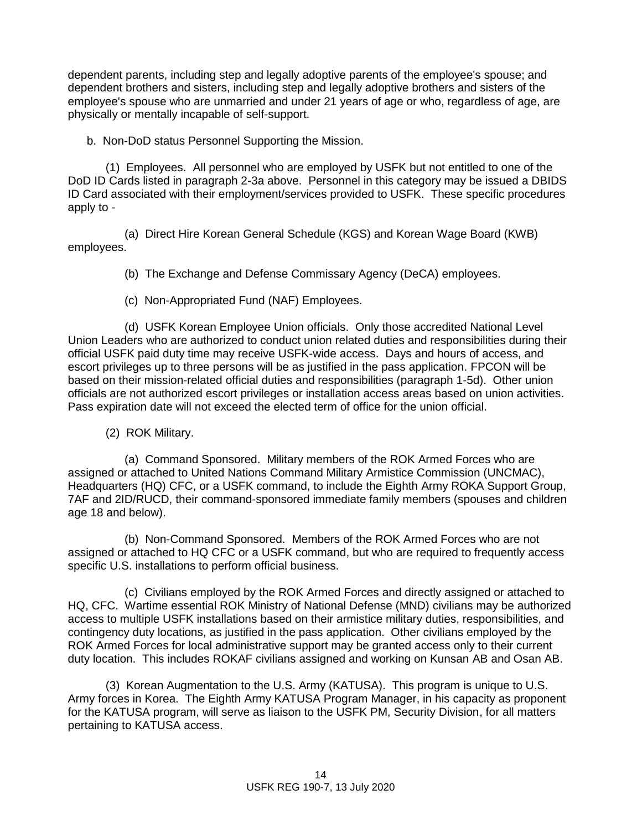dependent parents, including step and legally adoptive parents of the employee's spouse; and dependent brothers and sisters, including step and legally adoptive brothers and sisters of the employee's spouse who are unmarried and under 21 years of age or who, regardless of age, are physically or mentally incapable of self-support.

b. Non-DoD status Personnel Supporting the Mission.

(1) Employees. All personnel who are employed by USFK but not entitled to one of the DoD ID Cards listed in paragraph 2-3a above. Personnel in this category may be issued a DBIDS ID Card associated with their employment/services provided to USFK. These specific procedures apply to -

(a) Direct Hire Korean General Schedule (KGS) and Korean Wage Board (KWB) employees.

(b) The Exchange and Defense Commissary Agency (DeCA) employees.

(c) Non-Appropriated Fund (NAF) Employees.

(d) USFK Korean Employee Union officials. Only those accredited National Level Union Leaders who are authorized to conduct union related duties and responsibilities during their official USFK paid duty time may receive USFK-wide access. Days and hours of access, and escort privileges up to three persons will be as justified in the pass application. FPCON will be based on their mission-related official duties and responsibilities (paragraph 1-5d). Other union officials are not authorized escort privileges or installation access areas based on union activities. Pass expiration date will not exceed the elected term of office for the union official.

(2) ROK Military.

(a) Command Sponsored. Military members of the ROK Armed Forces who are assigned or attached to United Nations Command Military Armistice Commission (UNCMAC), Headquarters (HQ) CFC, or a USFK command, to include the Eighth Army ROKA Support Group, 7AF and 2ID/RUCD, their command-sponsored immediate family members (spouses and children age 18 and below).

(b) Non-Command Sponsored. Members of the ROK Armed Forces who are not assigned or attached to HQ CFC or a USFK command, but who are required to frequently access specific U.S. installations to perform official business.

(c) Civilians employed by the ROK Armed Forces and directly assigned or attached to HQ, CFC. Wartime essential ROK Ministry of National Defense (MND) civilians may be authorized access to multiple USFK installations based on their armistice military duties, responsibilities, and contingency duty locations, as justified in the pass application. Other civilians employed by the ROK Armed Forces for local administrative support may be granted access only to their current duty location. This includes ROKAF civilians assigned and working on Kunsan AB and Osan AB.

(3) Korean Augmentation to the U.S. Army (KATUSA). This program is unique to U.S. Army forces in Korea. The Eighth Army KATUSA Program Manager, in his capacity as proponent for the KATUSA program, will serve as liaison to the USFK PM, Security Division, for all matters pertaining to KATUSA access.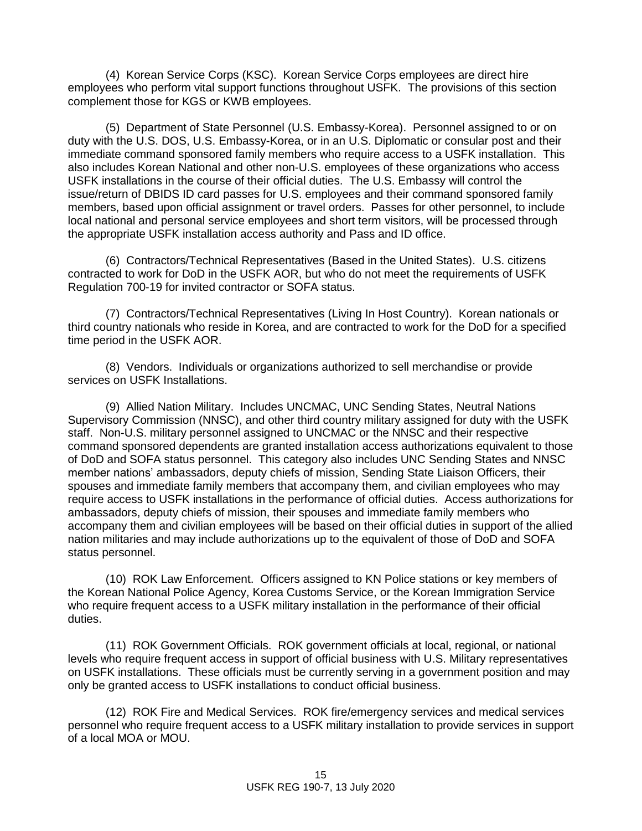(4) Korean Service Corps (KSC). Korean Service Corps employees are direct hire employees who perform vital support functions throughout USFK. The provisions of this section complement those for KGS or KWB employees.

(5) Department of State Personnel (U.S. Embassy-Korea). Personnel assigned to or on duty with the U.S. DOS, U.S. Embassy-Korea, or in an U.S. Diplomatic or consular post and their immediate command sponsored family members who require access to a USFK installation. This also includes Korean National and other non-U.S. employees of these organizations who access USFK installations in the course of their official duties. The U.S. Embassy will control the issue/return of DBIDS ID card passes for U.S. employees and their command sponsored family members, based upon official assignment or travel orders. Passes for other personnel, to include local national and personal service employees and short term visitors, will be processed through the appropriate USFK installation access authority and Pass and ID office.

(6) Contractors/Technical Representatives (Based in the United States). U.S. citizens contracted to work for DoD in the USFK AOR, but who do not meet the requirements of USFK Regulation 700-19 for invited contractor or SOFA status.

(7) Contractors/Technical Representatives (Living In Host Country). Korean nationals or third country nationals who reside in Korea, and are contracted to work for the DoD for a specified time period in the USFK AOR.

(8) Vendors. Individuals or organizations authorized to sell merchandise or provide services on USFK Installations.

(9) Allied Nation Military. Includes UNCMAC, UNC Sending States, Neutral Nations Supervisory Commission (NNSC), and other third country military assigned for duty with the USFK staff. Non-U.S. military personnel assigned to UNCMAC or the NNSC and their respective command sponsored dependents are granted installation access authorizations equivalent to those of DoD and SOFA status personnel. This category also includes UNC Sending States and NNSC member nations' ambassadors, deputy chiefs of mission, Sending State Liaison Officers, their spouses and immediate family members that accompany them, and civilian employees who may require access to USFK installations in the performance of official duties. Access authorizations for ambassadors, deputy chiefs of mission, their spouses and immediate family members who accompany them and civilian employees will be based on their official duties in support of the allied nation militaries and may include authorizations up to the equivalent of those of DoD and SOFA status personnel.

(10) ROK Law Enforcement. Officers assigned to KN Police stations or key members of the Korean National Police Agency, Korea Customs Service, or the Korean Immigration Service who require frequent access to a USFK military installation in the performance of their official duties.

(11) ROK Government Officials. ROK government officials at local, regional, or national levels who require frequent access in support of official business with U.S. Military representatives on USFK installations. These officials must be currently serving in a government position and may only be granted access to USFK installations to conduct official business.

(12) ROK Fire and Medical Services. ROK fire/emergency services and medical services personnel who require frequent access to a USFK military installation to provide services in support of a local MOA or MOU.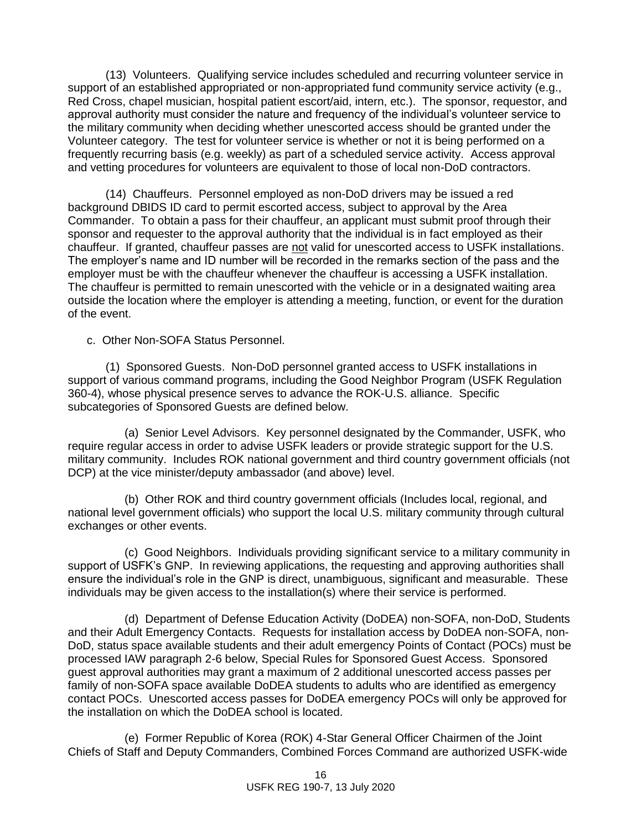(13) Volunteers. Qualifying service includes scheduled and recurring volunteer service in support of an established appropriated or non-appropriated fund community service activity (e.g., Red Cross, chapel musician, hospital patient escort/aid, intern, etc.). The sponsor, requestor, and approval authority must consider the nature and frequency of the individual's volunteer service to the military community when deciding whether unescorted access should be granted under the Volunteer category. The test for volunteer service is whether or not it is being performed on a frequently recurring basis (e.g. weekly) as part of a scheduled service activity. Access approval and vetting procedures for volunteers are equivalent to those of local non-DoD contractors.

(14) Chauffeurs. Personnel employed as non-DoD drivers may be issued a red background DBIDS ID card to permit escorted access, subject to approval by the Area Commander. To obtain a pass for their chauffeur, an applicant must submit proof through their sponsor and requester to the approval authority that the individual is in fact employed as their chauffeur. If granted, chauffeur passes are not valid for unescorted access to USFK installations. The employer's name and ID number will be recorded in the remarks section of the pass and the employer must be with the chauffeur whenever the chauffeur is accessing a USFK installation. The chauffeur is permitted to remain unescorted with the vehicle or in a designated waiting area outside the location where the employer is attending a meeting, function, or event for the duration of the event.

c. Other Non-SOFA Status Personnel.

(1) Sponsored Guests. Non-DoD personnel granted access to USFK installations in support of various command programs, including the Good Neighbor Program (USFK Regulation 360-4), whose physical presence serves to advance the ROK-U.S. alliance. Specific subcategories of Sponsored Guests are defined below.

(a) Senior Level Advisors. Key personnel designated by the Commander, USFK, who require regular access in order to advise USFK leaders or provide strategic support for the U.S. military community. Includes ROK national government and third country government officials (not DCP) at the vice minister/deputy ambassador (and above) level.

(b) Other ROK and third country government officials (Includes local, regional, and national level government officials) who support the local U.S. military community through cultural exchanges or other events.

(c) Good Neighbors. Individuals providing significant service to a military community in support of USFK's GNP. In reviewing applications, the requesting and approving authorities shall ensure the individual's role in the GNP is direct, unambiguous, significant and measurable. These individuals may be given access to the installation(s) where their service is performed.

(d) Department of Defense Education Activity (DoDEA) non-SOFA, non-DoD, Students and their Adult Emergency Contacts. Requests for installation access by DoDEA non-SOFA, non-DoD, status space available students and their adult emergency Points of Contact (POCs) must be processed IAW paragraph 2-6 below, Special Rules for Sponsored Guest Access. Sponsored guest approval authorities may grant a maximum of 2 additional unescorted access passes per family of non-SOFA space available DoDEA students to adults who are identified as emergency contact POCs. Unescorted access passes for DoDEA emergency POCs will only be approved for the installation on which the DoDEA school is located.

(e) Former Republic of Korea (ROK) 4-Star General Officer Chairmen of the Joint Chiefs of Staff and Deputy Commanders, Combined Forces Command are authorized USFK-wide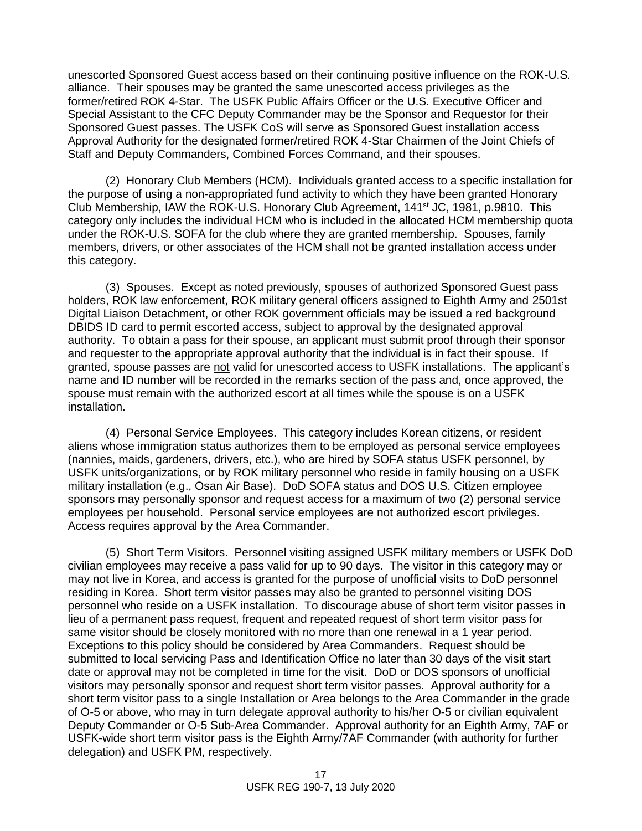unescorted Sponsored Guest access based on their continuing positive influence on the ROK-U.S. alliance. Their spouses may be granted the same unescorted access privileges as the former/retired ROK 4-Star. The USFK Public Affairs Officer or the U.S. Executive Officer and Special Assistant to the CFC Deputy Commander may be the Sponsor and Requestor for their Sponsored Guest passes. The USFK CoS will serve as Sponsored Guest installation access Approval Authority for the designated former/retired ROK 4-Star Chairmen of the Joint Chiefs of Staff and Deputy Commanders, Combined Forces Command, and their spouses.

(2) Honorary Club Members (HCM). Individuals granted access to a specific installation for the purpose of using a non-appropriated fund activity to which they have been granted Honorary Club Membership, IAW the ROK-U.S. Honorary Club Agreement, 141st JC, 1981, p.9810. This category only includes the individual HCM who is included in the allocated HCM membership quota under the ROK-U.S. SOFA for the club where they are granted membership. Spouses, family members, drivers, or other associates of the HCM shall not be granted installation access under this category.

(3) Spouses. Except as noted previously, spouses of authorized Sponsored Guest pass holders, ROK law enforcement, ROK military general officers assigned to Eighth Army and 2501st Digital Liaison Detachment, or other ROK government officials may be issued a red background DBIDS ID card to permit escorted access, subject to approval by the designated approval authority. To obtain a pass for their spouse, an applicant must submit proof through their sponsor and requester to the appropriate approval authority that the individual is in fact their spouse. If granted, spouse passes are not valid for unescorted access to USFK installations. The applicant's name and ID number will be recorded in the remarks section of the pass and, once approved, the spouse must remain with the authorized escort at all times while the spouse is on a USFK installation.

(4) Personal Service Employees. This category includes Korean citizens, or resident aliens whose immigration status authorizes them to be employed as personal service employees (nannies, maids, gardeners, drivers, etc.), who are hired by SOFA status USFK personnel, by USFK units/organizations, or by ROK military personnel who reside in family housing on a USFK military installation (e.g., Osan Air Base). DoD SOFA status and DOS U.S. Citizen employee sponsors may personally sponsor and request access for a maximum of two (2) personal service employees per household. Personal service employees are not authorized escort privileges. Access requires approval by the Area Commander.

(5) Short Term Visitors. Personnel visiting assigned USFK military members or USFK DoD civilian employees may receive a pass valid for up to 90 days. The visitor in this category may or may not live in Korea, and access is granted for the purpose of unofficial visits to DoD personnel residing in Korea. Short term visitor passes may also be granted to personnel visiting DOS personnel who reside on a USFK installation. To discourage abuse of short term visitor passes in lieu of a permanent pass request, frequent and repeated request of short term visitor pass for same visitor should be closely monitored with no more than one renewal in a 1 year period. Exceptions to this policy should be considered by Area Commanders. Request should be submitted to local servicing Pass and Identification Office no later than 30 days of the visit start date or approval may not be completed in time for the visit. DoD or DOS sponsors of unofficial visitors may personally sponsor and request short term visitor passes. Approval authority for a short term visitor pass to a single Installation or Area belongs to the Area Commander in the grade of O-5 or above, who may in turn delegate approval authority to his/her O-5 or civilian equivalent Deputy Commander or O-5 Sub-Area Commander. Approval authority for an Eighth Army, 7AF or USFK-wide short term visitor pass is the Eighth Army/7AF Commander (with authority for further delegation) and USFK PM, respectively.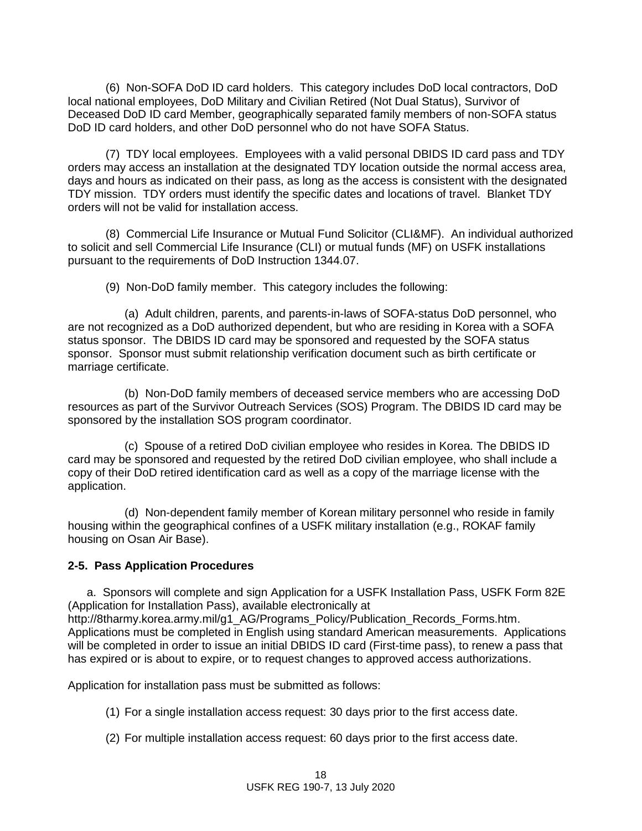(6) Non-SOFA DoD ID card holders. This category includes DoD local contractors, DoD local national employees, DoD Military and Civilian Retired (Not Dual Status), Survivor of Deceased DoD ID card Member, geographically separated family members of non-SOFA status DoD ID card holders, and other DoD personnel who do not have SOFA Status.

(7) TDY local employees. Employees with a valid personal DBIDS ID card pass and TDY orders may access an installation at the designated TDY location outside the normal access area, days and hours as indicated on their pass, as long as the access is consistent with the designated TDY mission. TDY orders must identify the specific dates and locations of travel. Blanket TDY orders will not be valid for installation access.

(8) Commercial Life Insurance or Mutual Fund Solicitor (CLI&MF). An individual authorized to solicit and sell Commercial Life Insurance (CLI) or mutual funds (MF) on USFK installations pursuant to the requirements of DoD Instruction 1344.07.

(9) Non-DoD family member. This category includes the following:

(a) Adult children, parents, and parents-in-laws of SOFA-status DoD personnel, who are not recognized as a DoD authorized dependent, but who are residing in Korea with a SOFA status sponsor. The DBIDS ID card may be sponsored and requested by the SOFA status sponsor. Sponsor must submit relationship verification document such as birth certificate or marriage certificate.

(b) Non-DoD family members of deceased service members who are accessing DoD resources as part of the Survivor Outreach Services (SOS) Program. The DBIDS ID card may be sponsored by the installation SOS program coordinator.

(c) Spouse of a retired DoD civilian employee who resides in Korea. The DBIDS ID card may be sponsored and requested by the retired DoD civilian employee, who shall include a copy of their DoD retired identification card as well as a copy of the marriage license with the application.

(d) Non-dependent family member of Korean military personnel who reside in family housing within the geographical confines of a USFK military installation (e.g., ROKAF family housing on Osan Air Base).

### **2-5. Pass Application Procedures**

a. Sponsors will complete and sign Application for a USFK Installation Pass, USFK Form 82E (Application for Installation Pass), available electronically at [http://8tharmy.korea.army.mil/g1\\_AG/Programs\\_Policy/Publication\\_Records\\_Forms.htm.](http://8tharmy.korea.army.mil/g1_AG/Programs_Policy/Publication_Records_Forms.htm) Applications must be completed in English using standard American measurements. Applications will be completed in order to issue an initial DBIDS ID card (First-time pass), to renew a pass that has expired or is about to expire, or to request changes to approved access authorizations.

Application for installation pass must be submitted as follows:

- (1) For a single installation access request: 30 days prior to the first access date.
- (2) For multiple installation access request: 60 days prior to the first access date.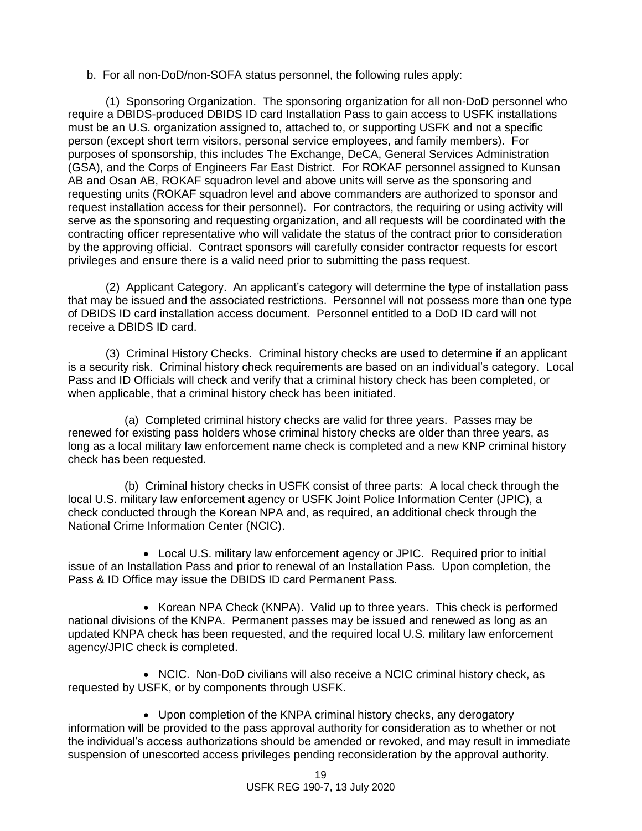b. For all non-DoD/non-SOFA status personnel, the following rules apply:

(1) Sponsoring Organization. The sponsoring organization for all non-DoD personnel who require a DBIDS-produced DBIDS ID card Installation Pass to gain access to USFK installations must be an U.S. organization assigned to, attached to, or supporting USFK and not a specific person (except short term visitors, personal service employees, and family members). For purposes of sponsorship, this includes The Exchange, DeCA, General Services Administration (GSA), and the Corps of Engineers Far East District. For ROKAF personnel assigned to Kunsan AB and Osan AB, ROKAF squadron level and above units will serve as the sponsoring and requesting units (ROKAF squadron level and above commanders are authorized to sponsor and request installation access for their personnel). For contractors, the requiring or using activity will serve as the sponsoring and requesting organization, and all requests will be coordinated with the contracting officer representative who will validate the status of the contract prior to consideration by the approving official. Contract sponsors will carefully consider contractor requests for escort privileges and ensure there is a valid need prior to submitting the pass request.

(2) Applicant Category. An applicant's category will determine the type of installation pass that may be issued and the associated restrictions. Personnel will not possess more than one type of DBIDS ID card installation access document. Personnel entitled to a DoD ID card will not receive a DBIDS ID card.

(3) Criminal History Checks. Criminal history checks are used to determine if an applicant is a security risk. Criminal history check requirements are based on an individual's category. Local Pass and ID Officials will check and verify that a criminal history check has been completed, or when applicable, that a criminal history check has been initiated.

(a) Completed criminal history checks are valid for three years. Passes may be renewed for existing pass holders whose criminal history checks are older than three years, as long as a local military law enforcement name check is completed and a new KNP criminal history check has been requested.

(b) Criminal history checks in USFK consist of three parts: A local check through the local U.S. military law enforcement agency or USFK Joint Police Information Center (JPIC), a check conducted through the Korean NPA and, as required, an additional check through the National Crime Information Center (NCIC).

 Local U.S. military law enforcement agency or JPIC. Required prior to initial issue of an Installation Pass and prior to renewal of an Installation Pass. Upon completion, the Pass & ID Office may issue the DBIDS ID card Permanent Pass.

• Korean NPA Check (KNPA). Valid up to three years. This check is performed national divisions of the KNPA. Permanent passes may be issued and renewed as long as an updated KNPA check has been requested, and the required local U.S. military law enforcement agency/JPIC check is completed.

 NCIC. Non-DoD civilians will also receive a NCIC criminal history check, as requested by USFK, or by components through USFK.

 Upon completion of the KNPA criminal history checks, any derogatory information will be provided to the pass approval authority for consideration as to whether or not the individual's access authorizations should be amended or revoked, and may result in immediate suspension of unescorted access privileges pending reconsideration by the approval authority.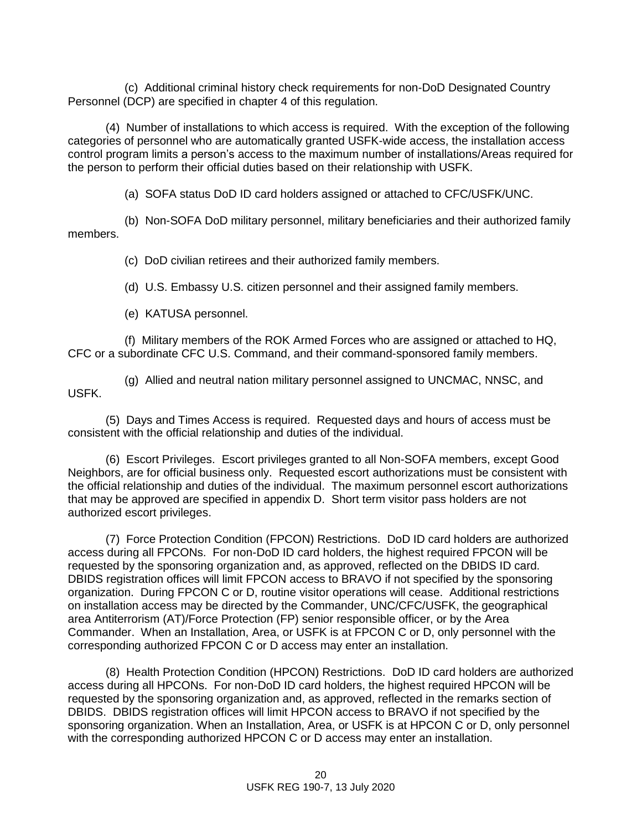(c) Additional criminal history check requirements for non-DoD Designated Country Personnel (DCP) are specified in chapter 4 of this regulation.

(4) Number of installations to which access is required. With the exception of the following categories of personnel who are automatically granted USFK-wide access, the installation access control program limits a person's access to the maximum number of installations/Areas required for the person to perform their official duties based on their relationship with USFK.

(a) SOFA status DoD ID card holders assigned or attached to CFC/USFK/UNC.

(b) Non-SOFA DoD military personnel, military beneficiaries and their authorized family members.

(c) DoD civilian retirees and their authorized family members.

(d) U.S. Embassy U.S. citizen personnel and their assigned family members.

(e) KATUSA personnel.

(f) Military members of the ROK Armed Forces who are assigned or attached to HQ, CFC or a subordinate CFC U.S. Command, and their command-sponsored family members.

(g) Allied and neutral nation military personnel assigned to UNCMAC, NNSC, and USFK.

(5) Days and Times Access is required. Requested days and hours of access must be consistent with the official relationship and duties of the individual.

(6) Escort Privileges. Escort privileges granted to all Non-SOFA members, except Good Neighbors, are for official business only. Requested escort authorizations must be consistent with the official relationship and duties of the individual. The maximum personnel escort authorizations that may be approved are specified in appendix D. Short term visitor pass holders are not authorized escort privileges.

(7) Force Protection Condition (FPCON) Restrictions. DoD ID card holders are authorized access during all FPCONs. For non-DoD ID card holders, the highest required FPCON will be requested by the sponsoring organization and, as approved, reflected on the DBIDS ID card. DBIDS registration offices will limit FPCON access to BRAVO if not specified by the sponsoring organization. During FPCON C or D, routine visitor operations will cease. Additional restrictions on installation access may be directed by the Commander, UNC/CFC/USFK, the geographical area Antiterrorism (AT)/Force Protection (FP) senior responsible officer, or by the Area Commander. When an Installation, Area, or USFK is at FPCON C or D, only personnel with the corresponding authorized FPCON C or D access may enter an installation.

(8) Health Protection Condition (HPCON) Restrictions. DoD ID card holders are authorized access during all HPCONs. For non-DoD ID card holders, the highest required HPCON will be requested by the sponsoring organization and, as approved, reflected in the remarks section of DBIDS. DBIDS registration offices will limit HPCON access to BRAVO if not specified by the sponsoring organization. When an Installation, Area, or USFK is at HPCON C or D, only personnel with the corresponding authorized HPCON C or D access may enter an installation.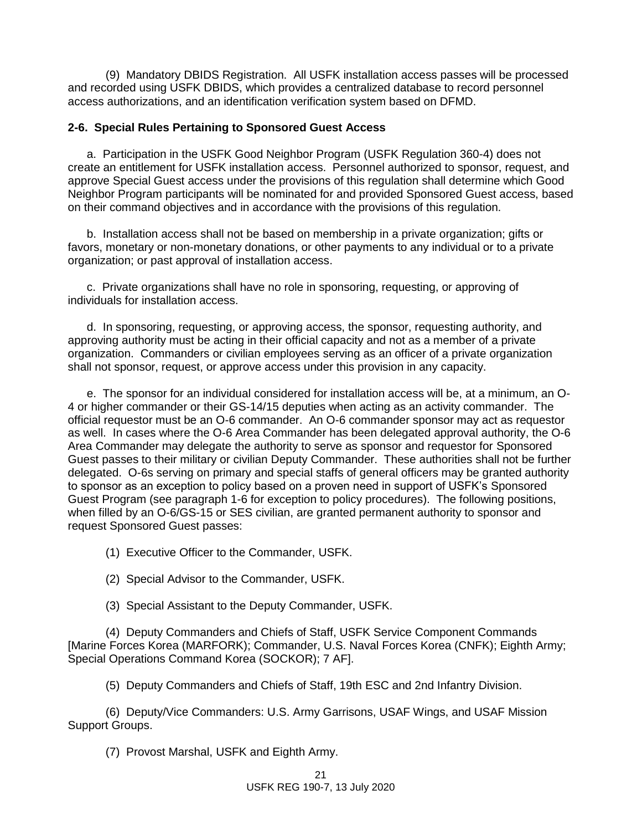(9) Mandatory DBIDS Registration. All USFK installation access passes will be processed and recorded using USFK DBIDS, which provides a centralized database to record personnel access authorizations, and an identification verification system based on DFMD.

### **2-6. Special Rules Pertaining to Sponsored Guest Access**

a. Participation in the USFK Good Neighbor Program (USFK Regulation 360-4) does not create an entitlement for USFK installation access. Personnel authorized to sponsor, request, and approve Special Guest access under the provisions of this regulation shall determine which Good Neighbor Program participants will be nominated for and provided Sponsored Guest access, based on their command objectives and in accordance with the provisions of this regulation.

b. Installation access shall not be based on membership in a private organization; gifts or favors, monetary or non-monetary donations, or other payments to any individual or to a private organization; or past approval of installation access.

c. Private organizations shall have no role in sponsoring, requesting, or approving of individuals for installation access.

d. In sponsoring, requesting, or approving access, the sponsor, requesting authority, and approving authority must be acting in their official capacity and not as a member of a private organization. Commanders or civilian employees serving as an officer of a private organization shall not sponsor, request, or approve access under this provision in any capacity.

e. The sponsor for an individual considered for installation access will be, at a minimum, an O-4 or higher commander or their GS-14/15 deputies when acting as an activity commander. The official requestor must be an O-6 commander. An O-6 commander sponsor may act as requestor as well. In cases where the O-6 Area Commander has been delegated approval authority, the O-6 Area Commander may delegate the authority to serve as sponsor and requestor for Sponsored Guest passes to their military or civilian Deputy Commander. These authorities shall not be further delegated. O-6s serving on primary and special staffs of general officers may be granted authority to sponsor as an exception to policy based on a proven need in support of USFK's Sponsored Guest Program (see paragraph 1-6 for exception to policy procedures). The following positions, when filled by an O-6/GS-15 or SES civilian, are granted permanent authority to sponsor and request Sponsored Guest passes:

(1) Executive Officer to the Commander, USFK.

(2) Special Advisor to the Commander, USFK.

(3) Special Assistant to the Deputy Commander, USFK.

(4) Deputy Commanders and Chiefs of Staff, USFK Service Component Commands [Marine Forces Korea (MARFORK); Commander, U.S. Naval Forces Korea (CNFK); Eighth Army; Special Operations Command Korea (SOCKOR); 7 AF].

(5) Deputy Commanders and Chiefs of Staff, 19th ESC and 2nd Infantry Division.

(6) Deputy/Vice Commanders: U.S. Army Garrisons, USAF Wings, and USAF Mission Support Groups.

(7) Provost Marshal, USFK and Eighth Army.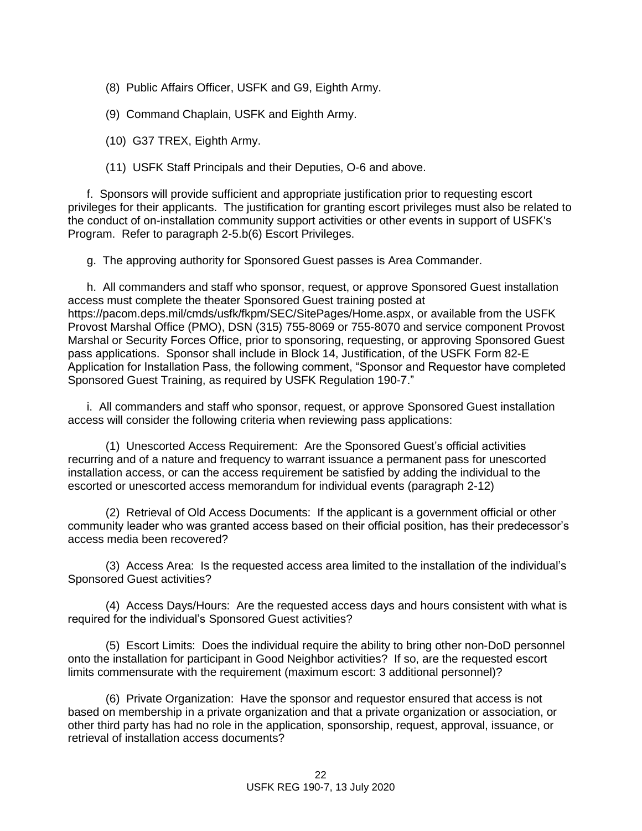- (8) Public Affairs Officer, USFK and G9, Eighth Army.
- (9) Command Chaplain, USFK and Eighth Army.
- (10) G37 TREX, Eighth Army.
- (11) USFK Staff Principals and their Deputies, O-6 and above.

f. Sponsors will provide sufficient and appropriate justification prior to requesting escort privileges for their applicants. The justification for granting escort privileges must also be related to the conduct of on-installation community support activities or other events in support of USFK's Program. Refer to paragraph 2-5.b(6) Escort Privileges.

g. The approving authority for Sponsored Guest passes is Area Commander.

h. All commanders and staff who sponsor, request, or approve Sponsored Guest installation access must complete the theater Sponsored Guest training posted at [https://pacom.deps.mil/cmds/usfk/fkpm/SEC/SitePages/Home.aspx,](https://pacom.deps.mil/cmds/usfk/fkpm/SEC/SitePages/Home.aspx) or available from the USFK Provost Marshal Office (PMO), DSN (315) 755-8069 or 755-8070 and service component Provost Marshal or Security Forces Office, prior to sponsoring, requesting, or approving Sponsored Guest pass applications. Sponsor shall include in Block 14, Justification, of the USFK Form 82-E Application for Installation Pass, the following comment, "Sponsor and Requestor have completed Sponsored Guest Training, as required by USFK Regulation 190-7."

i. All commanders and staff who sponsor, request, or approve Sponsored Guest installation access will consider the following criteria when reviewing pass applications:

(1) Unescorted Access Requirement: Are the Sponsored Guest's official activities recurring and of a nature and frequency to warrant issuance a permanent pass for unescorted installation access, or can the access requirement be satisfied by adding the individual to the escorted or unescorted access memorandum for individual events (paragraph 2-12)

(2) Retrieval of Old Access Documents: If the applicant is a government official or other community leader who was granted access based on their official position, has their predecessor's access media been recovered?

(3) Access Area: Is the requested access area limited to the installation of the individual's Sponsored Guest activities?

(4) Access Days/Hours: Are the requested access days and hours consistent with what is required for the individual's Sponsored Guest activities?

(5) Escort Limits: Does the individual require the ability to bring other non-DoD personnel onto the installation for participant in Good Neighbor activities? If so, are the requested escort limits commensurate with the requirement (maximum escort: 3 additional personnel)?

(6) Private Organization: Have the sponsor and requestor ensured that access is not based on membership in a private organization and that a private organization or association, or other third party has had no role in the application, sponsorship, request, approval, issuance, or retrieval of installation access documents?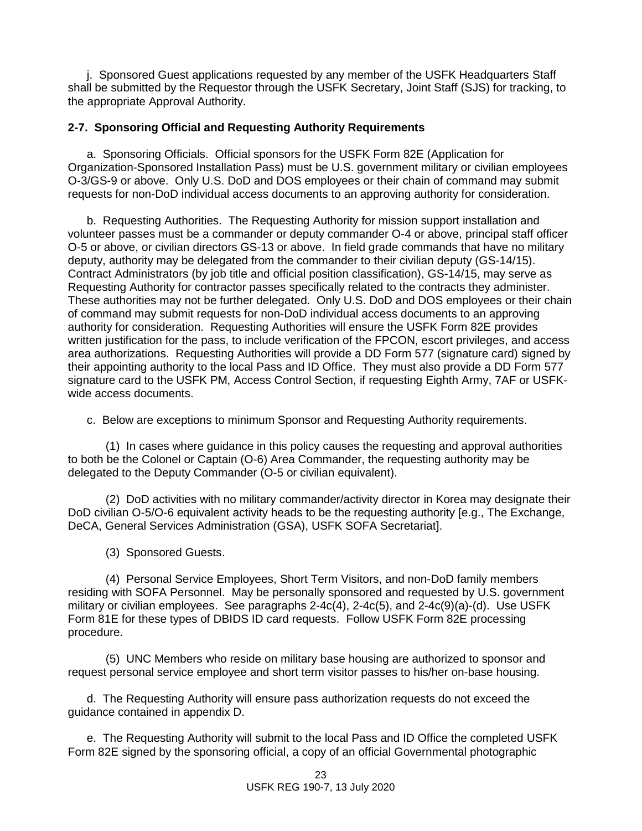j. Sponsored Guest applications requested by any member of the USFK Headquarters Staff shall be submitted by the Requestor through the USFK Secretary, Joint Staff (SJS) for tracking, to the appropriate Approval Authority.

## **2-7. Sponsoring Official and Requesting Authority Requirements**

a. Sponsoring Officials. Official sponsors for the USFK Form 82E (Application for Organization-Sponsored Installation Pass) must be U.S. government military or civilian employees O-3/GS-9 or above. Only U.S. DoD and DOS employees or their chain of command may submit requests for non-DoD individual access documents to an approving authority for consideration.

b. Requesting Authorities. The Requesting Authority for mission support installation and volunteer passes must be a commander or deputy commander O-4 or above, principal staff officer O-5 or above, or civilian directors GS-13 or above. In field grade commands that have no military deputy, authority may be delegated from the commander to their civilian deputy (GS-14/15). Contract Administrators (by job title and official position classification), GS-14/15, may serve as Requesting Authority for contractor passes specifically related to the contracts they administer. These authorities may not be further delegated. Only U.S. DoD and DOS employees or their chain of command may submit requests for non-DoD individual access documents to an approving authority for consideration. Requesting Authorities will ensure the USFK Form 82E provides written justification for the pass, to include verification of the FPCON, escort privileges, and access area authorizations. Requesting Authorities will provide a DD Form 577 (signature card) signed by their appointing authority to the local Pass and ID Office. They must also provide a DD Form 577 signature card to the USFK PM, Access Control Section, if requesting Eighth Army, 7AF or USFKwide access documents.

c. Below are exceptions to minimum Sponsor and Requesting Authority requirements.

(1) In cases where guidance in this policy causes the requesting and approval authorities to both be the Colonel or Captain (O-6) Area Commander, the requesting authority may be delegated to the Deputy Commander (O-5 or civilian equivalent).

(2) DoD activities with no military commander/activity director in Korea may designate their DoD civilian O-5/O-6 equivalent activity heads to be the requesting authority [e.g., The Exchange, DeCA, General Services Administration (GSA), USFK SOFA Secretariat].

(3) Sponsored Guests.

(4) Personal Service Employees, Short Term Visitors, and non-DoD family members residing with SOFA Personnel. May be personally sponsored and requested by U.S. government military or civilian employees. See paragraphs 2-4c(4), 2-4c(5), and 2-4c(9)(a)-(d). Use USFK Form 81E for these types of DBIDS ID card requests. Follow USFK Form 82E processing procedure.

(5) UNC Members who reside on military base housing are authorized to sponsor and request personal service employee and short term visitor passes to his/her on-base housing.

d. The Requesting Authority will ensure pass authorization requests do not exceed the guidance contained in appendix D.

e. The Requesting Authority will submit to the local Pass and ID Office the completed USFK Form 82E signed by the sponsoring official, a copy of an official Governmental photographic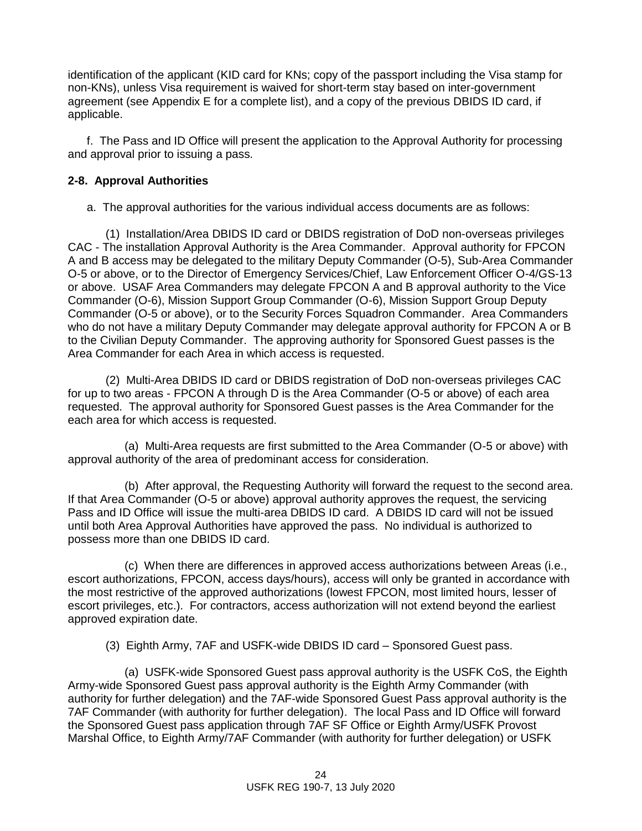identification of the applicant (KID card for KNs; copy of the passport including the Visa stamp for non-KNs), unless Visa requirement is waived for short-term stay based on inter-government agreement (see Appendix E for a complete list), and a copy of the previous DBIDS ID card, if applicable.

f. The Pass and ID Office will present the application to the Approval Authority for processing and approval prior to issuing a pass.

## **2-8. Approval Authorities**

a. The approval authorities for the various individual access documents are as follows:

(1) Installation/Area DBIDS ID card or DBIDS registration of DoD non-overseas privileges CAC - The installation Approval Authority is the Area Commander. Approval authority for FPCON A and B access may be delegated to the military Deputy Commander (O-5), Sub-Area Commander O-5 or above, or to the Director of Emergency Services/Chief, Law Enforcement Officer O-4/GS-13 or above. USAF Area Commanders may delegate FPCON A and B approval authority to the Vice Commander (O-6), Mission Support Group Commander (O-6), Mission Support Group Deputy Commander (O-5 or above), or to the Security Forces Squadron Commander. Area Commanders who do not have a military Deputy Commander may delegate approval authority for FPCON A or B to the Civilian Deputy Commander. The approving authority for Sponsored Guest passes is the Area Commander for each Area in which access is requested.

(2) Multi-Area DBIDS ID card or DBIDS registration of DoD non-overseas privileges CAC for up to two areas - FPCON A through D is the Area Commander (O-5 or above) of each area requested. The approval authority for Sponsored Guest passes is the Area Commander for the each area for which access is requested.

(a) Multi-Area requests are first submitted to the Area Commander (O-5 or above) with approval authority of the area of predominant access for consideration.

(b) After approval, the Requesting Authority will forward the request to the second area. If that Area Commander (O-5 or above) approval authority approves the request, the servicing Pass and ID Office will issue the multi-area DBIDS ID card. A DBIDS ID card will not be issued until both Area Approval Authorities have approved the pass. No individual is authorized to possess more than one DBIDS ID card.

(c) When there are differences in approved access authorizations between Areas (i.e., escort authorizations, FPCON, access days/hours), access will only be granted in accordance with the most restrictive of the approved authorizations (lowest FPCON, most limited hours, lesser of escort privileges, etc.). For contractors, access authorization will not extend beyond the earliest approved expiration date.

(3) Eighth Army, 7AF and USFK-wide DBIDS ID card – Sponsored Guest pass.

(a) USFK-wide Sponsored Guest pass approval authority is the USFK CoS, the Eighth Army-wide Sponsored Guest pass approval authority is the Eighth Army Commander (with authority for further delegation) and the 7AF-wide Sponsored Guest Pass approval authority is the 7AF Commander (with authority for further delegation). The local Pass and ID Office will forward the Sponsored Guest pass application through 7AF SF Office or Eighth Army/USFK Provost Marshal Office, to Eighth Army/7AF Commander (with authority for further delegation) or USFK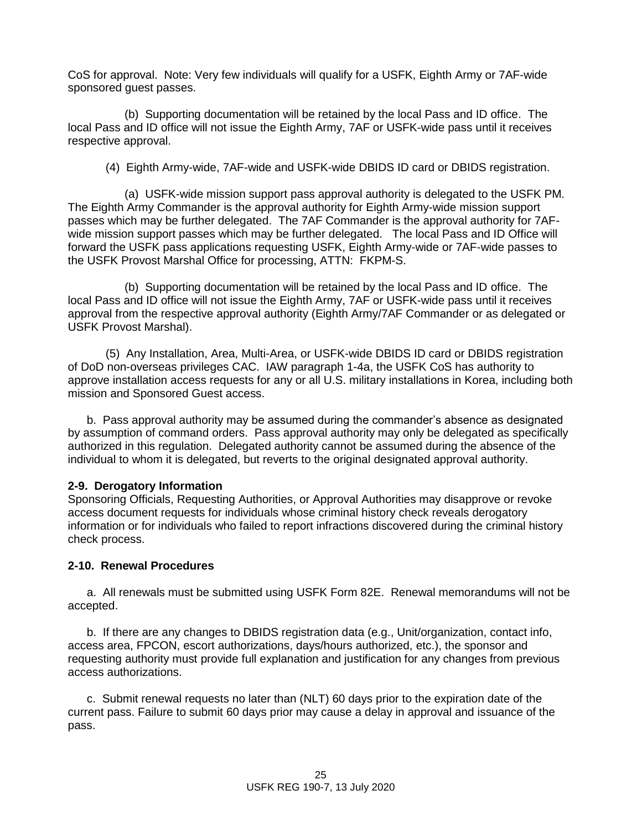CoS for approval. Note: Very few individuals will qualify for a USFK, Eighth Army or 7AF-wide sponsored guest passes.

(b) Supporting documentation will be retained by the local Pass and ID office. The local Pass and ID office will not issue the Eighth Army, 7AF or USFK-wide pass until it receives respective approval.

(4) Eighth Army-wide, 7AF-wide and USFK-wide DBIDS ID card or DBIDS registration.

(a) USFK-wide mission support pass approval authority is delegated to the USFK PM. The Eighth Army Commander is the approval authority for Eighth Army-wide mission support passes which may be further delegated. The 7AF Commander is the approval authority for 7AFwide mission support passes which may be further delegated. The local Pass and ID Office will forward the USFK pass applications requesting USFK, Eighth Army-wide or 7AF-wide passes to the USFK Provost Marshal Office for processing, ATTN: FKPM-S.

(b) Supporting documentation will be retained by the local Pass and ID office. The local Pass and ID office will not issue the Eighth Army, 7AF or USFK-wide pass until it receives approval from the respective approval authority (Eighth Army/7AF Commander or as delegated or USFK Provost Marshal).

(5) Any Installation, Area, Multi-Area, or USFK-wide DBIDS ID card or DBIDS registration of DoD non-overseas privileges CAC. IAW paragraph 1-4a, the USFK CoS has authority to approve installation access requests for any or all U.S. military installations in Korea, including both mission and Sponsored Guest access.

b. Pass approval authority may be assumed during the commander's absence as designated by assumption of command orders. Pass approval authority may only be delegated as specifically authorized in this regulation. Delegated authority cannot be assumed during the absence of the individual to whom it is delegated, but reverts to the original designated approval authority.

### **2-9. Derogatory Information**

Sponsoring Officials, Requesting Authorities, or Approval Authorities may disapprove or revoke access document requests for individuals whose criminal history check reveals derogatory information or for individuals who failed to report infractions discovered during the criminal history check process.

## **2-10. Renewal Procedures**

a. All renewals must be submitted using USFK Form 82E. Renewal memorandums will not be accepted.

b. If there are any changes to DBIDS registration data (e.g., Unit/organization, contact info, access area, FPCON, escort authorizations, days/hours authorized, etc.), the sponsor and requesting authority must provide full explanation and justification for any changes from previous access authorizations.

c. Submit renewal requests no later than (NLT) 60 days prior to the expiration date of the current pass. Failure to submit 60 days prior may cause a delay in approval and issuance of the pass.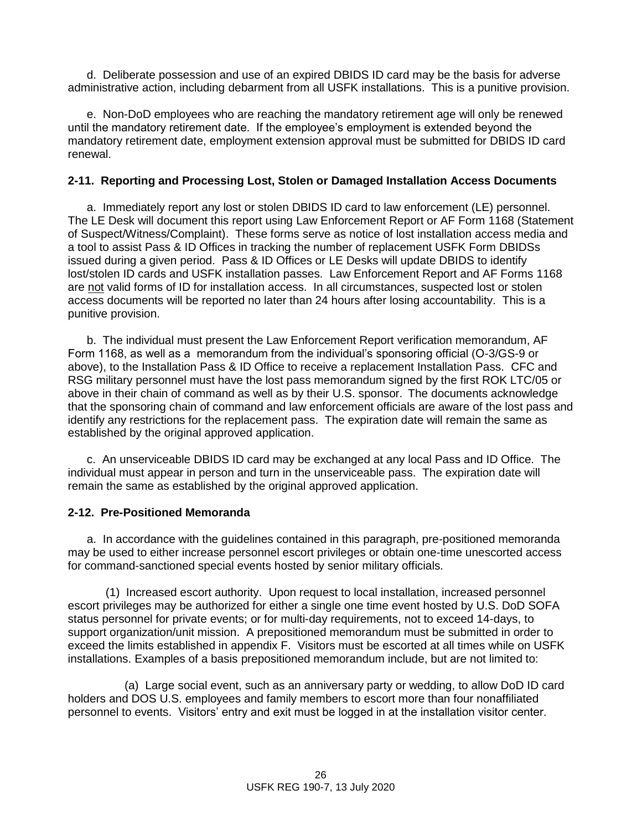d. Deliberate possession and use of an expired DBIDS ID card may be the basis for adverse administrative action, including debarment from all USFK installations. This is a punitive provision.

e. Non-DoD employees who are reaching the mandatory retirement age will only be renewed until the mandatory retirement date. If the employee's employment is extended beyond the mandatory retirement date, employment extension approval must be submitted for DBIDS ID card renewal.

## **2-11. Reporting and Processing Lost, Stolen or Damaged Installation Access Documents**

a. Immediately report any lost or stolen DBIDS ID card to law enforcement (LE) personnel. The LE Desk will document this report using Law Enforcement Report or AF Form 1168 (Statement of Suspect/Witness/Complaint). These forms serve as notice of lost installation access media and a tool to assist Pass & ID Offices in tracking the number of replacement USFK Form DBIDSs issued during a given period. Pass & ID Offices or LE Desks will update DBIDS to identify lost/stolen ID cards and USFK installation passes. Law Enforcement Report and AF Forms 1168 are not valid forms of ID for installation access. In all circumstances, suspected lost or stolen access documents will be reported no later than 24 hours after losing accountability. This is a punitive provision.

b. The individual must present the Law Enforcement Report verification memorandum, AF Form 1168, as well as a memorandum from the individual's sponsoring official (O-3/GS-9 or above), to the Installation Pass & ID Office to receive a replacement Installation Pass. CFC and RSG military personnel must have the lost pass memorandum signed by the first ROK LTC/05 or above in their chain of command as well as by their U.S. sponsor. The documents acknowledge that the sponsoring chain of command and law enforcement officials are aware of the lost pass and identify any restrictions for the replacement pass. The expiration date will remain the same as established by the original approved application.

c. An unserviceable DBIDS ID card may be exchanged at any local Pass and ID Office. The individual must appear in person and turn in the unserviceable pass. The expiration date will remain the same as established by the original approved application.

### **2-12. Pre-Positioned Memoranda**

a. In accordance with the guidelines contained in this paragraph, pre-positioned memoranda may be used to either increase personnel escort privileges or obtain one-time unescorted access for command-sanctioned special events hosted by senior military officials.

(1) Increased escort authority. Upon request to local installation, increased personnel escort privileges may be authorized for either a single one time event hosted by U.S. DoD SOFA status personnel for private events; or for multi-day requirements, not to exceed 14-days, to support organization/unit mission. A prepositioned memorandum must be submitted in order to exceed the limits established in appendix F. Visitors must be escorted at all times while on USFK installations. Examples of a basis prepositioned memorandum include, but are not limited to:

(a) Large social event, such as an anniversary party or wedding, to allow DoD ID card holders and DOS U.S. employees and family members to escort more than four nonaffiliated personnel to events. Visitors' entry and exit must be logged in at the installation visitor center.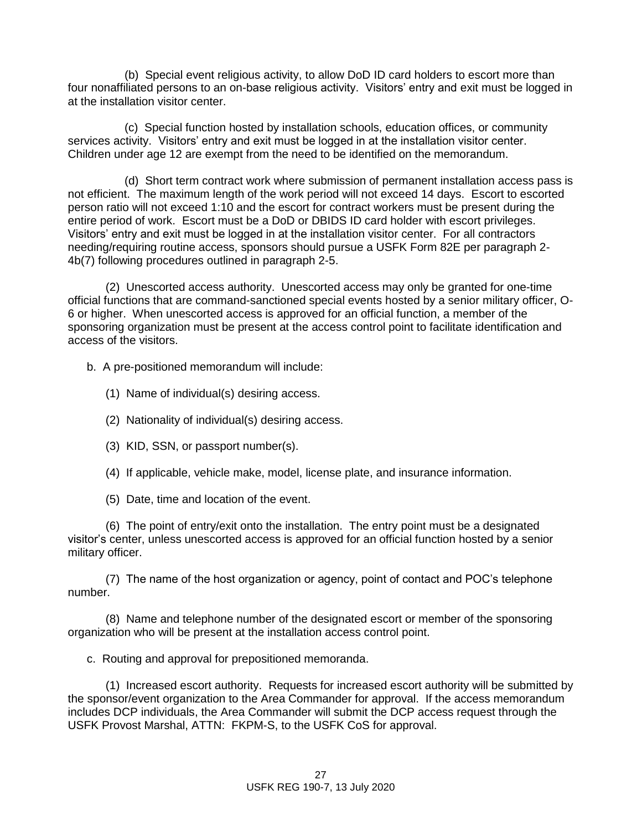(b) Special event religious activity, to allow DoD ID card holders to escort more than four nonaffiliated persons to an on-base religious activity. Visitors' entry and exit must be logged in at the installation visitor center.

(c) Special function hosted by installation schools, education offices, or community services activity. Visitors' entry and exit must be logged in at the installation visitor center. Children under age 12 are exempt from the need to be identified on the memorandum.

(d) Short term contract work where submission of permanent installation access pass is not efficient. The maximum length of the work period will not exceed 14 days. Escort to escorted person ratio will not exceed 1:10 and the escort for contract workers must be present during the entire period of work. Escort must be a DoD or DBIDS ID card holder with escort privileges. Visitors' entry and exit must be logged in at the installation visitor center. For all contractors needing/requiring routine access, sponsors should pursue a USFK Form 82E per paragraph 2- 4b(7) following procedures outlined in paragraph 2-5.

(2) Unescorted access authority. Unescorted access may only be granted for one-time official functions that are command-sanctioned special events hosted by a senior military officer, O-6 or higher. When unescorted access is approved for an official function, a member of the sponsoring organization must be present at the access control point to facilitate identification and access of the visitors.

b. A pre-positioned memorandum will include:

- (1) Name of individual(s) desiring access.
- (2) Nationality of individual(s) desiring access.
- (3) KID, SSN, or passport number(s).
- (4) If applicable, vehicle make, model, license plate, and insurance information.
- (5) Date, time and location of the event.

(6) The point of entry/exit onto the installation. The entry point must be a designated visitor's center, unless unescorted access is approved for an official function hosted by a senior military officer.

(7) The name of the host organization or agency, point of contact and POC's telephone number.

(8) Name and telephone number of the designated escort or member of the sponsoring organization who will be present at the installation access control point.

c. Routing and approval for prepositioned memoranda.

(1) Increased escort authority. Requests for increased escort authority will be submitted by the sponsor/event organization to the Area Commander for approval. If the access memorandum includes DCP individuals, the Area Commander will submit the DCP access request through the USFK Provost Marshal, ATTN: FKPM-S, to the USFK CoS for approval.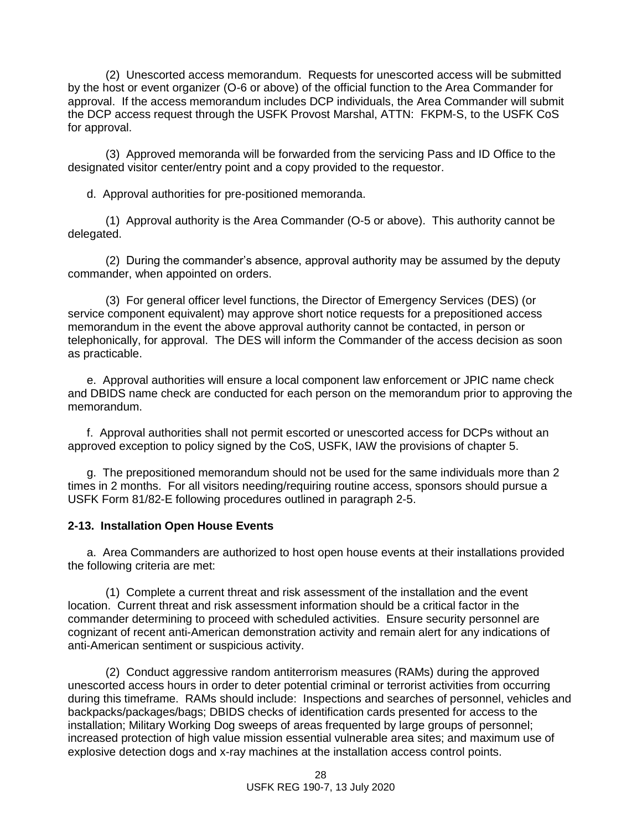(2) Unescorted access memorandum. Requests for unescorted access will be submitted by the host or event organizer (O-6 or above) of the official function to the Area Commander for approval. If the access memorandum includes DCP individuals, the Area Commander will submit the DCP access request through the USFK Provost Marshal, ATTN: FKPM-S, to the USFK CoS for approval.

(3) Approved memoranda will be forwarded from the servicing Pass and ID Office to the designated visitor center/entry point and a copy provided to the requestor.

d. Approval authorities for pre-positioned memoranda.

(1) Approval authority is the Area Commander (O-5 or above). This authority cannot be delegated.

(2) During the commander's absence, approval authority may be assumed by the deputy commander, when appointed on orders.

(3) For general officer level functions, the Director of Emergency Services (DES) (or service component equivalent) may approve short notice requests for a prepositioned access memorandum in the event the above approval authority cannot be contacted, in person or telephonically, for approval. The DES will inform the Commander of the access decision as soon as practicable.

e. Approval authorities will ensure a local component law enforcement or JPIC name check and DBIDS name check are conducted for each person on the memorandum prior to approving the memorandum.

f. Approval authorities shall not permit escorted or unescorted access for DCPs without an approved exception to policy signed by the CoS, USFK, IAW the provisions of chapter 5.

g. The prepositioned memorandum should not be used for the same individuals more than 2 times in 2 months. For all visitors needing/requiring routine access, sponsors should pursue a USFK Form 81/82-E following procedures outlined in paragraph 2-5.

#### **2-13. Installation Open House Events**

a. Area Commanders are authorized to host open house events at their installations provided the following criteria are met:

(1) Complete a current threat and risk assessment of the installation and the event location. Current threat and risk assessment information should be a critical factor in the commander determining to proceed with scheduled activities. Ensure security personnel are cognizant of recent anti-American demonstration activity and remain alert for any indications of anti-American sentiment or suspicious activity.

(2) Conduct aggressive random antiterrorism measures (RAMs) during the approved unescorted access hours in order to deter potential criminal or terrorist activities from occurring during this timeframe. RAMs should include: Inspections and searches of personnel, vehicles and backpacks/packages/bags; DBIDS checks of identification cards presented for access to the installation; Military Working Dog sweeps of areas frequented by large groups of personnel; increased protection of high value mission essential vulnerable area sites; and maximum use of explosive detection dogs and x-ray machines at the installation access control points.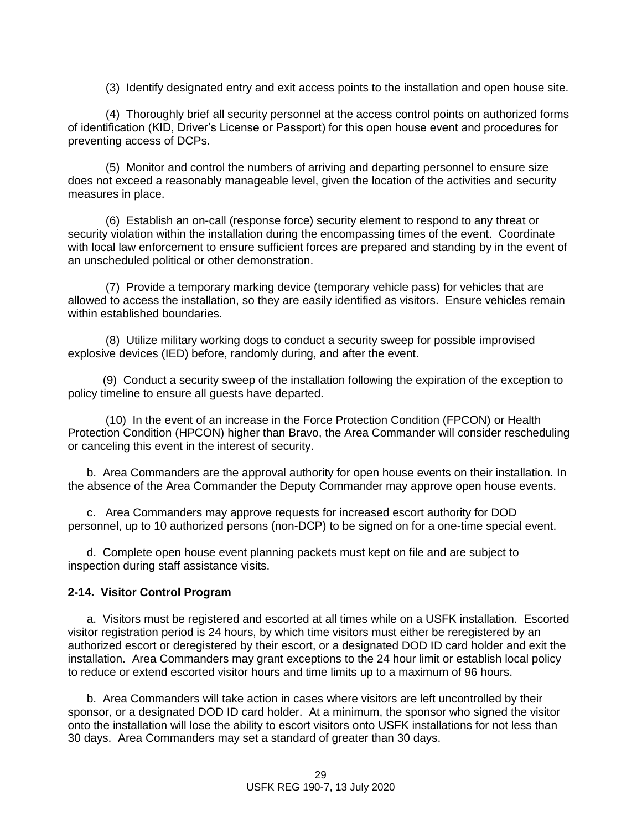(3) Identify designated entry and exit access points to the installation and open house site.

(4) Thoroughly brief all security personnel at the access control points on authorized forms of identification (KID, Driver's License or Passport) for this open house event and procedures for preventing access of DCPs.

(5) Monitor and control the numbers of arriving and departing personnel to ensure size does not exceed a reasonably manageable level, given the location of the activities and security measures in place.

(6) Establish an on-call (response force) security element to respond to any threat or security violation within the installation during the encompassing times of the event. Coordinate with local law enforcement to ensure sufficient forces are prepared and standing by in the event of an unscheduled political or other demonstration.

(7) Provide a temporary marking device (temporary vehicle pass) for vehicles that are allowed to access the installation, so they are easily identified as visitors. Ensure vehicles remain within established boundaries.

(8) Utilize military working dogs to conduct a security sweep for possible improvised explosive devices (IED) before, randomly during, and after the event.

 (9) Conduct a security sweep of the installation following the expiration of the exception to policy timeline to ensure all guests have departed.

(10) In the event of an increase in the Force Protection Condition (FPCON) or Health Protection Condition (HPCON) higher than Bravo, the Area Commander will consider rescheduling or canceling this event in the interest of security.

b. Area Commanders are the approval authority for open house events on their installation. In the absence of the Area Commander the Deputy Commander may approve open house events.

c. Area Commanders may approve requests for increased escort authority for DOD personnel, up to 10 authorized persons (non-DCP) to be signed on for a one-time special event.

d. Complete open house event planning packets must kept on file and are subject to inspection during staff assistance visits.

#### **2-14. Visitor Control Program**

a. Visitors must be registered and escorted at all times while on a USFK installation. Escorted visitor registration period is 24 hours, by which time visitors must either be reregistered by an authorized escort or deregistered by their escort, or a designated DOD ID card holder and exit the installation. Area Commanders may grant exceptions to the 24 hour limit or establish local policy to reduce or extend escorted visitor hours and time limits up to a maximum of 96 hours.

b. Area Commanders will take action in cases where visitors are left uncontrolled by their sponsor, or a designated DOD ID card holder. At a minimum, the sponsor who signed the visitor onto the installation will lose the ability to escort visitors onto USFK installations for not less than 30 days. Area Commanders may set a standard of greater than 30 days.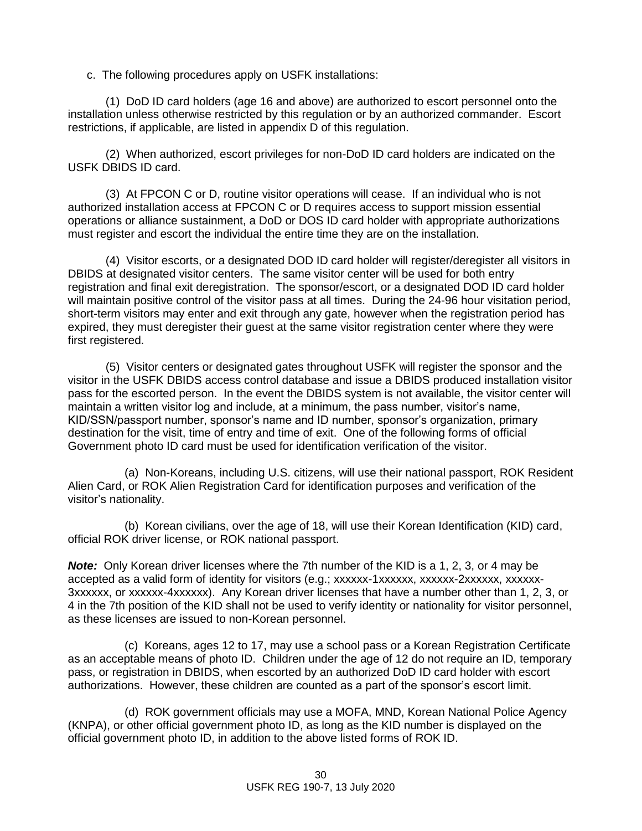c. The following procedures apply on USFK installations:

(1) DoD ID card holders (age 16 and above) are authorized to escort personnel onto the installation unless otherwise restricted by this regulation or by an authorized commander. Escort restrictions, if applicable, are listed in appendix D of this regulation.

(2) When authorized, escort privileges for non-DoD ID card holders are indicated on the USFK DBIDS ID card.

(3) At FPCON C or D, routine visitor operations will cease. If an individual who is not authorized installation access at FPCON C or D requires access to support mission essential operations or alliance sustainment, a DoD or DOS ID card holder with appropriate authorizations must register and escort the individual the entire time they are on the installation.

(4) Visitor escorts, or a designated DOD ID card holder will register/deregister all visitors in DBIDS at designated visitor centers. The same visitor center will be used for both entry registration and final exit deregistration. The sponsor/escort, or a designated DOD ID card holder will maintain positive control of the visitor pass at all times. During the 24-96 hour visitation period, short-term visitors may enter and exit through any gate, however when the registration period has expired, they must deregister their guest at the same visitor registration center where they were first registered.

(5) Visitor centers or designated gates throughout USFK will register the sponsor and the visitor in the USFK DBIDS access control database and issue a DBIDS produced installation visitor pass for the escorted person. In the event the DBIDS system is not available, the visitor center will maintain a written visitor log and include, at a minimum, the pass number, visitor's name, KID/SSN/passport number, sponsor's name and ID number, sponsor's organization, primary destination for the visit, time of entry and time of exit. One of the following forms of official Government photo ID card must be used for identification verification of the visitor.

(a) Non-Koreans, including U.S. citizens, will use their national passport, ROK Resident Alien Card, or ROK Alien Registration Card for identification purposes and verification of the visitor's nationality.

(b) Korean civilians, over the age of 18, will use their Korean Identification (KID) card, official ROK driver license, or ROK national passport.

*Note:* Only Korean driver licenses where the 7th number of the KID is a 1, 2, 3, or 4 may be accepted as a valid form of identity for visitors (e.g.; xxxxxx-1xxxxxx, xxxxxx-2xxxxxx, xxxxxx-3xxxxxx, or xxxxxx-4xxxxxx). Any Korean driver licenses that have a number other than 1, 2, 3, or 4 in the 7th position of the KID shall not be used to verify identity or nationality for visitor personnel, as these licenses are issued to non-Korean personnel.

(c) Koreans, ages 12 to 17, may use a school pass or a Korean Registration Certificate as an acceptable means of photo ID. Children under the age of 12 do not require an ID, temporary pass, or registration in DBIDS, when escorted by an authorized DoD ID card holder with escort authorizations. However, these children are counted as a part of the sponsor's escort limit.

(d) ROK government officials may use a MOFA, MND, Korean National Police Agency (KNPA), or other official government photo ID, as long as the KID number is displayed on the official government photo ID, in addition to the above listed forms of ROK ID.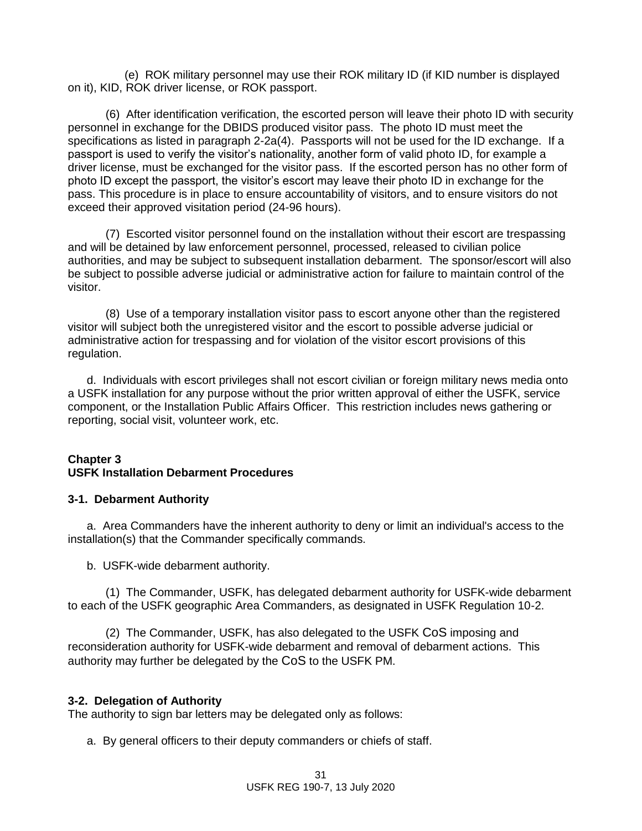(e) ROK military personnel may use their ROK military ID (if KID number is displayed on it), KID, ROK driver license, or ROK passport.

(6) After identification verification, the escorted person will leave their photo ID with security personnel in exchange for the DBIDS produced visitor pass. The photo ID must meet the specifications as listed in paragraph 2-2a(4). Passports will not be used for the ID exchange. If a passport is used to verify the visitor's nationality, another form of valid photo ID, for example a driver license, must be exchanged for the visitor pass. If the escorted person has no other form of photo ID except the passport, the visitor's escort may leave their photo ID in exchange for the pass. This procedure is in place to ensure accountability of visitors, and to ensure visitors do not exceed their approved visitation period (24-96 hours).

(7) Escorted visitor personnel found on the installation without their escort are trespassing and will be detained by law enforcement personnel, processed, released to civilian police authorities, and may be subject to subsequent installation debarment. The sponsor/escort will also be subject to possible adverse judicial or administrative action for failure to maintain control of the visitor.

(8) Use of a temporary installation visitor pass to escort anyone other than the registered visitor will subject both the unregistered visitor and the escort to possible adverse judicial or administrative action for trespassing and for violation of the visitor escort provisions of this regulation.

d. Individuals with escort privileges shall not escort civilian or foreign military news media onto a USFK installation for any purpose without the prior written approval of either the USFK, service component, or the Installation Public Affairs Officer. This restriction includes news gathering or reporting, social visit, volunteer work, etc.

### **Chapter 3 USFK Installation Debarment Procedures**

### **3-1. Debarment Authority**

a. Area Commanders have the inherent authority to deny or limit an individual's access to the installation(s) that the Commander specifically commands.

b. USFK-wide debarment authority.

(1) The Commander, USFK, has delegated debarment authority for USFK-wide debarment to each of the USFK geographic Area Commanders, as designated in USFK Regulation 10-2.

(2) The Commander, USFK, has also delegated to the USFK CoS imposing and reconsideration authority for USFK-wide debarment and removal of debarment actions. This authority may further be delegated by the CoS to the USFK PM.

#### **3-2. Delegation of Authority**

The authority to sign bar letters may be delegated only as follows:

a. By general officers to their deputy commanders or chiefs of staff.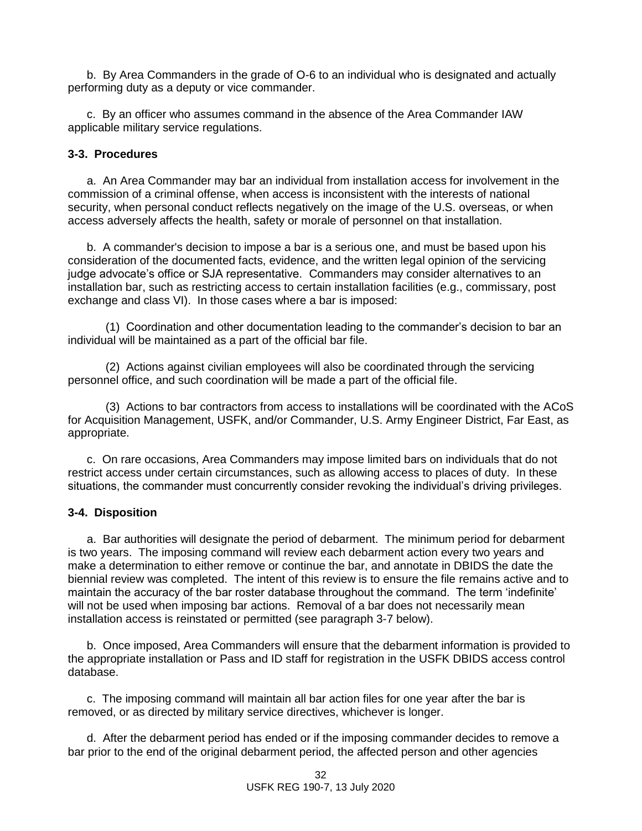b. By Area Commanders in the grade of O-6 to an individual who is designated and actually performing duty as a deputy or vice commander.

c. By an officer who assumes command in the absence of the Area Commander IAW applicable military service regulations.

### **3-3. Procedures**

a. An Area Commander may bar an individual from installation access for involvement in the commission of a criminal offense, when access is inconsistent with the interests of national security, when personal conduct reflects negatively on the image of the U.S. overseas, or when access adversely affects the health, safety or morale of personnel on that installation.

b. A commander's decision to impose a bar is a serious one, and must be based upon his consideration of the documented facts, evidence, and the written legal opinion of the servicing judge advocate's office or SJA representative. Commanders may consider alternatives to an installation bar, such as restricting access to certain installation facilities (e.g., commissary, post exchange and class VI). In those cases where a bar is imposed:

(1) Coordination and other documentation leading to the commander's decision to bar an individual will be maintained as a part of the official bar file.

(2) Actions against civilian employees will also be coordinated through the servicing personnel office, and such coordination will be made a part of the official file.

(3) Actions to bar contractors from access to installations will be coordinated with the ACoS for Acquisition Management, USFK, and/or Commander, U.S. Army Engineer District, Far East, as appropriate.

c. On rare occasions, Area Commanders may impose limited bars on individuals that do not restrict access under certain circumstances, such as allowing access to places of duty. In these situations, the commander must concurrently consider revoking the individual's driving privileges.

### **3-4. Disposition**

a. Bar authorities will designate the period of debarment. The minimum period for debarment is two years. The imposing command will review each debarment action every two years and make a determination to either remove or continue the bar, and annotate in DBIDS the date the biennial review was completed. The intent of this review is to ensure the file remains active and to maintain the accuracy of the bar roster database throughout the command. The term 'indefinite' will not be used when imposing bar actions. Removal of a bar does not necessarily mean installation access is reinstated or permitted (see paragraph 3-7 below).

b.Once imposed, Area Commanders will ensure that the debarment information is provided to the appropriate installation or Pass and ID staff for registration in the USFK DBIDS access control database.

c. The imposing command will maintain all bar action files for one year after the bar is removed, or as directed by military service directives, whichever is longer.

d. After the debarment period has ended or if the imposing commander decides to remove a bar prior to the end of the original debarment period, the affected person and other agencies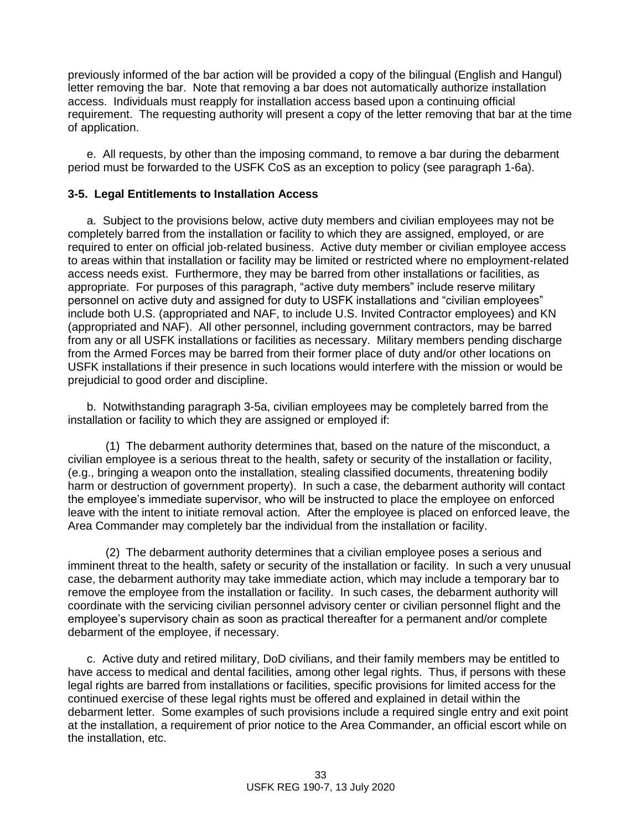previously informed of the bar action will be provided a copy of the bilingual (English and Hangul) letter removing the bar. Note that removing a bar does not automatically authorize installation access. Individuals must reapply for installation access based upon a continuing official requirement. The requesting authority will present a copy of the letter removing that bar at the time of application.

e. All requests, by other than the imposing command, to remove a bar during the debarment period must be forwarded to the USFK CoS as an exception to policy (see paragraph 1-6a).

### **3-5. Legal Entitlements to Installation Access**

a. Subject to the provisions below, active duty members and civilian employees may not be completely barred from the installation or facility to which they are assigned, employed, or are required to enter on official job-related business. Active duty member or civilian employee access to areas within that installation or facility may be limited or restricted where no employment-related access needs exist. Furthermore, they may be barred from other installations or facilities, as appropriate. For purposes of this paragraph, "active duty members" include reserve military personnel on active duty and assigned for duty to USFK installations and "civilian employees" include both U.S. (appropriated and NAF, to include U.S. Invited Contractor employees) and KN (appropriated and NAF). All other personnel, including government contractors, may be barred from any or all USFK installations or facilities as necessary. Military members pending discharge from the Armed Forces may be barred from their former place of duty and/or other locations on USFK installations if their presence in such locations would interfere with the mission or would be prejudicial to good order and discipline.

b. Notwithstanding paragraph 3-5a, civilian employees may be completely barred from the installation or facility to which they are assigned or employed if:

(1) The debarment authority determines that, based on the nature of the misconduct, a civilian employee is a serious threat to the health, safety or security of the installation or facility, (e.g., bringing a weapon onto the installation, stealing classified documents, threatening bodily harm or destruction of government property). In such a case, the debarment authority will contact the employee's immediate supervisor, who will be instructed to place the employee on enforced leave with the intent to initiate removal action. After the employee is placed on enforced leave, the Area Commander may completely bar the individual from the installation or facility.

(2) The debarment authority determines that a civilian employee poses a serious and imminent threat to the health, safety or security of the installation or facility. In such a very unusual case, the debarment authority may take immediate action, which may include a temporary bar to remove the employee from the installation or facility. In such cases, the debarment authority will coordinate with the servicing civilian personnel advisory center or civilian personnel flight and the employee's supervisory chain as soon as practical thereafter for a permanent and/or complete debarment of the employee, if necessary.

c. Active duty and retired military, DoD civilians, and their family members may be entitled to have access to medical and dental facilities, among other legal rights. Thus, if persons with these legal rights are barred from installations or facilities, specific provisions for limited access for the continued exercise of these legal rights must be offered and explained in detail within the debarment letter. Some examples of such provisions include a required single entry and exit point at the installation, a requirement of prior notice to the Area Commander, an official escort while on the installation, etc.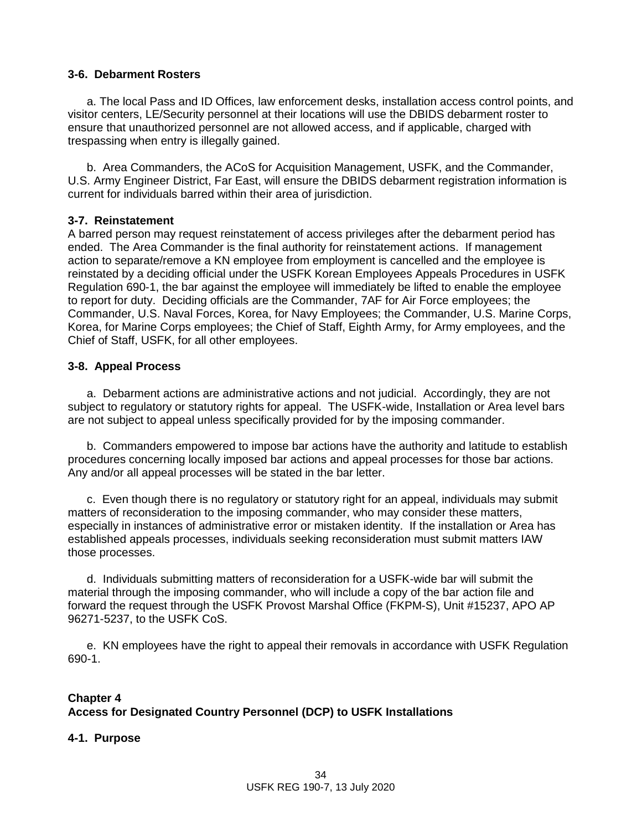#### **3-6. Debarment Rosters**

a. The local Pass and ID Offices, law enforcement desks, installation access control points, and visitor centers, LE/Security personnel at their locations will use the DBIDS debarment roster to ensure that unauthorized personnel are not allowed access, and if applicable, charged with trespassing when entry is illegally gained.

b. Area Commanders, the ACoS for Acquisition Management, USFK, and the Commander, U.S. Army Engineer District, Far East, will ensure the DBIDS debarment registration information is current for individuals barred within their area of jurisdiction.

### **3-7. Reinstatement**

A barred person may request reinstatement of access privileges after the debarment period has ended. The Area Commander is the final authority for reinstatement actions. If management action to separate/remove a KN employee from employment is cancelled and the employee is reinstated by a deciding official under the USFK Korean Employees Appeals Procedures in USFK Regulation 690-1, the bar against the employee will immediately be lifted to enable the employee to report for duty. Deciding officials are the Commander, 7AF for Air Force employees; the Commander, U.S. Naval Forces, Korea, for Navy Employees; the Commander, U.S. Marine Corps, Korea, for Marine Corps employees; the Chief of Staff, Eighth Army, for Army employees, and the Chief of Staff, USFK, for all other employees.

### **3-8. Appeal Process**

a. Debarment actions are administrative actions and not judicial. Accordingly, they are not subject to regulatory or statutory rights for appeal. The USFK-wide, Installation or Area level bars are not subject to appeal unless specifically provided for by the imposing commander.

b. Commanders empowered to impose bar actions have the authority and latitude to establish procedures concerning locally imposed bar actions and appeal processes for those bar actions. Any and/or all appeal processes will be stated in the bar letter.

c. Even though there is no regulatory or statutory right for an appeal, individuals may submit matters of reconsideration to the imposing commander, who may consider these matters, especially in instances of administrative error or mistaken identity. If the installation or Area has established appeals processes, individuals seeking reconsideration must submit matters IAW those processes.

d. Individuals submitting matters of reconsideration for a USFK-wide bar will submit the material through the imposing commander, who will include a copy of the bar action file and forward the request through the USFK Provost Marshal Office (FKPM-S), Unit #15237, APO AP 96271-5237, to the USFK CoS.

e. KN employees have the right to appeal their removals in accordance with USFK Regulation 690-1.

## **Chapter 4 Access for Designated Country Personnel (DCP) to USFK Installations**

### **4-1. Purpose**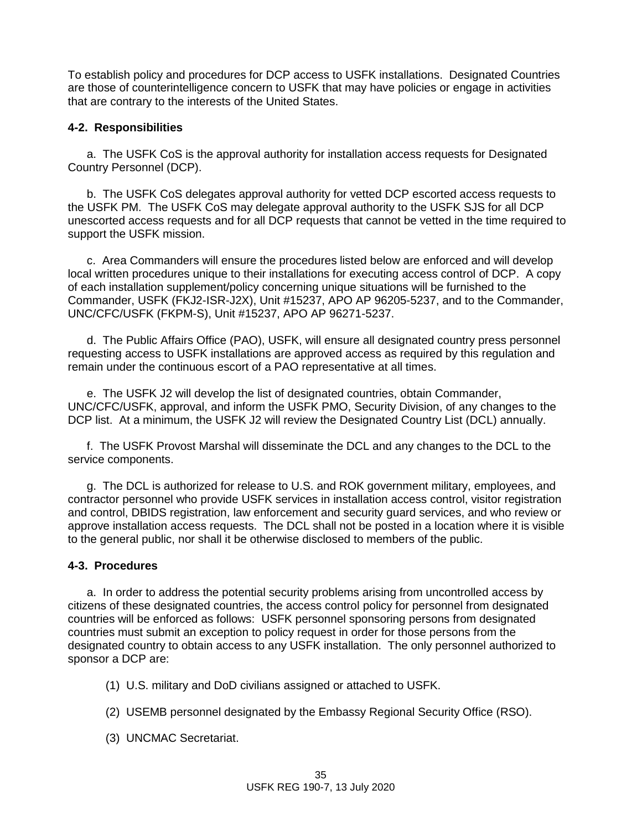To establish policy and procedures for DCP access to USFK installations. Designated Countries are those of counterintelligence concern to USFK that may have policies or engage in activities that are contrary to the interests of the United States.

### **4-2. Responsibilities**

a. The USFK CoS is the approval authority for installation access requests for Designated Country Personnel (DCP).

b. The USFK CoS delegates approval authority for vetted DCP escorted access requests to the USFK PM. The USFK CoS may delegate approval authority to the USFK SJS for all DCP unescorted access requests and for all DCP requests that cannot be vetted in the time required to support the USFK mission.

c. Area Commanders will ensure the procedures listed below are enforced and will develop local written procedures unique to their installations for executing access control of DCP. A copy of each installation supplement/policy concerning unique situations will be furnished to the Commander, USFK (FKJ2-ISR-J2X), Unit #15237, APO AP 96205-5237, and to the Commander, UNC/CFC/USFK (FKPM-S), Unit #15237, APO AP 96271-5237.

d. The Public Affairs Office (PAO), USFK, will ensure all designated country press personnel requesting access to USFK installations are approved access as required by this regulation and remain under the continuous escort of a PAO representative at all times.

e. The USFK J2 will develop the list of designated countries, obtain Commander, UNC/CFC/USFK, approval, and inform the USFK PMO, Security Division, of any changes to the DCP list. At a minimum, the USFK J2 will review the Designated Country List (DCL) annually.

f. The USFK Provost Marshal will disseminate the DCL and any changes to the DCL to the service components.

g. The DCL is authorized for release to U.S. and ROK government military, employees, and contractor personnel who provide USFK services in installation access control, visitor registration and control, DBIDS registration, law enforcement and security guard services, and who review or approve installation access requests. The DCL shall not be posted in a location where it is visible to the general public, nor shall it be otherwise disclosed to members of the public.

### **4-3. Procedures**

a. In order to address the potential security problems arising from uncontrolled access by citizens of these designated countries, the access control policy for personnel from designated countries will be enforced as follows: USFK personnel sponsoring persons from designated countries must submit an exception to policy request in order for those persons from the designated country to obtain access to any USFK installation. The only personnel authorized to sponsor a DCP are:

- (1) U.S. military and DoD civilians assigned or attached to USFK.
- (2) USEMB personnel designated by the Embassy Regional Security Office (RSO).
- (3) UNCMAC Secretariat.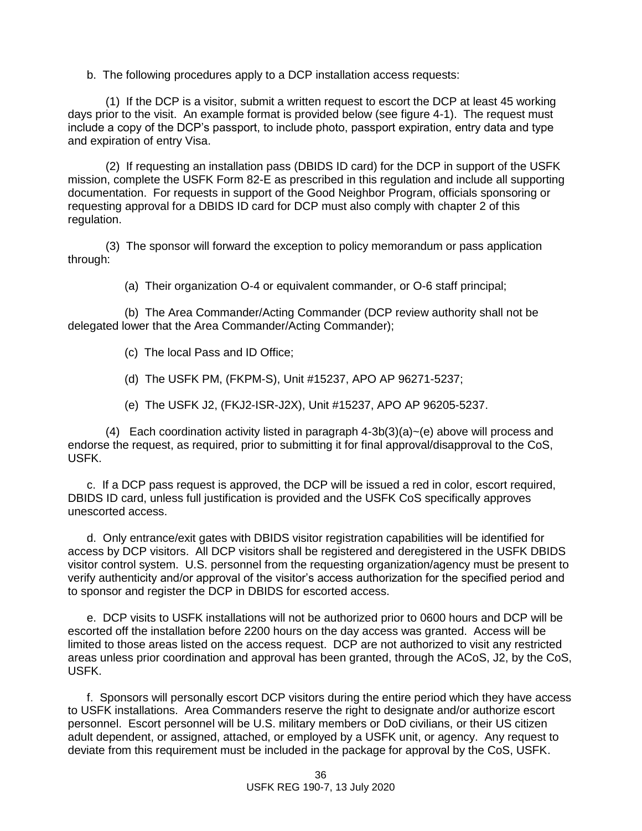b. The following procedures apply to a DCP installation access requests:

(1) If the DCP is a visitor, submit a written request to escort the DCP at least 45 working days prior to the visit. An example format is provided below (see figure 4-1). The request must include a copy of the DCP's passport, to include photo, passport expiration, entry data and type and expiration of entry Visa.

(2) If requesting an installation pass (DBIDS ID card) for the DCP in support of the USFK mission, complete the USFK Form 82-E as prescribed in this regulation and include all supporting documentation. For requests in support of the Good Neighbor Program, officials sponsoring or requesting approval for a DBIDS ID card for DCP must also comply with chapter 2 of this regulation.

(3) The sponsor will forward the exception to policy memorandum or pass application through:

(a) Their organization O-4 or equivalent commander, or O-6 staff principal;

(b) The Area Commander/Acting Commander (DCP review authority shall not be delegated lower that the Area Commander/Acting Commander);

- (c) The local Pass and ID Office;
- (d) The USFK PM, (FKPM-S), Unit #15237, APO AP 96271-5237;
- (e) The USFK J2, (FKJ2-ISR-J2X), Unit #15237, APO AP 96205-5237.

(4) Each coordination activity listed in paragraph  $4-3b(3)(a)$  -(e) above will process and endorse the request, as required, prior to submitting it for final approval/disapproval to the CoS, USFK.

c. If a DCP pass request is approved, the DCP will be issued a red in color, escort required, DBIDS ID card, unless full justification is provided and the USFK CoS specifically approves unescorted access.

d. Only entrance/exit gates with DBIDS visitor registration capabilities will be identified for access by DCP visitors. All DCP visitors shall be registered and deregistered in the USFK DBIDS visitor control system. U.S. personnel from the requesting organization/agency must be present to verify authenticity and/or approval of the visitor's access authorization for the specified period and to sponsor and register the DCP in DBIDS for escorted access.

e. DCP visits to USFK installations will not be authorized prior to 0600 hours and DCP will be escorted off the installation before 2200 hours on the day access was granted. Access will be limited to those areas listed on the access request. DCP are not authorized to visit any restricted areas unless prior coordination and approval has been granted, through the ACoS, J2, by the CoS, USFK.

f. Sponsors will personally escort DCP visitors during the entire period which they have access to USFK installations. Area Commanders reserve the right to designate and/or authorize escort personnel. Escort personnel will be U.S. military members or DoD civilians, or their US citizen adult dependent, or assigned, attached, or employed by a USFK unit, or agency. Any request to deviate from this requirement must be included in the package for approval by the CoS, USFK.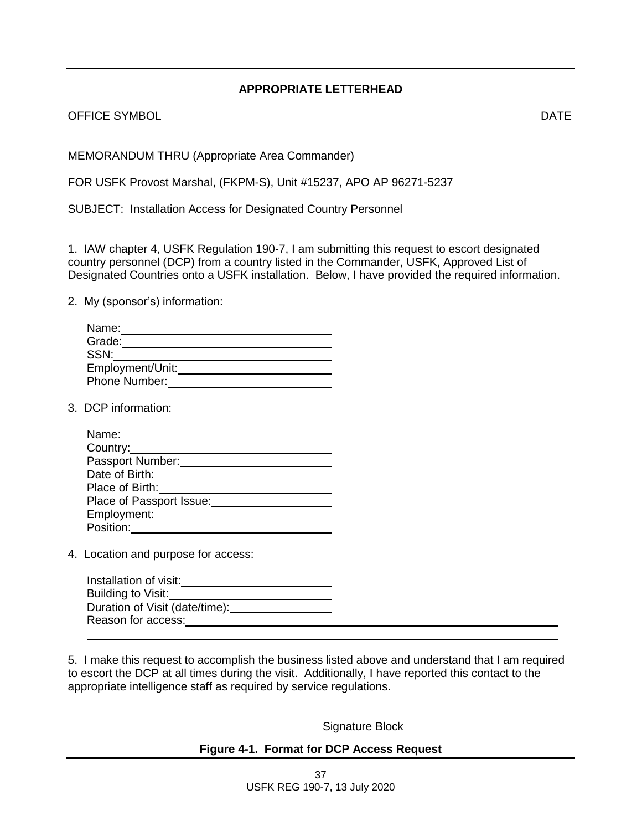## **APPROPRIATE LETTERHEAD**

OFFICE SYMBOL **DATE** 

MEMORANDUM THRU (Appropriate Area Commander)

FOR USFK Provost Marshal, (FKPM-S), Unit #15237, APO AP 96271-5237

SUBJECT: Installation Access for Designated Country Personnel

1. IAW chapter 4, USFK Regulation 190-7, I am submitting this request to escort designated country personnel (DCP) from a country listed in the Commander, USFK, Approved List of Designated Countries onto a USFK installation. Below, I have provided the required information.

2. My (sponsor's) information:

| Name:            |  |
|------------------|--|
| Grade:           |  |
| SSN:             |  |
| Employment/Unit: |  |
| Phone Number:    |  |

3. DCP information:

| Name:                    |
|--------------------------|
| Country:                 |
| Passport Number:         |
| Date of Birth:           |
| Place of Birth:          |
| Place of Passport Issue: |
| Employment:              |
| Position:                |

4. Location and purpose for access:

| Installation of visit:         |
|--------------------------------|
| Building to Visit:             |
| Duration of Visit (date/time): |
| Reason for access:             |

5. I make this request to accomplish the business listed above and understand that I am required to escort the DCP at all times during the visit. Additionally, I have reported this contact to the appropriate intelligence staff as required by service regulations.

Signature Block

## **Figure 4-1. Format for DCP Access Request**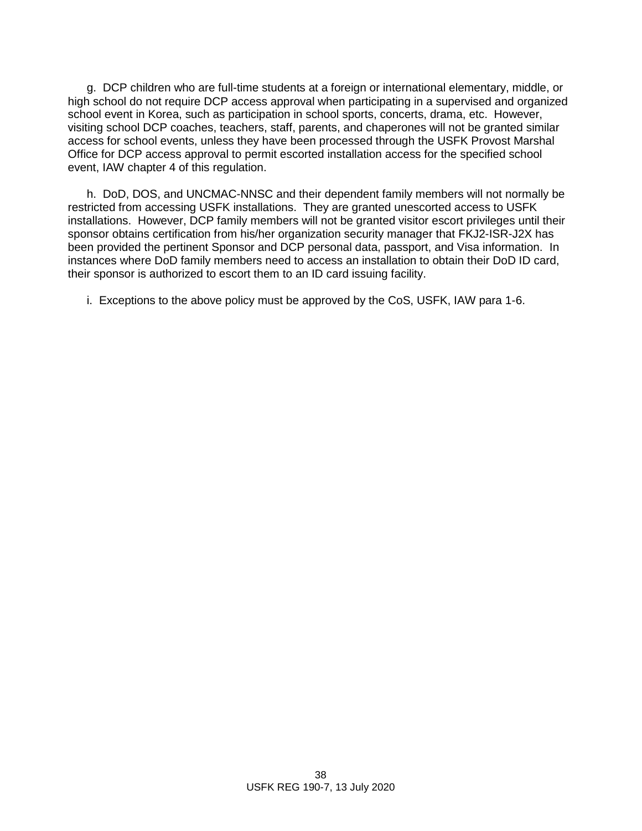g. DCP children who are full-time students at a foreign or international elementary, middle, or high school do not require DCP access approval when participating in a supervised and organized school event in Korea, such as participation in school sports, concerts, drama, etc. However, visiting school DCP coaches, teachers, staff, parents, and chaperones will not be granted similar access for school events, unless they have been processed through the USFK Provost Marshal Office for DCP access approval to permit escorted installation access for the specified school event, IAW chapter 4 of this regulation.

h. DoD, DOS, and UNCMAC-NNSC and their dependent family members will not normally be restricted from accessing USFK installations. They are granted unescorted access to USFK installations. However, DCP family members will not be granted visitor escort privileges until their sponsor obtains certification from his/her organization security manager that FKJ2-ISR-J2X has been provided the pertinent Sponsor and DCP personal data, passport, and Visa information. In instances where DoD family members need to access an installation to obtain their DoD ID card, their sponsor is authorized to escort them to an ID card issuing facility.

i. Exceptions to the above policy must be approved by the CoS, USFK, IAW para 1-6.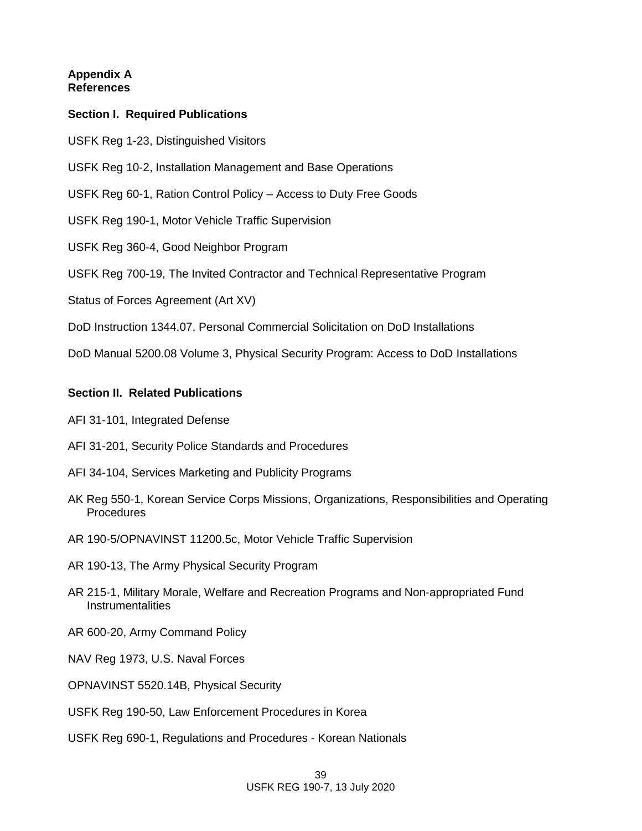### **Appendix A References**

## **Section I. Required Publications**

- USFK Reg 1-23, Distinguished Visitors
- USFK Reg 10-2, Installation Management and Base Operations
- USFK Reg 60-1, Ration Control Policy Access to Duty Free Goods
- USFK Reg 190-1, Motor Vehicle Traffic Supervision
- USFK Reg 360-4, Good Neighbor Program
- USFK Reg 700-19, The Invited Contractor and Technical Representative Program
- Status of Forces Agreement (Art XV)
- DoD Instruction 1344.07, Personal Commercial Solicitation on DoD Installations

DoD Manual 5200.08 Volume 3, Physical Security Program: Access to DoD Installations

### **Section II. Related Publications**

- AFI 31-101, Integrated Defense
- AFI 31-201, Security Police Standards and Procedures
- AFI 34-104, Services Marketing and Publicity Programs
- AK Reg 550-1, Korean Service Corps Missions, Organizations, Responsibilities and Operating Procedures
- AR 190-5/OPNAVINST 11200.5c, Motor Vehicle Traffic Supervision
- AR 190-13, The Army Physical Security Program
- AR 215-1, Military Morale, Welfare and Recreation Programs and Non-appropriated Fund **Instrumentalities**
- AR 600-20, Army Command Policy
- NAV Reg 1973, U.S. Naval Forces
- OPNAVINST 5520.14B, Physical Security
- USFK Reg 190-50, Law Enforcement Procedures in Korea
- USFK Reg 690-1, Regulations and Procedures Korean Nationals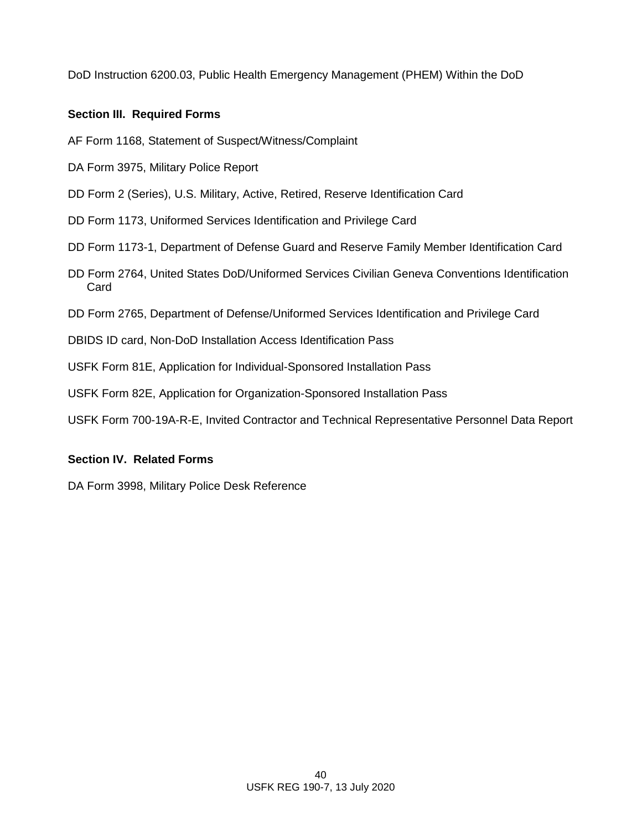DoD Instruction 6200.03, Public Health Emergency Management (PHEM) Within the DoD

## **Section III. Required Forms**

AF Form 1168, Statement of Suspect/Witness/Complaint

- DA Form 3975, Military Police Report
- DD Form 2 (Series), U.S. Military, Active, Retired, Reserve Identification Card
- DD Form 1173, Uniformed Services Identification and Privilege Card
- DD Form 1173-1, Department of Defense Guard and Reserve Family Member Identification Card
- DD Form 2764, United States DoD/Uniformed Services Civilian Geneva Conventions Identification Card
- DD Form 2765, Department of Defense/Uniformed Services Identification and Privilege Card
- DBIDS ID card, Non-DoD Installation Access Identification Pass
- USFK Form 81E, Application for Individual-Sponsored Installation Pass
- USFK Form 82E, Application for Organization-Sponsored Installation Pass
- USFK Form 700-19A-R-E, Invited Contractor and Technical Representative Personnel Data Report

## **Section IV. Related Forms**

DA Form 3998, Military Police Desk Reference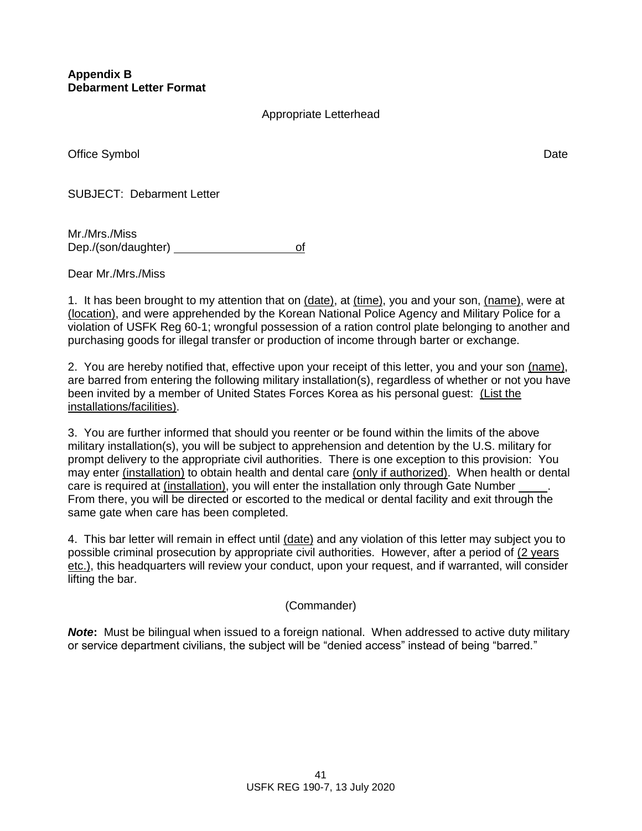## Appropriate Letterhead

Office Symbol Date **Date** Date of the Symbol Date of the Symbol Date of the Symbol Date of the Symbol Date of the Symbol Date of the Symbol Date of the Symbol Date of the Symbol Date of the Symbol Date of the Symbol Date o

SUBJECT: Debarment Letter

Mr./Mrs./Miss Dep./(son/daughter) of

Dear Mr./Mrs./Miss

1. It has been brought to my attention that on (date), at (time), you and your son, (name), were at (location), and were apprehended by the Korean National Police Agency and Military Police for a violation of USFK Reg 60-1; wrongful possession of a ration control plate belonging to another and purchasing goods for illegal transfer or production of income through barter or exchange.

2. You are hereby notified that, effective upon your receipt of this letter, you and your son (name), are barred from entering the following military installation(s), regardless of whether or not you have been invited by a member of United States Forces Korea as his personal guest: (List the installations/facilities).

3. You are further informed that should you reenter or be found within the limits of the above military installation(s), you will be subject to apprehension and detention by the U.S. military for prompt delivery to the appropriate civil authorities. There is one exception to this provision: You may enter (installation) to obtain health and dental care (only if authorized). When health or dental care is required at (installation), you will enter the installation only through Gate Number . From there, you will be directed or escorted to the medical or dental facility and exit through the same gate when care has been completed.

4. This bar letter will remain in effect until (date) and any violation of this letter may subject you to possible criminal prosecution by appropriate civil authorities. However, after a period of (2 years etc.), this headquarters will review your conduct, upon your request, and if warranted, will consider lifting the bar.

(Commander)

*Note***:** Must be bilingual when issued to a foreign national. When addressed to active duty military or service department civilians, the subject will be "denied access" instead of being "barred."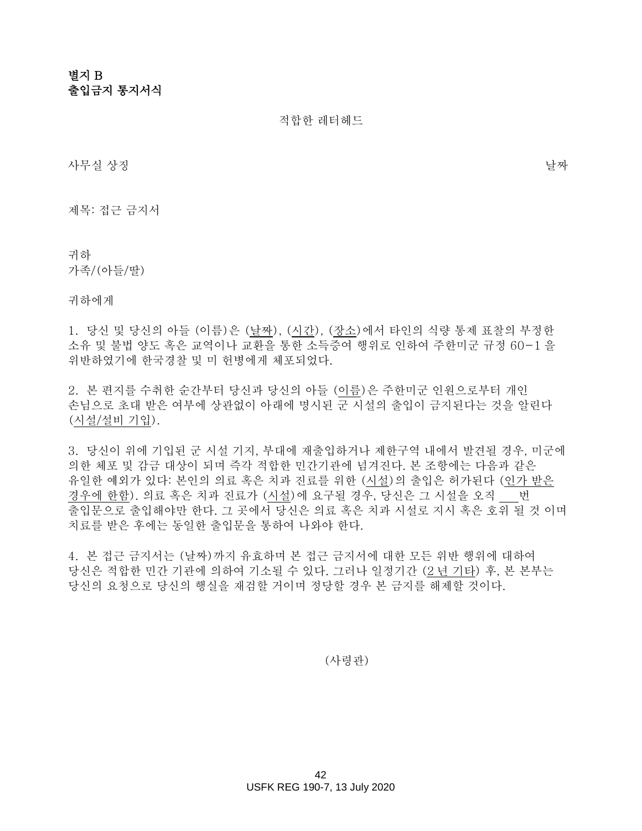# 별지 B 출입금지 통지서식

적합한 레터헤드

사무실 상징 날짜

제목: 접근 금지서

귀하 가족/(아들/딸)

귀하에게

1. 당신 및 당신의 아들 (이름)은 (날짜), (시간), (장소)에서 타인의 식량 통제 표찰의 부정한 소유 및 불법 양도 혹은 교역이나 교환을 통한 소득증여 행위로 인하여 주한미군 규정 60-1 을 위반하였기에 한국경찰 및 미 헌병에게 체포되었다.

2. 본 편지를 수취한 순간부터 당신과 당신의 아들 (이름)은 주한미군 인원으로부터 개인 손님으로 초대 받은 여부에 상관없이 아래에 명시된 군 시설의 출입이 금지된다는 것을 알린다 (시설/설비 기입).

3. 당신이 위에 기입된 군 시설 기지, 부대에 재출입하거나 제한구역 내에서 발견될 경우, 미군에 의한 체포 및 감금 대상이 되며 즉각 적합한 민간기관에 넘겨진다. 본 조항에는 다음과 같은 유일한 예외가 있다: 본인의 의료 혹은 치과 진료를 위한 (시설)의 출입은 허가된다 (인가 받은 경우에 한함). 의료 혹은 치과 진료가 (시설)에 요구될 경우, 당신은 그 시설을 오직 번 출입문으로 출입해야만 한다. 그 곳에서 당신은 의료 혹은 치과 시설로 지시 혹은 호위 될 것 이며 치료를 받은 후에는 동일한 출입문을 통하여 나와야 한다.

4. 본 접근 금지서는 (날짜)까지 유효하며 본 접근 금지서에 대한 모든 위반 행위에 대하여 당신은 적합한 민간 기관에 의하여 기소될 수 있다. 그러나 일정기간 (2 년 기타) 후, 본 본부는 당신의 요청으로 당신의 행실을 재검할 거이며 정당할 경우 본 금지를 해제할 것이다.

(사령관)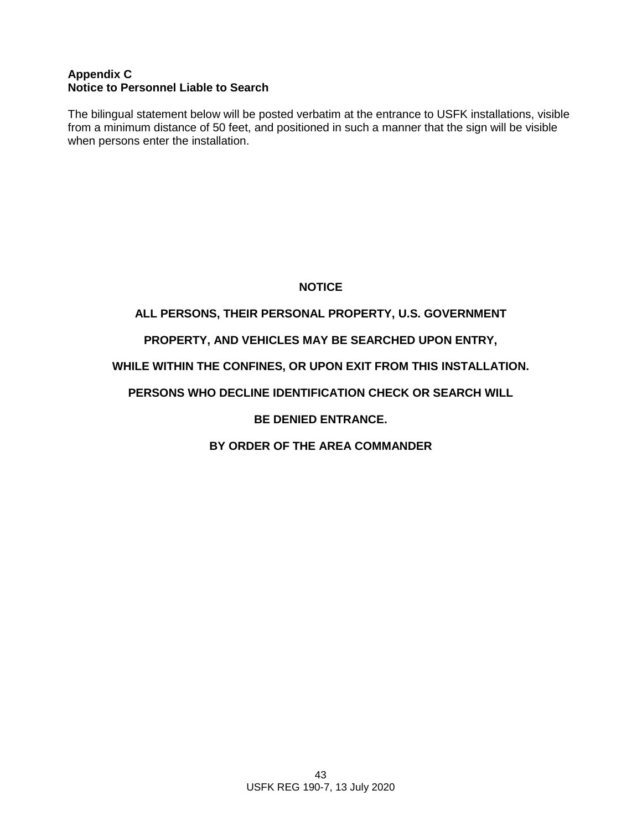## **Appendix C Notice to Personnel Liable to Search**

The bilingual statement below will be posted verbatim at the entrance to USFK installations, visible from a minimum distance of 50 feet, and positioned in such a manner that the sign will be visible when persons enter the installation.

## **NOTICE**

## **ALL PERSONS, THEIR PERSONAL PROPERTY, U.S. GOVERNMENT**

## **PROPERTY, AND VEHICLES MAY BE SEARCHED UPON ENTRY,**

## **WHILE WITHIN THE CONFINES, OR UPON EXIT FROM THIS INSTALLATION.**

## **PERSONS WHO DECLINE IDENTIFICATION CHECK OR SEARCH WILL**

## **BE DENIED ENTRANCE.**

## **BY ORDER OF THE AREA COMMANDER**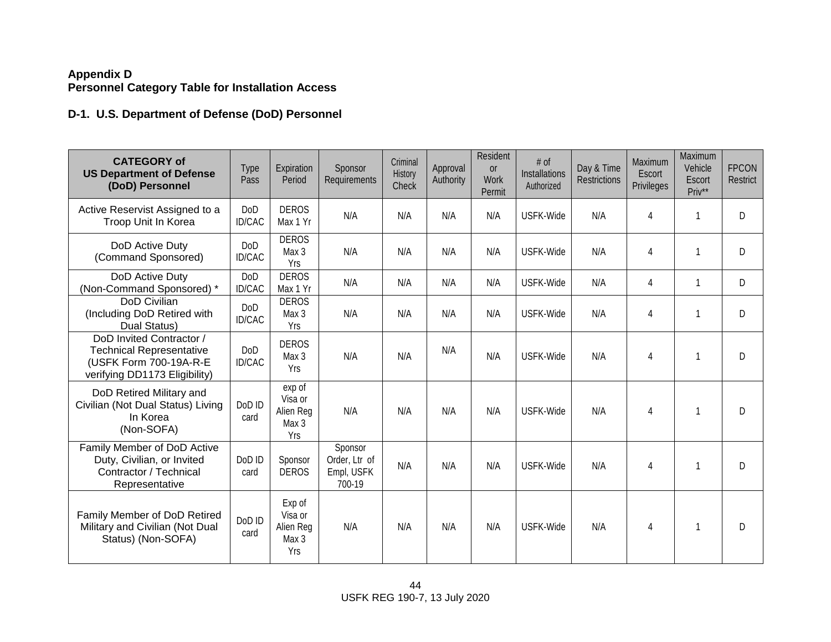## **Appendix D Personnel Category Table for Installation Access**

# **D-1. U.S. Department of Defense (DoD) Personnel**

| <b>CATEGORY of</b><br><b>US Department of Defense</b><br>(DoD) Personnel                                               | Type<br>Pass   | Expiration<br>Period                           | Sponsor<br>Requirements                          | Criminal<br>History<br>Check | Approval<br>Authority | Resident<br><b>or</b><br><b>Work</b><br>Permit | # of<br><b>Installations</b><br>Authorized | Day & Time<br><b>Restrictions</b> | Maximum<br>Escort<br>Privileges | Maximum<br>Vehicle<br>Escort<br>Priv** | <b>FPCON</b><br>Restrict |
|------------------------------------------------------------------------------------------------------------------------|----------------|------------------------------------------------|--------------------------------------------------|------------------------------|-----------------------|------------------------------------------------|--------------------------------------------|-----------------------------------|---------------------------------|----------------------------------------|--------------------------|
| Active Reservist Assigned to a<br>Troop Unit In Korea                                                                  | DoD<br>ID/CAC  | <b>DEROS</b><br>Max 1 Yr                       | N/A                                              | N/A                          | N/A                   | N/A                                            | USFK-Wide                                  | N/A                               | 4                               | 1                                      | D                        |
| DoD Active Duty<br>(Command Sponsored)                                                                                 | DoD<br>ID/CAC  | <b>DEROS</b><br>Max 3<br>Yrs                   | N/A                                              | N/A                          | N/A                   | N/A                                            | USFK-Wide                                  | N/A                               | 4                               | 1                                      | D                        |
| DoD Active Duty<br>(Non-Command Sponsored) *                                                                           | DoD<br>ID/CAC  | <b>DEROS</b><br>Max 1 Yr                       | N/A                                              | N/A                          | N/A                   | N/A                                            | USFK-Wide                                  | N/A                               | 4                               | $\mathbf{1}$                           | D                        |
| DoD Civilian<br>(Including DoD Retired with<br>Dual Status)                                                            | DoD<br>ID/CAC  | <b>DEROS</b><br>Max 3<br>Yrs                   | N/A                                              | N/A                          | N/A                   | N/A                                            | USFK-Wide                                  | N/A                               | 4                               | 1                                      | D                        |
| DoD Invited Contractor /<br><b>Technical Representative</b><br>(USFK Form 700-19A-R-E<br>verifying DD1173 Eligibility) | DoD<br>ID/CAC  | <b>DEROS</b><br>Max 3<br>Yrs                   | N/A                                              | N/A                          | N/A                   | N/A                                            | USFK-Wide                                  | N/A                               | 4                               | $\mathbf{1}$                           | D                        |
| DoD Retired Military and<br>Civilian (Not Dual Status) Living<br>In Korea<br>(Non-SOFA)                                | DoD ID<br>card | exp of<br>Visa or<br>Alien Reg<br>Max 3<br>Yrs | N/A                                              | N/A                          | N/A                   | N/A                                            | USFK-Wide                                  | N/A                               | 4                               | 1                                      | D                        |
| Family Member of DoD Active<br>Duty, Civilian, or Invited<br>Contractor / Technical<br>Representative                  | DoD ID<br>card | Sponsor<br><b>DEROS</b>                        | Sponsor<br>Order, Ltr of<br>Empl, USFK<br>700-19 | N/A                          | N/A                   | N/A                                            | USFK-Wide                                  | N/A                               | 4                               | $\mathbf{1}$                           | D                        |
| Family Member of DoD Retired<br>Military and Civilian (Not Dual<br>Status) (Non-SOFA)                                  | DoD ID<br>card | Exp of<br>Visa or<br>Alien Reg<br>Max 3<br>Yrs | N/A                                              | N/A                          | N/A                   | N/A                                            | USFK-Wide                                  | N/A                               | 4                               | $\mathbf 1$                            | D                        |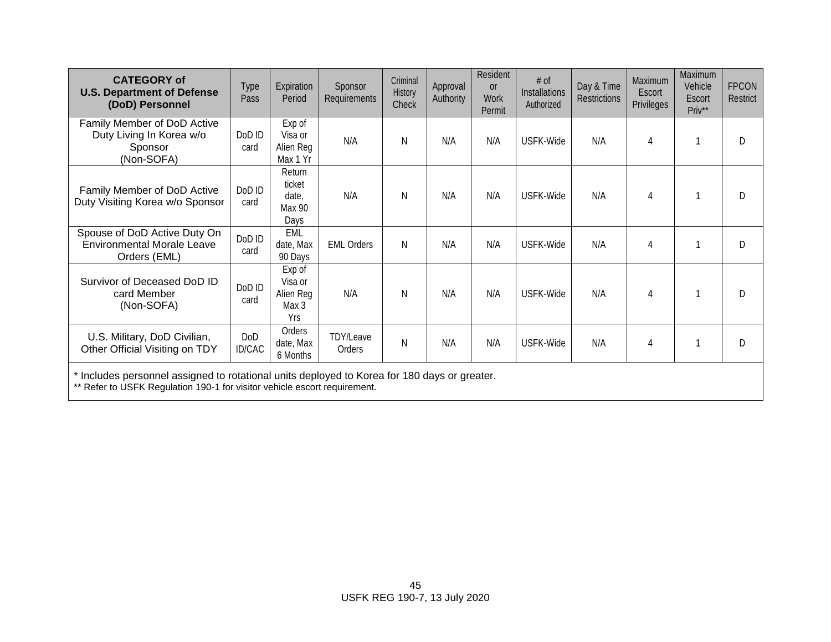| <b>CATEGORY of</b><br><b>U.S. Department of Defense</b><br>(DoD) Personnel        | <b>Type</b><br>Pass | Expiration<br>Period                           | Sponsor<br>Requirements | Criminal<br>History<br>Check | Approval<br>Authority | Resident<br><b>or</b><br><b>Work</b><br>Permit | # of<br><b>Installations</b><br>Authorized | Day & Time<br><b>Restrictions</b> | Maximum<br>Escort<br><b>Privileges</b> | Maximum<br>Vehicle<br>Escort<br>Priv** | <b>FPCON</b><br>Restrict |
|-----------------------------------------------------------------------------------|---------------------|------------------------------------------------|-------------------------|------------------------------|-----------------------|------------------------------------------------|--------------------------------------------|-----------------------------------|----------------------------------------|----------------------------------------|--------------------------|
| Family Member of DoD Active<br>Duty Living In Korea w/o<br>Sponsor<br>(Non-SOFA)  | DoD ID<br>card      | Exp of<br>Visa or<br>Alien Reg<br>Max 1 Yr     | N/A                     | N                            | N/A                   | N/A                                            | USFK-Wide                                  | N/A                               | 4                                      |                                        | D                        |
| Family Member of DoD Active<br>Duty Visiting Korea w/o Sponsor                    | DoD ID<br>card      | Return<br>ticket<br>date,<br>Max 90<br>Days    | N/A                     | N                            | N/A                   | N/A                                            | USFK-Wide                                  | N/A                               | 4                                      |                                        | D                        |
| Spouse of DoD Active Duty On<br><b>Environmental Morale Leave</b><br>Orders (EML) | DoD ID<br>card      | EML<br>date, Max<br>90 Days                    | <b>EML Orders</b>       | N                            | N/A                   | N/A                                            | USFK-Wide                                  | N/A                               | 4                                      |                                        | D                        |
| Survivor of Deceased DoD ID<br>card Member<br>(Non-SOFA)                          | DoD ID<br>card      | Exp of<br>Visa or<br>Alien Reg<br>Max 3<br>Yrs | N/A                     | N                            | N/A                   | N/A                                            | USFK-Wide                                  | N/A                               | 4                                      |                                        | D                        |
| U.S. Military, DoD Civilian,<br>Other Official Visiting on TDY                    | DoD<br>ID/CAC       | Orders<br>date, Max<br>6 Months                | TDY/Leave<br>Orders     | $\mathsf{N}$                 | N/A                   | N/A                                            | USFK-Wide                                  | N/A                               | 4                                      |                                        | D                        |

\* Includes personnel assigned to rotational units deployed to Korea for 180 days or greater.

\*\* Refer to USFK Regulation 190-1 for visitor vehicle escort requirement.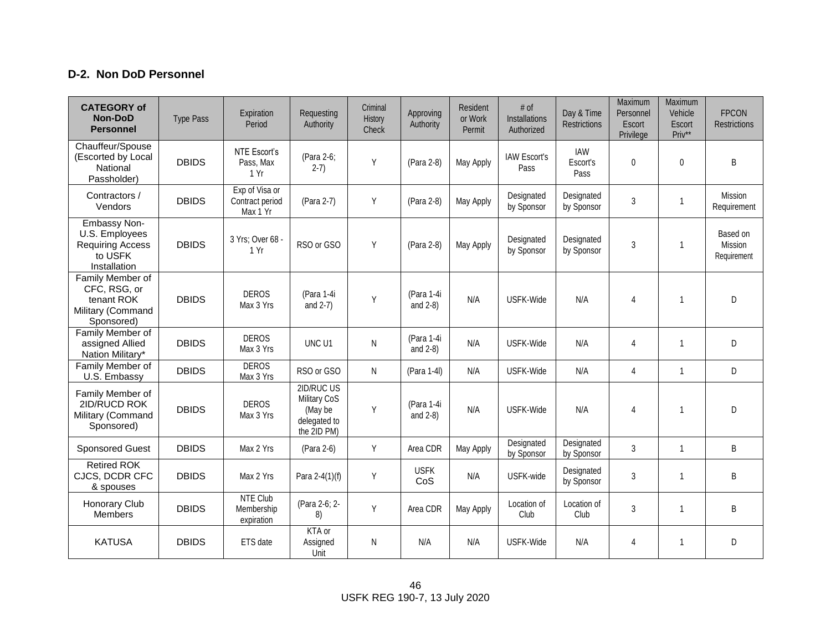## **D-2. Non DoD Personnel**

| <b>CATEGORY of</b><br><b>Non-DoD</b><br><b>Personnel</b>                             | <b>Type Pass</b> | Expiration<br>Period                          | Requesting<br>Authority                                              | Criminal<br>History<br>Check | Approving<br>Authority    | Resident<br>or Work<br>Permit | # of<br>Installations<br>Authorized | Day & Time<br><b>Restrictions</b> | Maximum<br>Personnel<br>Escort<br>Privilege | Maximum<br>Vehicle<br>Escort<br>Priv** | <b>FPCON</b><br><b>Restrictions</b> |
|--------------------------------------------------------------------------------------|------------------|-----------------------------------------------|----------------------------------------------------------------------|------------------------------|---------------------------|-------------------------------|-------------------------------------|-----------------------------------|---------------------------------------------|----------------------------------------|-------------------------------------|
| Chauffeur/Spouse<br>(Escorted by Local<br>National<br>Passholder)                    | <b>DBIDS</b>     | NTE Escort's<br>Pass, Max<br>1 Yr             | (Para 2-6;<br>$2-7)$                                                 | Y                            | (Para 2-8)                | May Apply                     | <b>IAW Escort's</b><br>Pass         | IAW<br>Escort's<br>Pass           | $\mathbf 0$                                 | 0                                      | $\sf B$                             |
| Contractors /<br>Vendors                                                             | <b>DBIDS</b>     | Exp of Visa or<br>Contract period<br>Max 1 Yr | (Para 2-7)                                                           | Y                            | (Para 2-8)                | May Apply                     | Designated<br>by Sponsor            | Designated<br>by Sponsor          | $\mathfrak{S}$                              | $\mathbf{1}$                           | Mission<br>Requirement              |
| Embassy Non-<br>U.S. Employees<br><b>Requiring Access</b><br>to USFK<br>Installation | <b>DBIDS</b>     | 3 Yrs; Over 68 -<br>1 Yr                      | RSO or GSO                                                           | Y                            | (Para 2-8)                | May Apply                     | Designated<br>by Sponsor            | Designated<br>by Sponsor          | 3                                           | 1                                      | Based on<br>Mission<br>Requirement  |
| Family Member of<br>CFC, RSG, or<br>tenant ROK<br>Military (Command<br>Sponsored)    | <b>DBIDS</b>     | <b>DEROS</b><br>Max 3 Yrs                     | (Para 1-4i<br>and $2-7$ )                                            | Y                            | (Para 1-4i<br>and $2-8$ ) | N/A                           | USFK-Wide                           | N/A                               | $\overline{4}$                              | $\mathbf{1}$                           | D                                   |
| Family Member of<br>assigned Allied<br>Nation Military*                              | <b>DBIDS</b>     | <b>DEROS</b><br>Max 3 Yrs                     | UNC <sub>U1</sub>                                                    | N                            | (Para 1-4i<br>and $2-8$ ) | N/A                           | USFK-Wide                           | N/A                               | $\overline{4}$                              | $\mathbf{1}$                           | D                                   |
| Family Member of<br>U.S. Embassy                                                     | <b>DBIDS</b>     | <b>DEROS</b><br>Max 3 Yrs                     | RSO or GSO                                                           | N.                           | (Para 1-4I)               | N/A                           | USFK-Wide                           | N/A                               | $\overline{4}$                              | $\mathbf{1}$                           | D                                   |
| Family Member of<br>2ID/RUCD ROK<br>Military (Command<br>Sponsored)                  | <b>DBIDS</b>     | <b>DEROS</b><br>Max 3 Yrs                     | 2ID/RUC US<br>Military CoS<br>(May be<br>delegated to<br>the 2ID PM) | Y                            | (Para 1-4i<br>and $2-8$ ) | N/A                           | USFK-Wide                           | N/A                               | $\overline{4}$                              | 1                                      | D                                   |
| <b>Sponsored Guest</b>                                                               | <b>DBIDS</b>     | Max 2 Yrs                                     | (Para 2-6)                                                           | Υ                            | Area CDR                  | May Apply                     | Designated<br>by Sponsor            | Designated<br>by Sponsor          | $\mathbf{3}$                                | $\mathbf{1}$                           | B                                   |
| <b>Retired ROK</b><br>CJCS, DCDR CFC<br>& spouses                                    | <b>DBIDS</b>     | Max 2 Yrs                                     | Para 2-4(1)(f)                                                       | Υ                            | <b>USFK</b><br>CoS        | N/A                           | USFK-wide                           | Designated<br>by Sponsor          | $\mathbf{3}$                                | $\mathbf{1}$                           | B                                   |
| Honorary Club<br><b>Members</b>                                                      | <b>DBIDS</b>     | <b>NTE Club</b><br>Membership<br>expiration   | (Para 2-6; 2-<br>8)                                                  | Y                            | Area CDR                  | May Apply                     | Location of<br>Club                 | Location of<br>Club               | $\mathbf{3}$                                | $\mathbf{1}$                           | B                                   |
| <b>KATUSA</b>                                                                        | <b>DBIDS</b>     | ETS date                                      | KTA or<br>Assigned<br>Unit                                           | N                            | N/A                       | N/A                           | USFK-Wide                           | N/A                               | $\overline{4}$                              | $\mathbf{1}$                           | D                                   |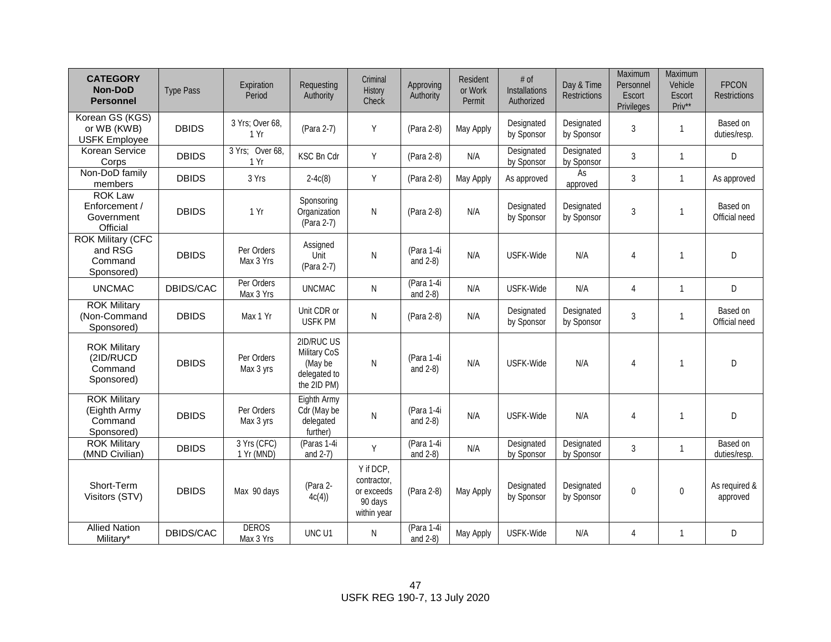| <b>CATEGORY</b><br><b>Non-DoD</b><br><b>Personnel</b>        | <b>Type Pass</b> | Expiration<br>Period      | Requesting<br>Authority                                              | Criminal<br>History<br>Check                                     | Approving<br>Authority    | Resident<br>or Work<br>Permit | # of<br>Installations<br>Authorized | Day & Time<br><b>Restrictions</b> | Maximum<br>Personnel<br>Escort<br>Privileges | Maximum<br>Vehicle<br>Escort<br>Priv** | <b>FPCON</b><br><b>Restrictions</b> |
|--------------------------------------------------------------|------------------|---------------------------|----------------------------------------------------------------------|------------------------------------------------------------------|---------------------------|-------------------------------|-------------------------------------|-----------------------------------|----------------------------------------------|----------------------------------------|-------------------------------------|
| Korean GS (KGS)<br>or WB (KWB)<br><b>USFK Employee</b>       | <b>DBIDS</b>     | 3 Yrs; Over 68,<br>1 Yr   | (Para 2-7)                                                           | Υ                                                                | (Para 2-8)                | May Apply                     | Designated<br>by Sponsor            | Designated<br>by Sponsor          | 3                                            | $\mathbf{1}$                           | Based on<br>duties/resp.            |
| Korean Service<br>Corps                                      | <b>DBIDS</b>     | 3 Yrs; Over 68,<br>1 Yr   | <b>KSC Bn Cdr</b>                                                    | Y                                                                | (Para 2-8)                | N/A                           | Designated<br>by Sponsor            | Designated<br>by Sponsor          | $\mathbf{3}$                                 | $\mathbf{1}$                           | D                                   |
| Non-DoD family<br>members                                    | <b>DBIDS</b>     | 3 Yrs                     | $2-4c(8)$                                                            | Y                                                                | (Para 2-8)                | May Apply                     | As approved                         | As<br>approved                    | $\mathbf{3}$                                 | $\mathbf{1}$                           | As approved                         |
| <b>ROK Law</b><br>Enforcement /<br>Government<br>Official    | <b>DBIDS</b>     | 1 Yr                      | Sponsoring<br>Organization<br>(Para 2-7)                             | N                                                                | (Para 2-8)                | N/A                           | Designated<br>by Sponsor            | Designated<br>by Sponsor          | $\mathbf{3}$                                 | 1                                      | Based on<br>Official need           |
| <b>ROK Military (CFC</b><br>and RSG<br>Command<br>Sponsored) | <b>DBIDS</b>     | Per Orders<br>Max 3 Yrs   | Assigned<br>Unit<br>(Para 2-7)                                       | N                                                                | (Para 1-4i<br>and $2-8$ ) | N/A                           | USFK-Wide                           | N/A                               | $\overline{4}$                               | $\mathbf{1}$                           | D                                   |
| <b>UNCMAC</b>                                                | DBIDS/CAC        | Per Orders<br>Max 3 Yrs   | <b>UNCMAC</b>                                                        | ${\sf N}$                                                        | (Para 1-4i<br>and $2-8$ ) | N/A                           | USFK-Wide                           | N/A                               | $\overline{4}$                               | $\mathbf{1}$                           | D                                   |
| <b>ROK Military</b><br>(Non-Command<br>Sponsored)            | <b>DBIDS</b>     | Max 1 Yr                  | Unit CDR or<br><b>USFK PM</b>                                        | ${\sf N}$                                                        | (Para 2-8)                | N/A                           | Designated<br>by Sponsor            | Designated<br>by Sponsor          | $\mathbf{3}$                                 | $\mathbf{1}$                           | Based on<br>Official need           |
| <b>ROK Military</b><br>(2ID/RUCD<br>Command<br>Sponsored)    | <b>DBIDS</b>     | Per Orders<br>Max 3 yrs   | 2ID/RUC US<br>Military CoS<br>(May be<br>delegated to<br>the 2ID PM) | N                                                                | (Para 1-4i<br>and $2-8$ ) | N/A                           | USFK-Wide                           | N/A                               | $\overline{4}$                               | $\mathbf{1}$                           | D                                   |
| <b>ROK Military</b><br>(Eighth Army<br>Command<br>Sponsored) | <b>DBIDS</b>     | Per Orders<br>Max 3 yrs   | Eighth Army<br>Cdr (May be<br>delegated<br>further)                  | N                                                                | (Para 1-4i<br>and $2-8$ ) | N/A                           | USFK-Wide                           | N/A                               | $\overline{4}$                               | 1                                      | D                                   |
| <b>ROK Military</b><br>(MND Civilian)                        | <b>DBIDS</b>     | 3 Yrs (CFC)<br>1 Yr (MND) | (Paras 1-4i<br>and $2-7$ )                                           | Y                                                                | (Para 1-4i<br>and $2-8$ ) | N/A                           | Designated<br>by Sponsor            | Designated<br>by Sponsor          | $\mathbf{3}$                                 | $\mathbf{1}$                           | Based on<br>duties/resp.            |
| Short-Term<br>Visitors (STV)                                 | <b>DBIDS</b>     | Max 90 days               | (Para 2-<br>4c(4)                                                    | Y if DCP,<br>contractor,<br>or exceeds<br>90 days<br>within year | (Para 2-8)                | May Apply                     | Designated<br>by Sponsor            | Designated<br>by Sponsor          | $\pmb{0}$                                    | $\pmb{0}$                              | As required &<br>approved           |
| <b>Allied Nation</b><br>Military*                            | DBIDS/CAC        | <b>DEROS</b><br>Max 3 Yrs | UNC U1                                                               | N                                                                | (Para 1-4i<br>and $2-8$ ) | May Apply                     | USFK-Wide                           | N/A                               | $\overline{4}$                               | $\mathbf{1}$                           | D                                   |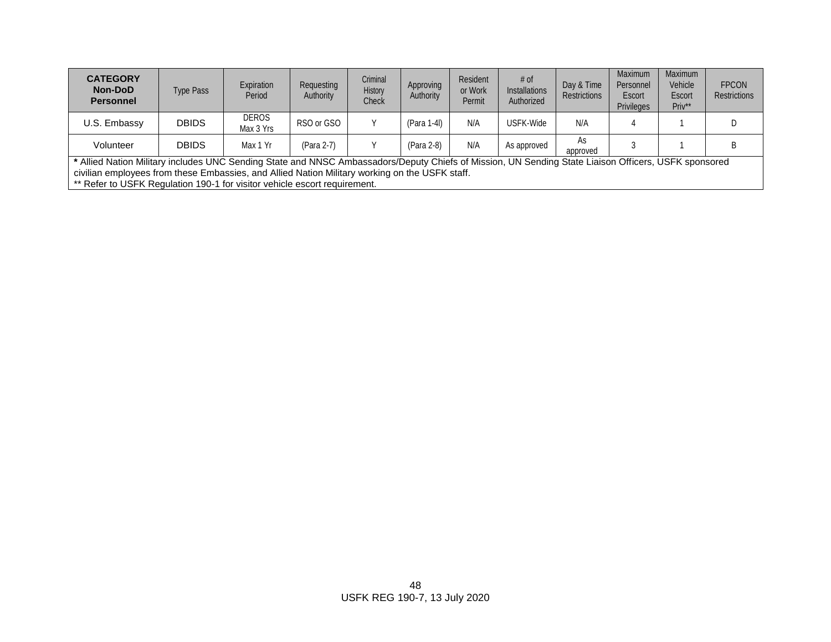| <b>CATEGORY</b><br><b>Non-DoD</b><br><b>Personnel</b> | Type Pass                                                                                                                                              | Expiration<br>Period      | Requesting<br>Authority | Criminal<br><b>History</b><br>Check | Approving<br>Authority | <b>Resident</b><br>or Work<br>Permit | # of<br><b>Installations</b><br>Authorized | Day & Time<br><b>Restrictions</b> | Maximum<br>Personnel<br>Escort<br><b>Privileges</b> | Maximum<br>Vehicle<br>Escort<br>Priv** | <b>FPCON</b><br><b>Restrictions</b> |
|-------------------------------------------------------|--------------------------------------------------------------------------------------------------------------------------------------------------------|---------------------------|-------------------------|-------------------------------------|------------------------|--------------------------------------|--------------------------------------------|-----------------------------------|-----------------------------------------------------|----------------------------------------|-------------------------------------|
| U.S. Embassy                                          | <b>DBIDS</b>                                                                                                                                           | <b>DEROS</b><br>Max 3 Yrs | RSO or GSO              |                                     | (Para 1-4I)            | N/A                                  | USFK-Wide                                  | N/A                               |                                                     |                                        |                                     |
| Volunteer                                             | <b>DBIDS</b>                                                                                                                                           | Max 1 Yr                  | (Para 2-7)              |                                     | (Para 2-8)             | N/A                                  | As approved                                | As<br>approved                    |                                                     |                                        |                                     |
|                                                       | * Alliad Nation Military includes LINC Sending State and NNSC Ambassadors/Deputy Chiefs of Mission LIN Sending State Ligison Officers, LISEK sponsored |                           |                         |                                     |                        |                                      |                                            |                                   |                                                     |                                        |                                     |

**\*** Allied Nation Military includes UNC Sending State and NNSC Ambassadors/Deputy Chiefs of Mission, UN Sending State Liaison Officers, USFK sponsored civilian employees from these Embassies, and Allied Nation Military working on the USFK staff.

\*\* Refer to USFK Regulation 190-1 for visitor vehicle escort requirement.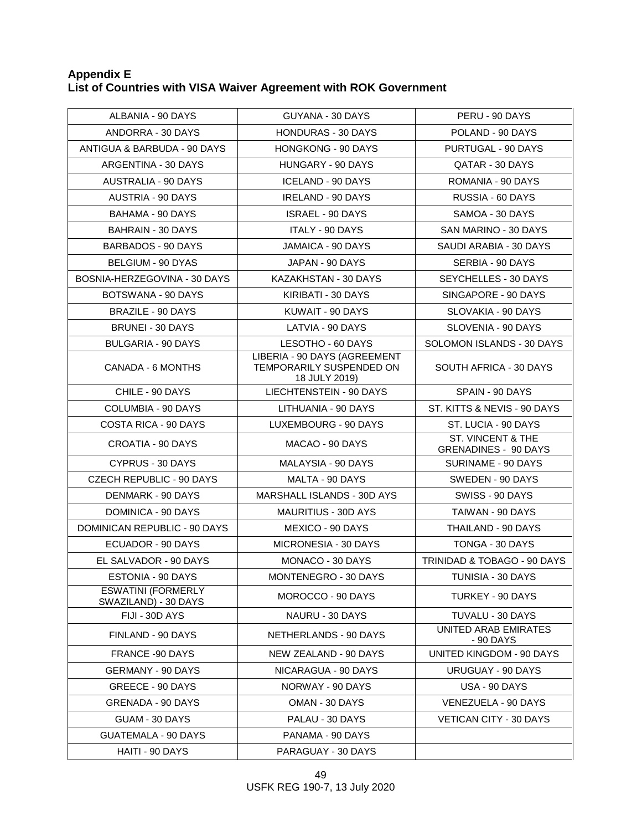### **Appendix E List of Countries with VISA Waiver Agreement with ROK Government**

| ALBANIA - 90 DAYS                                 | GUYANA - 30 DAYS                                                          | PERU - 90 DAYS                                   |
|---------------------------------------------------|---------------------------------------------------------------------------|--------------------------------------------------|
| ANDORRA - 30 DAYS                                 | <b>HONDURAS - 30 DAYS</b>                                                 | POLAND - 90 DAYS                                 |
| ANTIGUA & BARBUDA - 90 DAYS                       | <b>HONGKONG - 90 DAYS</b>                                                 | PURTUGAL - 90 DAYS                               |
| ARGENTINA - 30 DAYS                               | HUNGARY - 90 DAYS                                                         | QATAR - 30 DAYS                                  |
| AUSTRALIA - 90 DAYS                               | ICELAND - 90 DAYS                                                         | ROMANIA - 90 DAYS                                |
| AUSTRIA - 90 DAYS                                 | <b>IRELAND - 90 DAYS</b>                                                  | RUSSIA - 60 DAYS                                 |
| BAHAMA - 90 DAYS                                  | ISRAEL - 90 DAYS                                                          | SAMOA - 30 DAYS                                  |
| <b>BAHRAIN - 30 DAYS</b>                          | <b>ITALY - 90 DAYS</b>                                                    | SAN MARINO - 30 DAYS                             |
| BARBADOS - 90 DAYS                                | JAMAICA - 90 DAYS                                                         | SAUDI ARABIA - 30 DAYS                           |
| BELGIUM - 90 DYAS                                 | JAPAN - 90 DAYS                                                           | SERBIA - 90 DAYS                                 |
| BOSNIA-HERZEGOVINA - 30 DAYS                      | KAZAKHSTAN - 30 DAYS                                                      | SEYCHELLES - 30 DAYS                             |
| BOTSWANA - 90 DAYS                                | KIRIBATI - 30 DAYS                                                        | SINGAPORE - 90 DAYS                              |
| <b>BRAZILE - 90 DAYS</b>                          | KUWAIT - 90 DAYS                                                          | SLOVAKIA - 90 DAYS                               |
| <b>BRUNEI - 30 DAYS</b>                           | LATVIA - 90 DAYS                                                          | SLOVENIA - 90 DAYS                               |
| <b>BULGARIA - 90 DAYS</b>                         | LESOTHO - 60 DAYS                                                         | SOLOMON ISLANDS - 30 DAYS                        |
| CANADA - 6 MONTHS                                 | LIBERIA - 90 DAYS (AGREEMENT<br>TEMPORARILY SUSPENDED ON<br>18 JULY 2019) | SOUTH AFRICA - 30 DAYS                           |
| CHILE - 90 DAYS                                   | LIECHTENSTEIN - 90 DAYS                                                   | SPAIN - 90 DAYS                                  |
| <b>COLUMBIA - 90 DAYS</b>                         | LITHUANIA - 90 DAYS                                                       | ST. KITTS & NEVIS - 90 DAYS                      |
| COSTA RICA - 90 DAYS                              | LUXEMBOURG - 90 DAYS                                                      | ST. LUCIA - 90 DAYS                              |
| CROATIA - 90 DAYS                                 | MACAO - 90 DAYS                                                           | ST. VINCENT & THE<br><b>GRENADINES - 90 DAYS</b> |
| <b>CYPRUS - 30 DAYS</b>                           | MALAYSIA - 90 DAYS                                                        | SURINAME - 90 DAYS                               |
| CZECH REPUBLIC - 90 DAYS                          | MALTA - 90 DAYS                                                           | SWEDEN - 90 DAYS                                 |
| DENMARK - 90 DAYS                                 | MARSHALL ISLANDS - 30D AYS                                                | SWISS - 90 DAYS                                  |
| DOMINICA - 90 DAYS                                | MAURITIUS - 30D AYS                                                       | TAIWAN - 90 DAYS                                 |
| DOMINICAN REPUBLIC - 90 DAYS                      | MEXICO - 90 DAYS                                                          | THAILAND - 90 DAYS                               |
| ECUADOR - 90 DAYS                                 | MICRONESIA - 30 DAYS                                                      | TONGA - 30 DAYS                                  |
| EL SALVADOR - 90 DAYS                             | MONACO - 30 DAYS                                                          | TRINIDAD & TOBAGO - 90 DAYS                      |
| ESTONIA - 90 DAYS                                 | MONTENEGRO - 30 DAYS                                                      | TUNISIA - 30 DAYS                                |
| <b>ESWATINI (FORMERLY</b><br>SWAZILAND) - 30 DAYS | MOROCCO - 90 DAYS                                                         | TURKEY - 90 DAYS                                 |
| FIJI - 30D AYS                                    | NAURU - 30 DAYS                                                           | TUVALU - 30 DAYS                                 |
| FINLAND - 90 DAYS                                 | NETHERLANDS - 90 DAYS                                                     | UNITED ARAB EMIRATES<br>- 90 DAYS                |
| <b>FRANCE -90 DAYS</b>                            | NEW ZEALAND - 90 DAYS                                                     | UNITED KINGDOM - 90 DAYS                         |
| <b>GERMANY - 90 DAYS</b>                          | NICARAGUA - 90 DAYS                                                       | URUGUAY - 90 DAYS                                |
| GREECE - 90 DAYS                                  | NORWAY - 90 DAYS                                                          | USA - 90 DAYS                                    |
| <b>GRENADA - 90 DAYS</b>                          | OMAN - 30 DAYS                                                            | VENEZUELA - 90 DAYS                              |
| GUAM - 30 DAYS                                    | PALAU - 30 DAYS                                                           | <b>VETICAN CITY - 30 DAYS</b>                    |
| <b>GUATEMALA - 90 DAYS</b>                        | PANAMA - 90 DAYS                                                          |                                                  |
| HAITI - 90 DAYS                                   | PARAGUAY - 30 DAYS                                                        |                                                  |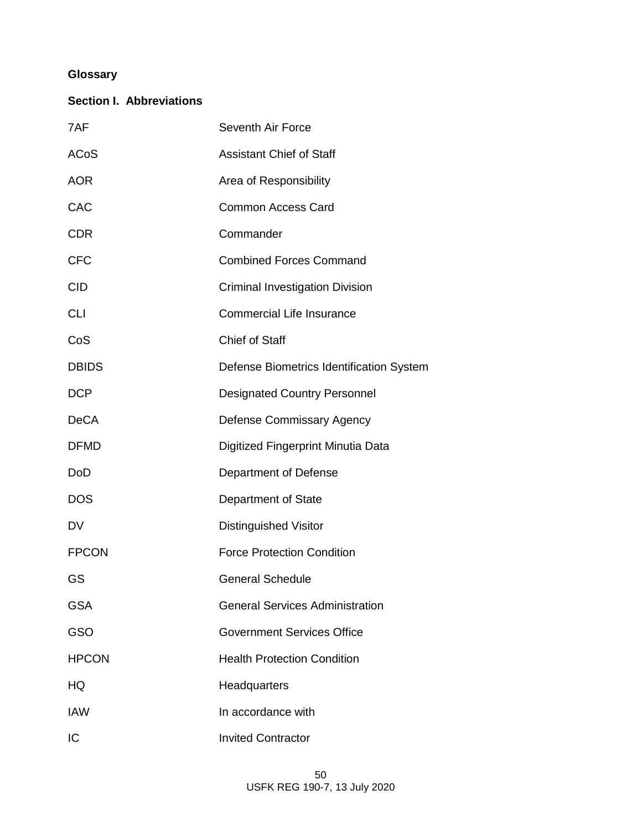# **Glossary**

# **Section I. Abbreviations**

| 7AF          | Seventh Air Force                        |
|--------------|------------------------------------------|
| ACoS         | <b>Assistant Chief of Staff</b>          |
| <b>AOR</b>   | Area of Responsibility                   |
| CAC          | <b>Common Access Card</b>                |
| <b>CDR</b>   | Commander                                |
| <b>CFC</b>   | <b>Combined Forces Command</b>           |
| <b>CID</b>   | <b>Criminal Investigation Division</b>   |
| <b>CLI</b>   | <b>Commercial Life Insurance</b>         |
| CoS          | <b>Chief of Staff</b>                    |
| <b>DBIDS</b> | Defense Biometrics Identification System |
| <b>DCP</b>   | <b>Designated Country Personnel</b>      |
| <b>DeCA</b>  | <b>Defense Commissary Agency</b>         |
| <b>DFMD</b>  | Digitized Fingerprint Minutia Data       |
| <b>DoD</b>   | Department of Defense                    |
| <b>DOS</b>   | Department of State                      |
| DV           | <b>Distinguished Visitor</b>             |
| <b>FPCON</b> | <b>Force Protection Condition</b>        |
| GS           | <b>General Schedule</b>                  |
| <b>GSA</b>   | <b>General Services Administration</b>   |
| GSO          | <b>Government Services Office</b>        |
| <b>HPCON</b> | <b>Health Protection Condition</b>       |
| HQ           | Headquarters                             |
| <b>IAW</b>   | In accordance with                       |
| IC           | <b>Invited Contractor</b>                |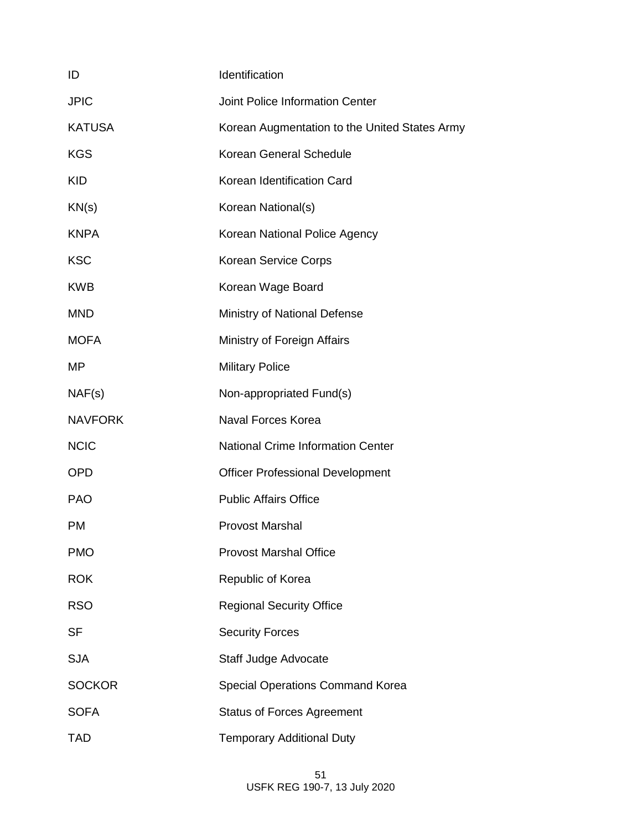| ID             | Identification                                |
|----------------|-----------------------------------------------|
| <b>JPIC</b>    | <b>Joint Police Information Center</b>        |
| <b>KATUSA</b>  | Korean Augmentation to the United States Army |
| <b>KGS</b>     | Korean General Schedule                       |
| <b>KID</b>     | Korean Identification Card                    |
| KN(s)          | Korean National(s)                            |
| <b>KNPA</b>    | Korean National Police Agency                 |
| <b>KSC</b>     | Korean Service Corps                          |
| <b>KWB</b>     | Korean Wage Board                             |
| <b>MND</b>     | Ministry of National Defense                  |
| <b>MOFA</b>    | Ministry of Foreign Affairs                   |
| MP             | <b>Military Police</b>                        |
| NAF(s)         | Non-appropriated Fund(s)                      |
| <b>NAVFORK</b> | <b>Naval Forces Korea</b>                     |
| <b>NCIC</b>    | <b>National Crime Information Center</b>      |
| <b>OPD</b>     | <b>Officer Professional Development</b>       |
| <b>PAO</b>     | <b>Public Affairs Office</b>                  |
| <b>PM</b>      | <b>Provost Marshal</b>                        |
| <b>PMO</b>     | <b>Provost Marshal Office</b>                 |
| <b>ROK</b>     | Republic of Korea                             |
| <b>RSO</b>     | <b>Regional Security Office</b>               |
| <b>SF</b>      | <b>Security Forces</b>                        |
| <b>SJA</b>     | Staff Judge Advocate                          |
| <b>SOCKOR</b>  | <b>Special Operations Command Korea</b>       |
| <b>SOFA</b>    | <b>Status of Forces Agreement</b>             |
| <b>TAD</b>     | <b>Temporary Additional Duty</b>              |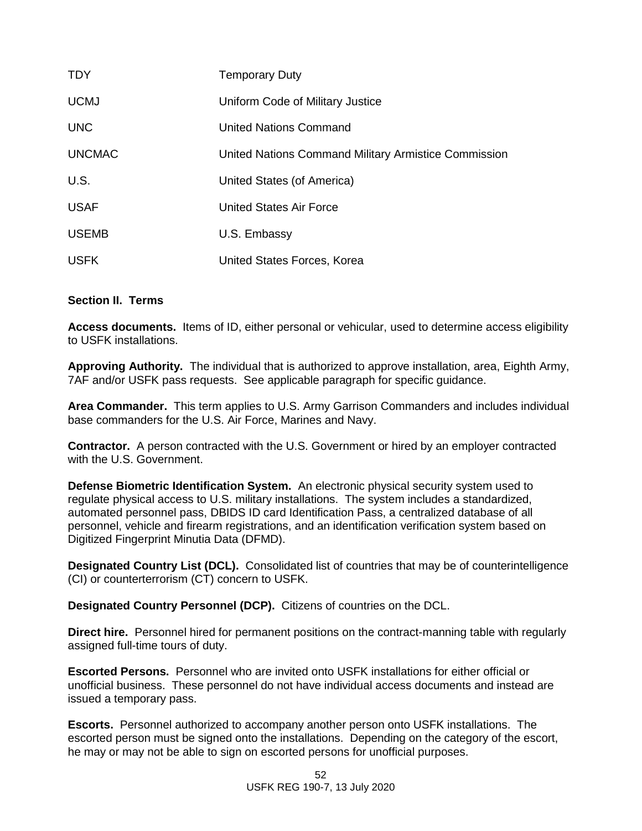| <b>TDY</b>    | <b>Temporary Duty</b>                                |
|---------------|------------------------------------------------------|
| <b>UCMJ</b>   | Uniform Code of Military Justice                     |
| <b>UNC</b>    | <b>United Nations Command</b>                        |
| <b>UNCMAC</b> | United Nations Command Military Armistice Commission |
| U.S.          | United States (of America)                           |
| <b>USAF</b>   | United States Air Force                              |
| <b>USEMB</b>  | U.S. Embassy                                         |
| <b>USFK</b>   | United States Forces, Korea                          |

### **Section II. Terms**

**Access documents.** Items of ID, either personal or vehicular, used to determine access eligibility to USFK installations.

**Approving Authority.** The individual that is authorized to approve installation, area, Eighth Army, 7AF and/or USFK pass requests. See applicable paragraph for specific guidance.

**Area Commander.** This term applies to U.S. Army Garrison Commanders and includes individual base commanders for the U.S. Air Force, Marines and Navy.

**Contractor.** A person contracted with the U.S. Government or hired by an employer contracted with the U.S. Government.

**Defense Biometric Identification System.** An electronic physical security system used to regulate physical access to U.S. military installations.The system includes a standardized, automated personnel pass, DBIDS ID card Identification Pass, a centralized database of all personnel, vehicle and firearm registrations, and an identification verification system based on Digitized Fingerprint Minutia Data (DFMD).

**Designated Country List (DCL).** Consolidated list of countries that may be of counterintelligence (CI) or counterterrorism (CT) concern to USFK.

**Designated Country Personnel (DCP).** Citizens of countries on the DCL.

**Direct hire.** Personnel hired for permanent positions on the contract-manning table with regularly assigned full-time tours of duty.

**Escorted Persons.** Personnel who are invited onto USFK installations for either official or unofficial business. These personnel do not have individual access documents and instead are issued a temporary pass.

**Escorts.** Personnel authorized to accompany another person onto USFK installations. The escorted person must be signed onto the installations. Depending on the category of the escort, he may or may not be able to sign on escorted persons for unofficial purposes.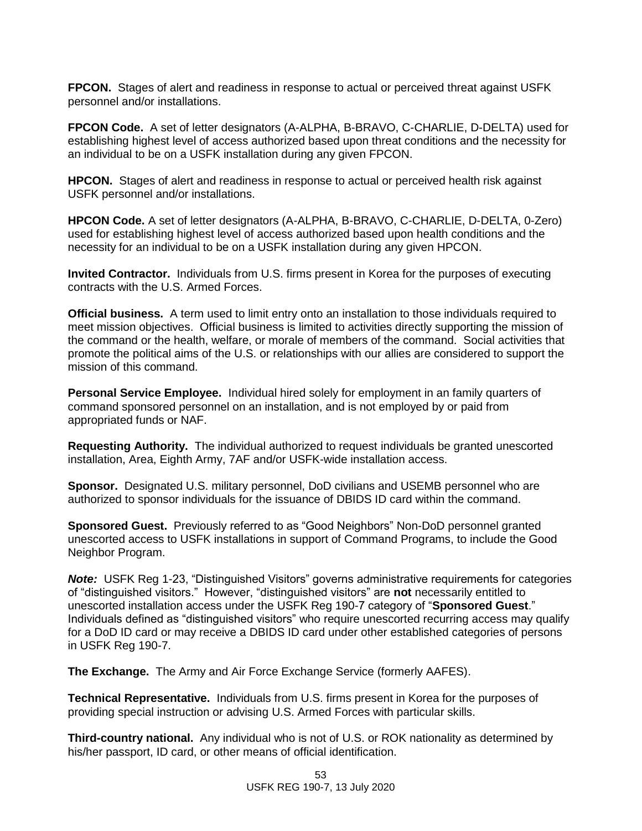**FPCON.** Stages of alert and readiness in response to actual or perceived threat against USFK personnel and/or installations.

**FPCON Code.** A set of letter designators (A-ALPHA, B-BRAVO, C-CHARLIE, D-DELTA) used for establishing highest level of access authorized based upon threat conditions and the necessity for an individual to be on a USFK installation during any given FPCON.

**HPCON.** Stages of alert and readiness in response to actual or perceived health risk against USFK personnel and/or installations.

**HPCON Code.** A set of letter designators (A-ALPHA, B-BRAVO, C-CHARLIE, D-DELTA, 0-Zero) used for establishing highest level of access authorized based upon health conditions and the necessity for an individual to be on a USFK installation during any given HPCON.

**Invited Contractor.** Individuals from U.S. firms present in Korea for the purposes of executing contracts with the U.S. Armed Forces.

**Official business.** A term used to limit entry onto an installation to those individuals required to meet mission objectives. Official business is limited to activities directly supporting the mission of the command or the health, welfare, or morale of members of the command. Social activities that promote the political aims of the U.S. or relationships with our allies are considered to support the mission of this command.

**Personal Service Employee.** Individual hired solely for employment in an family quarters of command sponsored personnel on an installation, and is not employed by or paid from appropriated funds or NAF.

**Requesting Authority.** The individual authorized to request individuals be granted unescorted installation, Area, Eighth Army, 7AF and/or USFK-wide installation access.

**Sponsor.** Designated U.S. military personnel, DoD civilians and USEMB personnel who are authorized to sponsor individuals for the issuance of DBIDS ID card within the command.

**Sponsored Guest.** Previously referred to as "Good Neighbors" Non-DoD personnel granted unescorted access to USFK installations in support of Command Programs, to include the Good Neighbor Program.

*Note:* USFK Reg 1-23, "Distinguished Visitors" governs administrative requirements for categories of "distinguished visitors." However, "distinguished visitors" are **not** necessarily entitled to unescorted installation access under the USFK Reg 190-7 category of "**Sponsored Guest**." Individuals defined as "distinguished visitors" who require unescorted recurring access may qualify for a DoD ID card or may receive a DBIDS ID card under other established categories of persons in USFK Reg 190-7.

**The Exchange.** The Army and Air Force Exchange Service (formerly AAFES).

**Technical Representative.** Individuals from U.S. firms present in Korea for the purposes of providing special instruction or advising U.S. Armed Forces with particular skills.

**Third-country national.** Any individual who is not of U.S. or ROK nationality as determined by his/her passport, ID card, or other means of official identification.